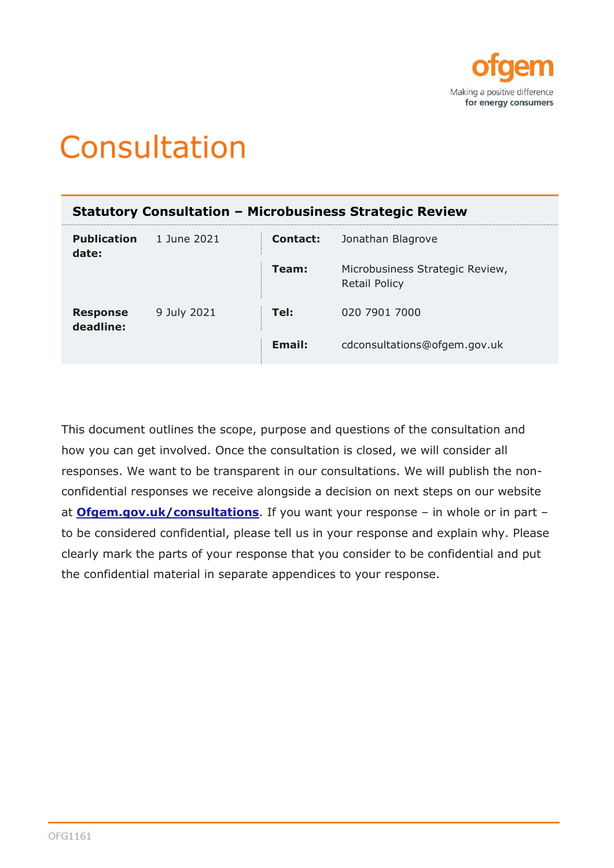

# Consultation

| <b>Statutory Consultation - Microbusiness Strategic Review</b> |             |          |                                                         |
|----------------------------------------------------------------|-------------|----------|---------------------------------------------------------|
| <b>Publication</b><br>date:                                    | 1 June 2021 | Contact: | Jonathan Blagrove                                       |
|                                                                |             | Team:    | Microbusiness Strategic Review,<br><b>Retail Policy</b> |
| <b>Response</b><br>deadline:                                   | 9 July 2021 | Tel:     | 020 7901 7000                                           |
|                                                                |             | Email:   | cdconsultations@ofgem.gov.uk                            |

This document outlines the scope, purpose and questions of the consultation and how you can get involved. Once the consultation is closed, we will consider all responses. We want to be transparent in our consultations. We will publish the nonconfidential responses we receive alongside a decision on next steps on our website at **[Ofgem.gov.uk/consultations](https://www.ofgem.gov.uk/consultations)**. If you want your response – in whole or in part – to be considered confidential, please tell us in your response and explain why. Please clearly mark the parts of your response that you consider to be confidential and put the confidential material in separate appendices to your response.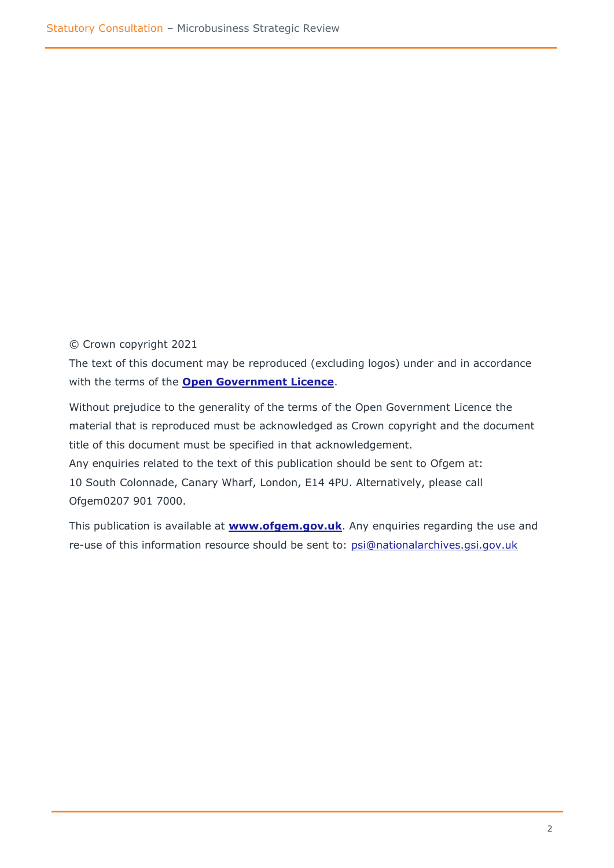© Crown copyright 2021

The text of this document may be reproduced (excluding logos) under and in accordance with the terms of the **[Open Government Licence](http://www.nationalarchives.gov.uk/doc/open-government-licence/version/3/)**.

Without prejudice to the generality of the terms of the Open Government Licence the material that is reproduced must be acknowledged as Crown copyright and the document title of this document must be specified in that acknowledgement. Any enquiries related to the text of this publication should be sent to Ofgem at:

10 South Colonnade, Canary Wharf, London, E14 4PU. Alternatively, please call Ofgem0207 901 7000.

This publication is available at **[www.ofgem.gov.uk](http://www.ofgem.gov.uk/)**. Any enquiries regarding the use and re-use of this information resource should be sent to: [psi@nationalarchives.gsi.gov.uk](mailto:psi@nationalarchives.gsi.gov.uk)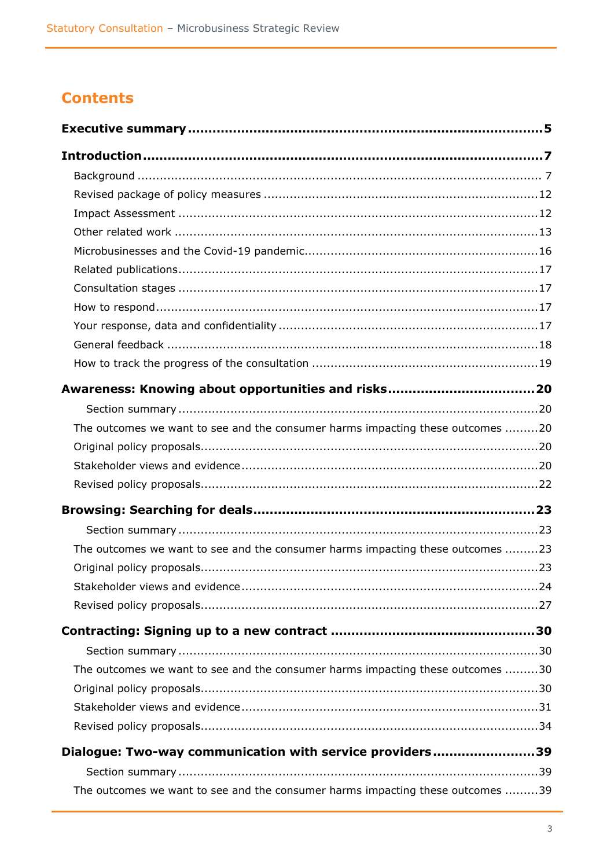# **Contents**

| The outcomes we want to see and the consumer harms impacting these outcomes 20 |
|--------------------------------------------------------------------------------|
|                                                                                |
|                                                                                |
|                                                                                |
|                                                                                |
|                                                                                |
| The outcomes we want to see and the consumer harms impacting these outcomes 23 |
|                                                                                |
|                                                                                |
|                                                                                |
|                                                                                |
|                                                                                |
| The outcomes we want to see and the consumer harms impacting these outcomes 30 |
|                                                                                |
|                                                                                |
|                                                                                |
| Dialogue: Two-way communication with service providers39                       |
|                                                                                |
| The outcomes we want to see and the consumer harms impacting these outcomes 39 |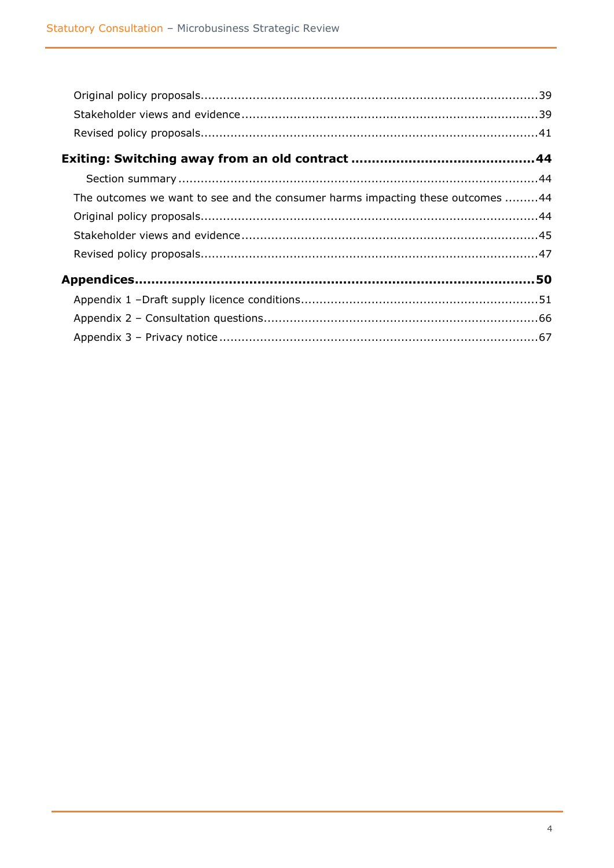| The outcomes we want to see and the consumer harms impacting these outcomes 44 |  |
|--------------------------------------------------------------------------------|--|
|                                                                                |  |
|                                                                                |  |
|                                                                                |  |
|                                                                                |  |
|                                                                                |  |
|                                                                                |  |
|                                                                                |  |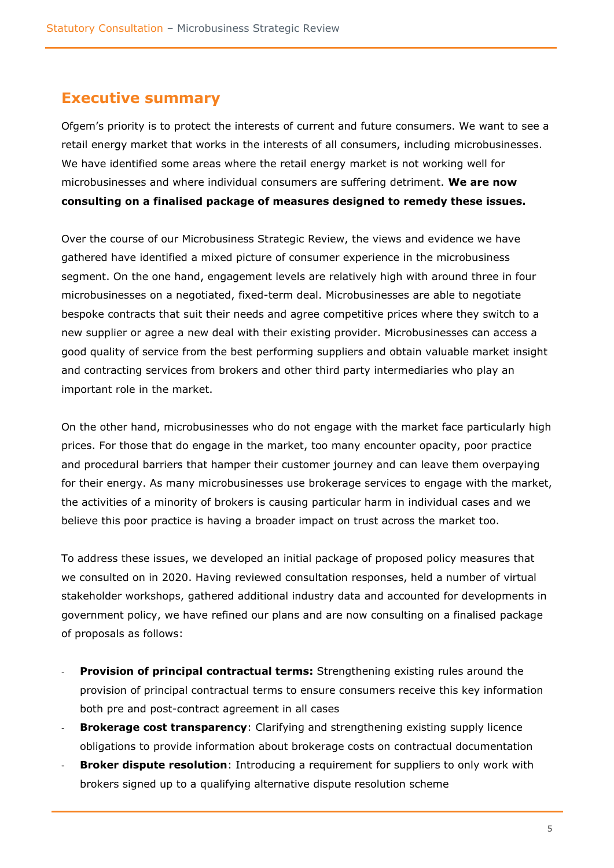### <span id="page-4-0"></span>**Executive summary**

Ofgem's priority is to protect the interests of current and future consumers. We want to see a retail energy market that works in the interests of all consumers, including microbusinesses. We have identified some areas where the retail energy market is not working well for microbusinesses and where individual consumers are suffering detriment. **We are now consulting on a finalised package of measures designed to remedy these issues.** 

Over the course of our Microbusiness Strategic Review, the views and evidence we have gathered have identified a mixed picture of consumer experience in the microbusiness segment. On the one hand, engagement levels are relatively high with around three in four microbusinesses on a negotiated, fixed-term deal. Microbusinesses are able to negotiate bespoke contracts that suit their needs and agree competitive prices where they switch to a new supplier or agree a new deal with their existing provider. Microbusinesses can access a good quality of service from the best performing suppliers and obtain valuable market insight and contracting services from brokers and other third party intermediaries who play an important role in the market.

On the other hand, microbusinesses who do not engage with the market face particularly high prices. For those that do engage in the market, too many encounter opacity, poor practice and procedural barriers that hamper their customer journey and can leave them overpaying for their energy. As many microbusinesses use brokerage services to engage with the market, the activities of a minority of brokers is causing particular harm in individual cases and we believe this poor practice is having a broader impact on trust across the market too.

To address these issues, we developed an initial package of proposed policy measures that we consulted on in 2020. Having reviewed consultation responses, held a number of virtual stakeholder workshops, gathered additional industry data and accounted for developments in government policy, we have refined our plans and are now consulting on a finalised package of proposals as follows:

- **Provision of principal contractual terms:** Strengthening existing rules around the provision of principal contractual terms to ensure consumers receive this key information both pre and post-contract agreement in all cases
- **Brokerage cost transparency**: Clarifying and strengthening existing supply licence obligations to provide information about brokerage costs on contractual documentation
- **Broker dispute resolution**: Introducing a requirement for suppliers to only work with brokers signed up to a qualifying alternative dispute resolution scheme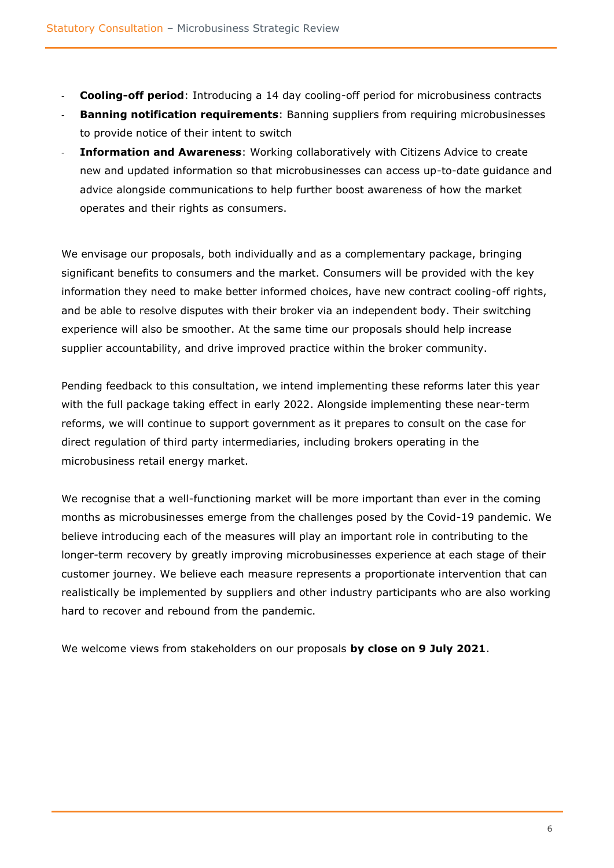- **Cooling-off period**: Introducing a 14 day cooling-off period for microbusiness contracts
- **Banning notification requirements:** Banning suppliers from requiring microbusinesses to provide notice of their intent to switch
- **Information and Awareness**: Working collaboratively with Citizens Advice to create new and updated information so that microbusinesses can access up-to-date guidance and advice alongside communications to help further boost awareness of how the market operates and their rights as consumers.

We envisage our proposals, both individually and as a complementary package, bringing significant benefits to consumers and the market. Consumers will be provided with the key information they need to make better informed choices, have new contract cooling-off rights, and be able to resolve disputes with their broker via an independent body. Their switching experience will also be smoother. At the same time our proposals should help increase supplier accountability, and drive improved practice within the broker community.

Pending feedback to this consultation, we intend implementing these reforms later this year with the full package taking effect in early 2022. Alongside implementing these near-term reforms, we will continue to support government as it prepares to consult on the case for direct regulation of third party intermediaries, including brokers operating in the microbusiness retail energy market.

We recognise that a well-functioning market will be more important than ever in the coming months as microbusinesses emerge from the challenges posed by the Covid-19 pandemic. We believe introducing each of the measures will play an important role in contributing to the longer-term recovery by greatly improving microbusinesses experience at each stage of their customer journey. We believe each measure represents a proportionate intervention that can realistically be implemented by suppliers and other industry participants who are also working hard to recover and rebound from the pandemic.

We welcome views from stakeholders on our proposals **by close on 9 July 2021**.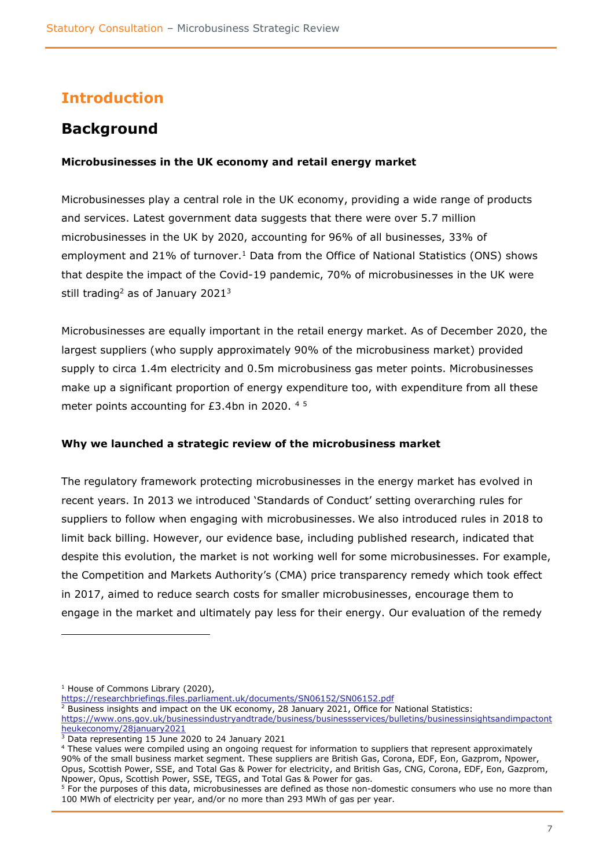# <span id="page-6-0"></span>**Introduction**

# <span id="page-6-1"></span>**Background**

#### **Microbusinesses in the UK economy and retail energy market**

Microbusinesses play a central role in the UK economy, providing a wide range of products and services. Latest government data suggests that there were over 5.7 million microbusinesses in the UK by 2020, accounting for 96% of all businesses, 33% of employment and 21% of turnover.<sup>1</sup> Data from the Office of National Statistics (ONS) shows that despite the impact of the Covid-19 pandemic, 70% of microbusinesses in the UK were still trading<sup>2</sup> as of January 2021<sup>3</sup>

Microbusinesses are equally important in the retail energy market. As of December 2020, the largest suppliers (who supply approximately 90% of the microbusiness market) provided supply to circa 1.4m electricity and 0.5m microbusiness gas meter points. Microbusinesses make up a significant proportion of energy expenditure too, with expenditure from all these meter points accounting for  $E3.4$ bn in 2020.  $4.5$ 

#### **Why we launched a strategic review of the microbusiness market**

The regulatory framework protecting microbusinesses in the energy market has evolved in recent years. In 2013 we introduced 'Standards of Conduct' setting overarching rules for suppliers to follow when engaging with microbusinesses. We also introduced rules in 2018 to limit back billing. However, our evidence base, including published research, indicated that despite this evolution, the market is not working well for some microbusinesses. For example, the Competition and Markets Authority's (CMA) price transparency remedy which took effect in 2017, aimed to reduce search costs for smaller microbusinesses, encourage them to engage in the market and ultimately pay less for their energy. Our evaluation of the remedy

<https://researchbriefings.files.parliament.uk/documents/SN06152/SN06152.pdf>

 $\frac{2}{3}$  Business insights and impact on the UK economy, 28 January 2021, Office for National Statistics:

<sup>4</sup> These values were compiled using an ongoing request for information to suppliers that represent approximately 90% of the small business market segment. These suppliers are British Gas, Corona, EDF, Eon, Gazprom, Npower, Opus, Scottish Power, SSE, and Total Gas & Power for electricity, and British Gas, CNG, Corona, EDF, Eon, Gazprom, Npower, Opus, Scottish Power, SSE, TEGS, and Total Gas & Power for gas.

<sup>&</sup>lt;sup>1</sup> House of Commons Library (2020),

[https://www.ons.gov.uk/businessindustryandtrade/business/businessservices/bulletins/businessinsightsandimpactont](https://www.ons.gov.uk/businessindustryandtrade/business/businessservices/bulletins/businessinsightsandimpactontheukeconomy/28january2021) [heukeconomy/28january2021](https://www.ons.gov.uk/businessindustryandtrade/business/businessservices/bulletins/businessinsightsandimpactontheukeconomy/28january2021)

<sup>&</sup>lt;sup>3</sup> Data representing 15 June 2020 to 24 January 2021

<sup>&</sup>lt;sup>5</sup> For the purposes of this data, microbusinesses are defined as those non-domestic consumers who use no more than 100 MWh of electricity per year, and/or no more than 293 MWh of gas per year.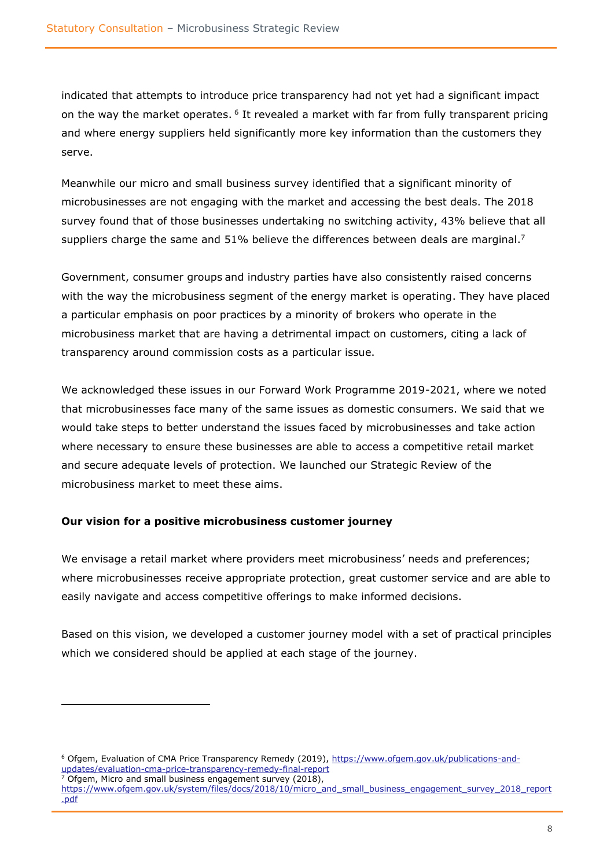indicated that attempts to introduce price transparency had not yet had a significant impact on the way the market operates. <sup>6</sup> It revealed a market with far from fully transparent pricing and where energy suppliers held significantly more key information than the customers they serve.

Meanwhile our micro and small business survey identified that a significant minority of microbusinesses are not engaging with the market and accessing the best deals. The 2018 survey found that of those businesses undertaking no switching activity, 43% believe that all suppliers charge the same and 51% believe the differences between deals are marginal.<sup>7</sup>

Government, consumer groups and industry parties have also consistently raised concerns with the way the microbusiness segment of the energy market is operating. They have placed a particular emphasis on poor practices by a minority of brokers who operate in the microbusiness market that are having a detrimental impact on customers, citing a lack of transparency around commission costs as a particular issue.

We acknowledged these issues in our Forward Work Programme 2019-2021, where we noted that microbusinesses face many of the same issues as domestic consumers. We said that we would take steps to better understand the issues faced by microbusinesses and take action where necessary to ensure these businesses are able to access a competitive retail market and secure adequate levels of protection. We launched our Strategic Review of the microbusiness market to meet these aims.

#### **Our vision for a positive microbusiness customer journey**

We envisage a retail market where providers meet microbusiness' needs and preferences; where microbusinesses receive appropriate protection, great customer service and are able to easily navigate and access competitive offerings to make informed decisions.

Based on this vision, we developed a customer journey model with a set of practical principles which we considered should be applied at each stage of the journey.

<sup>&</sup>lt;sup>6</sup> Ofgem, Evaluation of CMA Price Transparency Remedy (2019), [https://www.ofgem.gov.uk/publications-and](https://www.ofgem.gov.uk/publications-and-updates/evaluation-cma-price-transparency-remedy-final-report)updates/evaluation-cma-price-transparency-remedy-final-report

Ofgem, Micro and small business engagement survey (2018),

[https://www.ofgem.gov.uk/system/files/docs/2018/10/micro\\_and\\_small\\_business\\_engagement\\_survey\\_2018\\_report](https://www.ofgem.gov.uk/system/files/docs/2018/10/micro_and_small_business_engagement_survey_2018_report.pdf) [.pdf](https://www.ofgem.gov.uk/system/files/docs/2018/10/micro_and_small_business_engagement_survey_2018_report.pdf)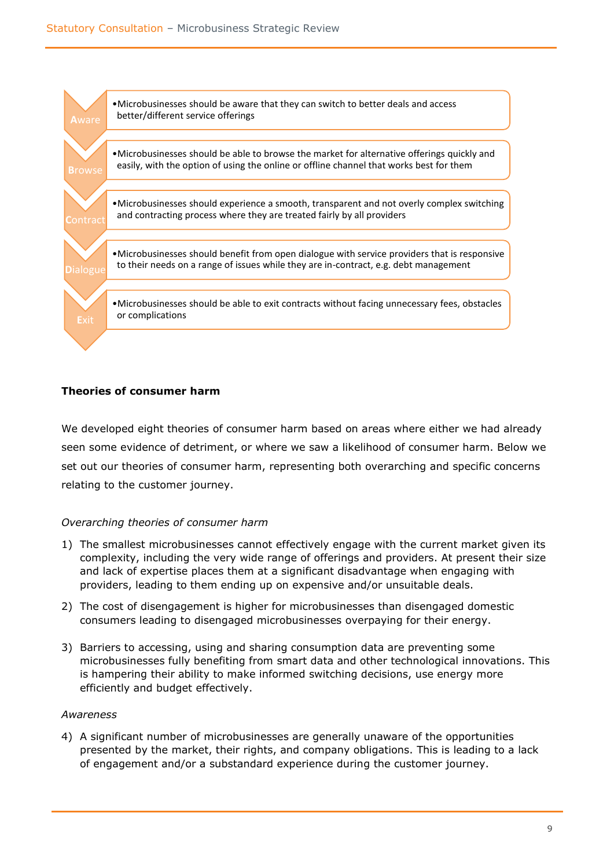

#### **Theories of consumer harm**

We developed eight theories of consumer harm based on areas where either we had already seen some evidence of detriment, or where we saw a likelihood of consumer harm. Below we set out our theories of consumer harm, representing both overarching and specific concerns relating to the customer journey.

#### *Overarching theories of consumer harm*

- 1) The smallest microbusinesses cannot effectively engage with the current market given its complexity, including the very wide range of offerings and providers. At present their size and lack of expertise places them at a significant disadvantage when engaging with providers, leading to them ending up on expensive and/or unsuitable deals.
- 2) The cost of disengagement is higher for microbusinesses than disengaged domestic consumers leading to disengaged microbusinesses overpaying for their energy.
- 3) Barriers to accessing, using and sharing consumption data are preventing some microbusinesses fully benefiting from smart data and other technological innovations. This is hampering their ability to make informed switching decisions, use energy more efficiently and budget effectively.

#### *Awareness*

4) A significant number of microbusinesses are generally unaware of the opportunities presented by the market, their rights, and company obligations. This is leading to a lack of engagement and/or a substandard experience during the customer journey.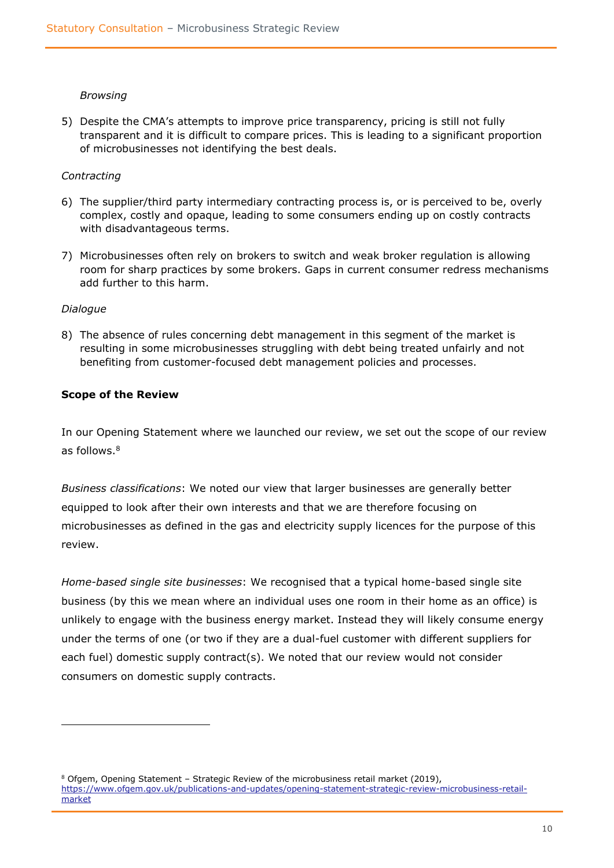#### *Browsing*

5) Despite the CMA's attempts to improve price transparency, pricing is still not fully transparent and it is difficult to compare prices. This is leading to a significant proportion of microbusinesses not identifying the best deals.

#### *Contracting*

- 6) The supplier/third party intermediary contracting process is, or is perceived to be, overly complex, costly and opaque, leading to some consumers ending up on costly contracts with disadvantageous terms.
- 7) Microbusinesses often rely on brokers to switch and weak broker regulation is allowing room for sharp practices by some brokers. Gaps in current consumer redress mechanisms add further to this harm.

#### *Dialogue*

8) The absence of rules concerning debt management in this segment of the market is resulting in some microbusinesses struggling with debt being treated unfairly and not benefiting from customer-focused debt management policies and processes.

#### **Scope of the Review**

In our Opening Statement where we launched our review, we set out the scope of our review as follows.<sup>8</sup>

*Business classifications*: We noted our view that larger businesses are generally better equipped to look after their own interests and that we are therefore focusing on microbusinesses as defined in the gas and electricity supply licences for the purpose of this review.

*Home-based single site businesses*: We recognised that a typical home-based single site business (by this we mean where an individual uses one room in their home as an office) is unlikely to engage with the business energy market. Instead they will likely consume energy under the terms of one (or two if they are a dual-fuel customer with different suppliers for each fuel) domestic supply contract(s). We noted that our review would not consider consumers on domestic supply contracts.

<sup>8</sup> Ofgem, Opening Statement – Strategic Review of the microbusiness retail market (2019), [https://www.ofgem.gov.uk/publications-and-updates/opening-statement-strategic-review-microbusiness-retail](https://www.ofgem.gov.uk/publications-and-updates/opening-statement-strategic-review-microbusiness-retail-market)[market](https://www.ofgem.gov.uk/publications-and-updates/opening-statement-strategic-review-microbusiness-retail-market)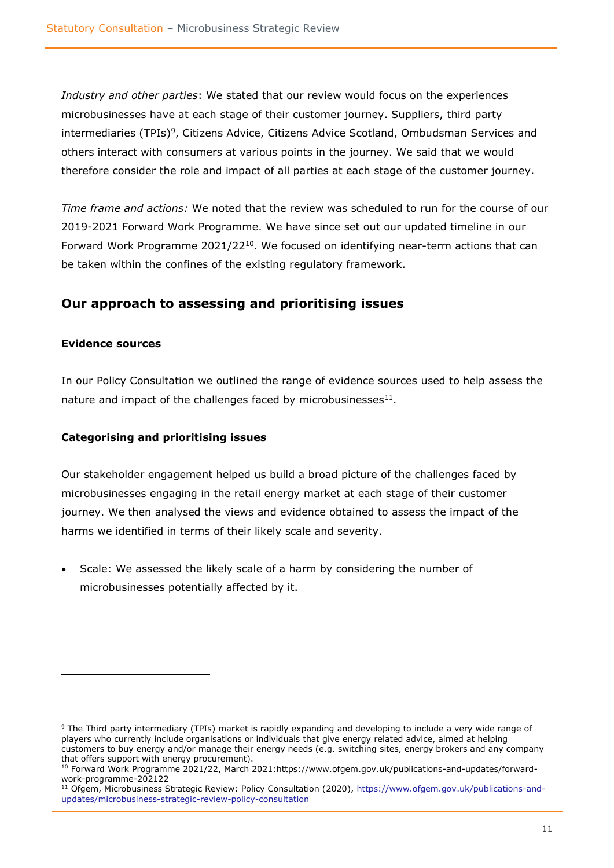*Industry and other parties*: We stated that our review would focus on the experiences microbusinesses have at each stage of their customer journey. Suppliers, third party intermediaries (TPIs)<sup>9</sup>, Citizens Advice, Citizens Advice Scotland, Ombudsman Services and others interact with consumers at various points in the journey. We said that we would therefore consider the role and impact of all parties at each stage of the customer journey.

*Time frame and actions:* We noted that the review was scheduled to run for the course of our 2019-2021 Forward Work Programme. We have since set out our updated timeline in our Forward Work Programme  $2021/22^{10}$ . We focused on identifying near-term actions that can be taken within the confines of the existing regulatory framework.

### **Our approach to assessing and prioritising issues**

#### **Evidence sources**

In our Policy Consultation we outlined the range of evidence sources used to help assess the nature and impact of the challenges faced by microbusinesses $^{11}$ .

#### **Categorising and prioritising issues**

Our stakeholder engagement helped us build a broad picture of the challenges faced by microbusinesses engaging in the retail energy market at each stage of their customer journey. We then analysed the views and evidence obtained to assess the impact of the harms we identified in terms of their likely scale and severity.

Scale: We assessed the likely scale of a harm by considering the number of microbusinesses potentially affected by it.

<sup>9</sup> The Third party intermediary (TPIs) market is rapidly expanding and developing to include a very wide range of players who currently include organisations or individuals that give energy related advice, aimed at helping customers to buy energy and/or manage their energy needs (e.g. switching sites, energy brokers and any company that offers support with energy procurement).

<sup>10</sup> Forward Work Programme 2021/22, March 2021:https://www.ofgem.gov.uk/publications-and-updates/forwardwork-programme-202122

<sup>&</sup>lt;sup>11</sup> Ofgem, Microbusiness Strategic Review: Policy Consultation (2020), [https://www.ofgem.gov.uk/publications-and](https://www.ofgem.gov.uk/publications-and-updates/microbusiness-strategic-review-policy-consultation)[updates/microbusiness-strategic-review-policy-consultation](https://www.ofgem.gov.uk/publications-and-updates/microbusiness-strategic-review-policy-consultation)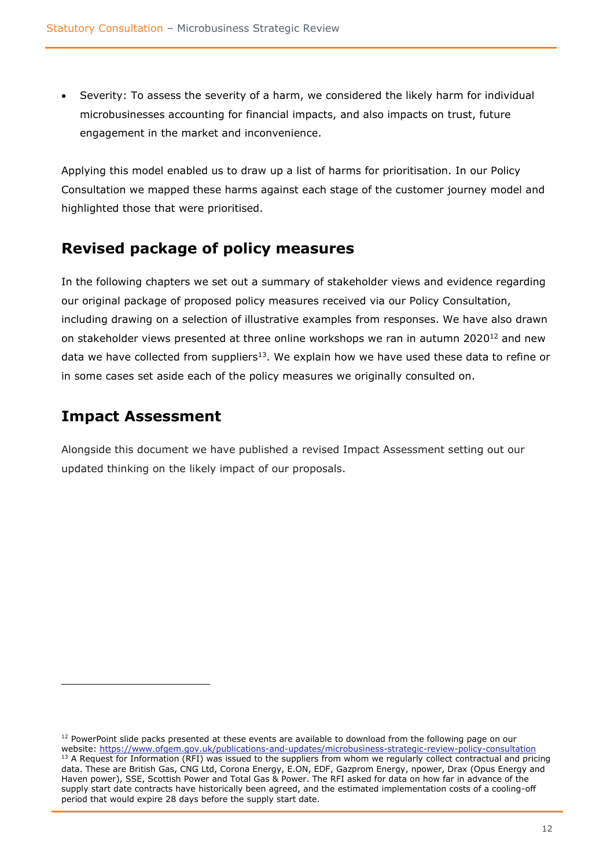Severity: To assess the severity of a harm, we considered the likely harm for individual microbusinesses accounting for financial impacts, and also impacts on trust, future engagement in the market and inconvenience.

Applying this model enabled us to draw up a list of harms for prioritisation. In our Policy Consultation we mapped these harms against each stage of the customer journey model and highlighted those that were prioritised.

### <span id="page-11-0"></span>**Revised package of policy measures**

In the following chapters we set out a summary of stakeholder views and evidence regarding our original package of proposed policy measures received via our Policy Consultation, including drawing on a selection of illustrative examples from responses. We have also drawn on stakeholder views presented at three online workshops we ran in autumn 2020<sup>12</sup> and new data we have collected from suppliers<sup>13</sup>. We explain how we have used these data to refine or in some cases set aside each of the policy measures we originally consulted on.

### <span id="page-11-1"></span>**Impact Assessment**

Alongside this document we have published a revised Impact Assessment setting out our updated thinking on the likely impact of our proposals.

<sup>&</sup>lt;sup>12</sup> PowerPoint slide packs presented at these events are available to download from the following page on our website:<https://www.ofgem.gov.uk/publications-and-updates/microbusiness-strategic-review-policy-consultation> <sup>13</sup> A Request for Information (RFI) was issued to the suppliers from whom we regularly collect contractual and pricing data. These are British Gas, CNG Ltd, Corona Energy, E.ON, EDF, Gazprom Energy, npower, Drax (Opus Energy and Haven power), SSE, Scottish Power and Total Gas & Power. The RFI asked for data on how far in advance of the supply start date contracts have historically been agreed, and the estimated implementation costs of a cooling-off period that would expire 28 days before the supply start date.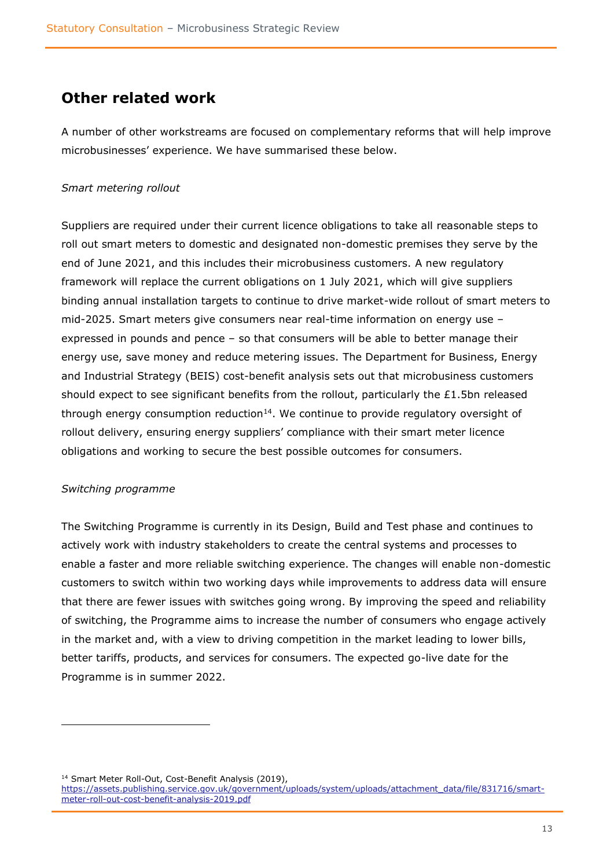### <span id="page-12-0"></span>**Other related work**

A number of other workstreams are focused on complementary reforms that will help improve microbusinesses' experience. We have summarised these below.

#### *Smart metering rollout*

Suppliers are required under their current licence obligations to take all reasonable steps to roll out smart meters to domestic and designated non-domestic premises they serve by the end of June 2021, and this includes their microbusiness customers. A new regulatory framework will replace the current obligations on 1 July 2021, which will give suppliers binding annual installation targets to continue to drive market-wide rollout of smart meters to mid-2025. Smart meters give consumers near real-time information on energy use – expressed in pounds and pence – so that consumers will be able to better manage their energy use, save money and reduce metering issues. The Department for Business, Energy and Industrial Strategy (BEIS) cost-benefit analysis sets out that microbusiness customers should expect to see significant benefits from the rollout, particularly the £1.5bn released through energy consumption reduction $14$ . We continue to provide regulatory oversight of rollout delivery, ensuring energy suppliers' compliance with their smart meter licence obligations and working to secure the best possible outcomes for consumers.

#### *Switching programme*

The Switching Programme is currently in its Design, Build and Test phase and continues to actively work with industry stakeholders to create the central systems and processes to enable a faster and more reliable switching experience. The changes will enable non-domestic customers to switch within two working days while improvements to address data will ensure that there are fewer issues with switches going wrong. By improving the speed and reliability of switching, the Programme aims to increase the number of consumers who engage actively in the market and, with a view to driving competition in the market leading to lower bills, better tariffs, products, and services for consumers. The expected go-live date for the Programme is in summer 2022.

<sup>14</sup> Smart Meter Roll-Out, Cost-Benefit Analysis (2019),

[https://assets.publishing.service.gov.uk/government/uploads/system/uploads/attachment\\_data/file/831716/smart](https://assets.publishing.service.gov.uk/government/uploads/system/uploads/attachment_data/file/831716/smart-meter-roll-out-cost-benefit-analysis-2019.pdf)[meter-roll-out-cost-benefit-analysis-2019.pdf](https://assets.publishing.service.gov.uk/government/uploads/system/uploads/attachment_data/file/831716/smart-meter-roll-out-cost-benefit-analysis-2019.pdf)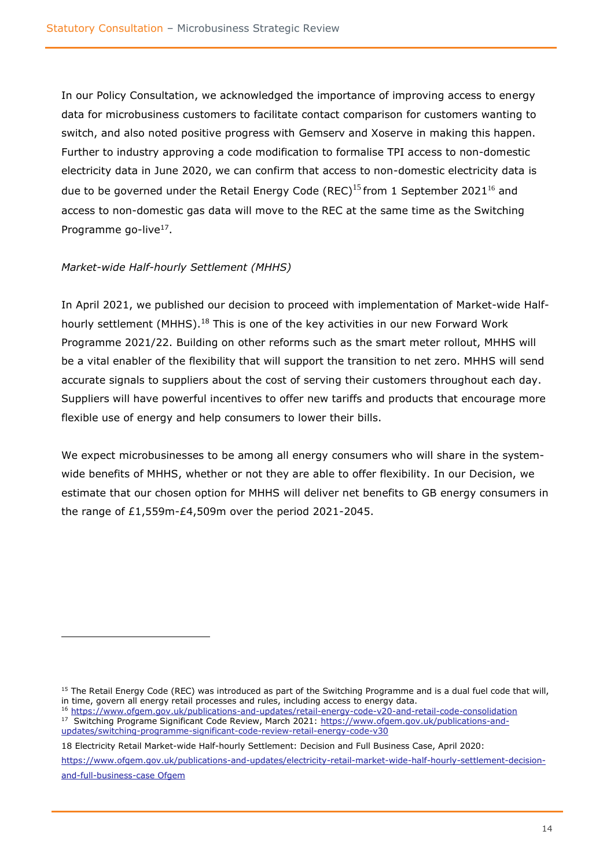In our Policy Consultation, we acknowledged the importance of improving access to energy data for microbusiness customers to facilitate contact comparison for customers wanting to switch, and also noted positive progress with Gemserv and Xoserve in making this happen. Further to industry approving a code modification to formalise TPI access to non-domestic electricity data in June 2020, we can confirm that access to non-domestic electricity data is due to be governed under the Retail Energy Code (REC)<sup>15</sup> from 1 September 2021<sup>16</sup> and access to non-domestic gas data will move to the REC at the same time as the Switching Programme go-live<sup>17</sup>.

#### *Market-wide Half-hourly Settlement (MHHS)*

In April 2021, we published our decision to proceed with implementation of Market-wide Halfhourly settlement (MHHS).<sup>18</sup> This is one of the key activities in our new Forward Work Programme 2021/22. Building on other reforms such as the smart meter rollout, MHHS will be a vital enabler of the flexibility that will support the transition to net zero. MHHS will send accurate signals to suppliers about the cost of serving their customers throughout each day. Suppliers will have powerful incentives to offer new tariffs and products that encourage more flexible use of energy and help consumers to lower their bills.

We expect microbusinesses to be among all energy consumers who will share in the systemwide benefits of MHHS, whether or not they are able to offer flexibility. In our Decision, we estimate that our chosen option for MHHS will deliver net benefits to GB energy consumers in the range of £1,559m-£4,509m over the period 2021-2045.

<sup>16</sup> <https://www.ofgem.gov.uk/publications-and-updates/retail-energy-code-v20-and-retail-code-consolidation> <sup>17</sup> [Switching Programe Significant Code Review, March 2021: https://www.ofgem.gov.uk/publications-and](Switching%20Programe%20Significant%20Code%20Review,%20March%202021:%20https:/www.ofgem.gov.uk/publications-and-updates/switching-programme-significant-code-review-retail-energy-code-v30)[updates/switching-programme-significant-code-review-retail-energy-code-v30](Switching%20Programe%20Significant%20Code%20Review,%20March%202021:%20https:/www.ofgem.gov.uk/publications-and-updates/switching-programme-significant-code-review-retail-energy-code-v30) 

18 Electricity Retail Market-wide Half-hourly Settlement: Decision and Full Business Case, April 2020[:](https://www.ofgem.gov.uk/publications-and-updates/electricity-retail-market-wide-half-hourly-settlement-decision-and-full-business-case%20Ofgem) 

[https://www.ofgem.gov.uk/publications-and-updates/electricity-retail-market-wide-half-hourly-settlement-decision](https://www.ofgem.gov.uk/publications-and-updates/electricity-retail-market-wide-half-hourly-settlement-decision-and-full-business-case%20Ofgem)[and-full-business-case Ofgem](https://www.ofgem.gov.uk/publications-and-updates/electricity-retail-market-wide-half-hourly-settlement-decision-and-full-business-case%20Ofgem)

<sup>&</sup>lt;sup>15</sup> The Retail Energy Code (REC) was introduced as part of the Switching Programme and is a dual fuel code that will, in time, govern all energy retail processes and rules, including access to energy data.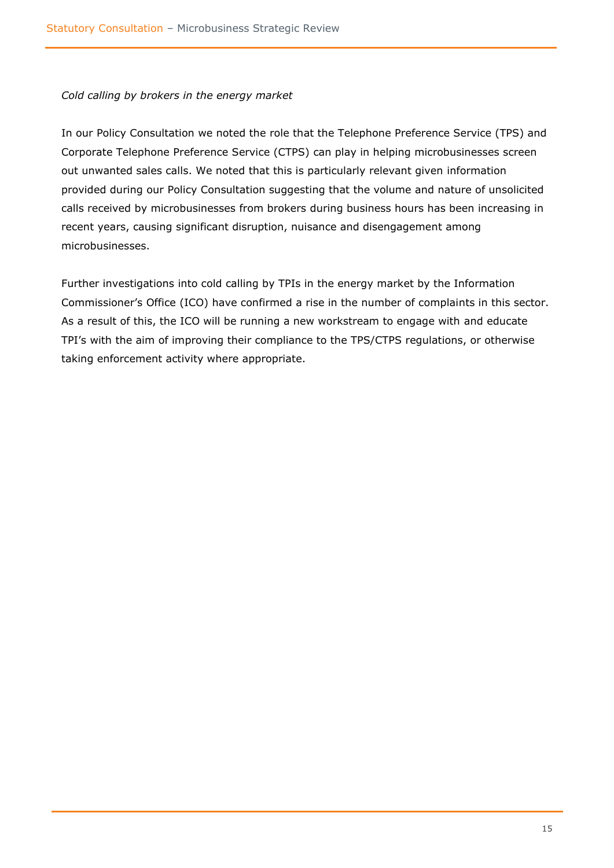#### *Cold calling by brokers in the energy market*

In our Policy Consultation we noted the role that the Telephone Preference Service (TPS) and Corporate Telephone Preference Service (CTPS) can play in helping microbusinesses screen out unwanted sales calls. We noted that this is particularly relevant given information provided during our Policy Consultation suggesting that the volume and nature of unsolicited calls received by microbusinesses from brokers during business hours has been increasing in recent years, causing significant disruption, nuisance and disengagement among microbusinesses.

Further investigations into cold calling by TPIs in the energy market by the Information Commissioner's Office (ICO) have confirmed a rise in the number of complaints in this sector. As a result of this, the ICO will be running a new workstream to engage with and educate TPI's with the aim of improving their compliance to the TPS/CTPS regulations, or otherwise taking enforcement activity where appropriate.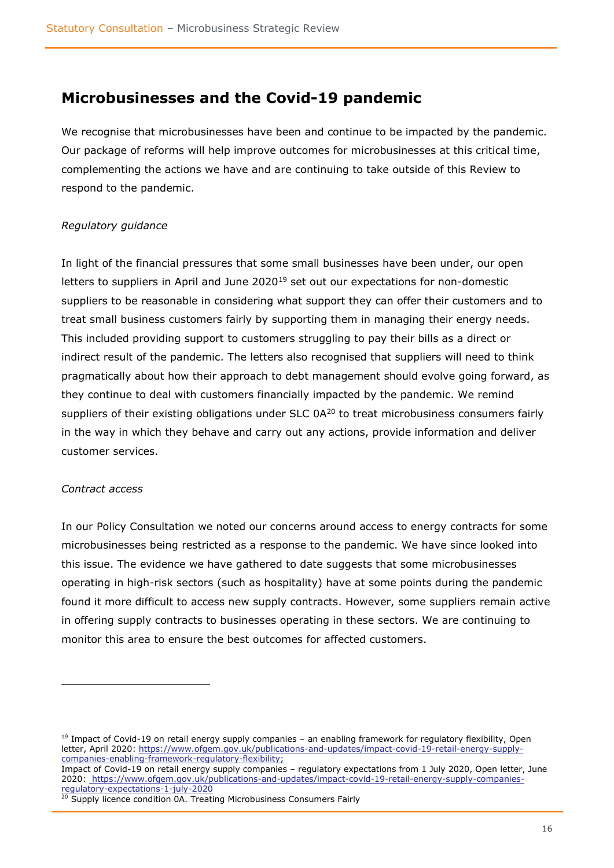### <span id="page-15-0"></span>**Microbusinesses and the Covid-19 pandemic**

We recognise that microbusinesses have been and continue to be impacted by the pandemic. Our package of reforms will help improve outcomes for microbusinesses at this critical time, complementing the actions we have and are continuing to take outside of this Review to respond to the pandemic.

#### *Regulatory guidance*

In light of the financial pressures that some small businesses have been under, our open letters to suppliers in April and June  $2020^{19}$  set out our expectations for non-domestic suppliers to be reasonable in considering what support they can offer their customers and to treat small business customers fairly by supporting them in managing their energy needs. This included providing support to customers struggling to pay their bills as a direct or indirect result of the pandemic. The letters also recognised that suppliers will need to think pragmatically about how their approach to debt management should evolve going forward, as they continue to deal with customers financially impacted by the pandemic. We remind suppliers of their existing obligations under SLC 0A<sup>20</sup> to treat microbusiness consumers fairly in the way in which they behave and carry out any actions, provide information and deliver customer services.

#### *Contract access*

In our Policy Consultation we noted our concerns around access to energy contracts for some microbusinesses being restricted as a response to the pandemic. We have since looked into this issue. The evidence we have gathered to date suggests that some microbusinesses operating in high-risk sectors (such as hospitality) have at some points during the pandemic found it more difficult to access new supply contracts. However, some suppliers remain active in offering supply contracts to businesses operating in these sectors. We are continuing to monitor this area to ensure the best outcomes for affected customers.

Impact of Covid-19 on retail energy supply companies – regulatory expectations from 1 July 2020, Open letter, June 2020: [https://www.ofgem.gov.uk/publications-and-updates/impact-covid-19-retail-energy-supply-companies](https://www.ofgem.gov.uk/publications-and-updates/impact-covid-19-retail-energy-supply-companies-regulatory-expectations-1-july-2020)[regulatory-expectations-1-july-2020](https://www.ofgem.gov.uk/publications-and-updates/impact-covid-19-retail-energy-supply-companies-regulatory-expectations-1-july-2020)

 $19$  Impact of Covid-19 on retail energy supply companies – an enabling framework for regulatory flexibility, Open letter, April 2020: [https://www.ofgem.gov.uk/publications-and-updates/impact-covid-19-retail-energy-supply](https://www.ofgem.gov.uk/publications-and-updates/impact-covid-19-retail-energy-supply-companies-enabling-framework-regulatory-flexibility)[companies-enabling-framework-regulatory-flexibility;](https://www.ofgem.gov.uk/publications-and-updates/impact-covid-19-retail-energy-supply-companies-enabling-framework-regulatory-flexibility)

<sup>&</sup>lt;sup>20</sup> Supply licence condition 0A. Treating Microbusiness Consumers Fairly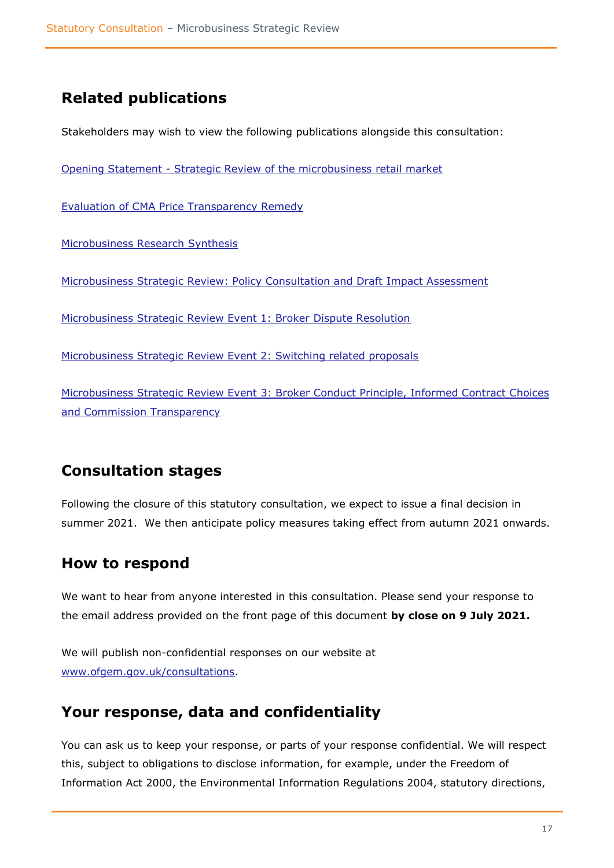## <span id="page-16-0"></span>**Related publications**

Stakeholders may wish to view the following publications alongside this consultation:

Opening Statement - [Strategic Review of the microbusiness retail market](https://www.ofgem.gov.uk/system/files/docs/2019/05/opening_statement.pdf)

[Evaluation of CMA Price Transparency Remedy](https://www.ofgem.gov.uk/system/files/docs/2019/05/evaluation_of_price_transparency_remedy_-_final_report.pdf)

Microbusiness Research Synthesis

[Microbusiness Strategic Review: Policy Consultation and Draft Impact](https://www.ofgem.gov.uk/publications-and-updates/microbusiness-strategic-review-policy-consultation) Assessment

[Microbusiness Strategic Review Event 1: Broker Dispute Resolution](https://www.ofgem.gov.uk/system/files/docs/2020/10/mbsr_event1_brokeradr_0.pdf)

[Microbusiness Strategic Review Event 2: Switching related proposals](https://www.ofgem.gov.uk/system/files/docs/2020/10/mbsr_event2_switching_0.pdf)

Microbusiness Strategic Review Event [3: Broker Conduct Principle, Informed Contract Choices](https://www.ofgem.gov.uk/system/files/docs/2020/10/mbsr_event_3_bcp_commission_transparency_and_informed_choices_0.pdf)  [and Commission Transparency](https://www.ofgem.gov.uk/system/files/docs/2020/10/mbsr_event_3_bcp_commission_transparency_and_informed_choices_0.pdf)

### <span id="page-16-1"></span>**Consultation stages**

Following the closure of this statutory consultation, we expect to issue a final decision in summer 2021. We then anticipate policy measures taking effect from autumn 2021 onwards.

### <span id="page-16-2"></span>**How to respond**

We want to hear from anyone interested in this consultation. Please send your response to the email address provided on the front page of this document **by close on 9 July 2021.**

We will publish non-confidential responses on our website at [www.ofgem.gov.uk/consultations.](http://www.ofgem.gov.uk/consultations)

### <span id="page-16-3"></span>**Your response, data and confidentiality**

You can ask us to keep your response, or parts of your response confidential. We will respect this, subject to obligations to disclose information, for example, under the Freedom of Information Act 2000, the Environmental Information Regulations 2004, statutory directions,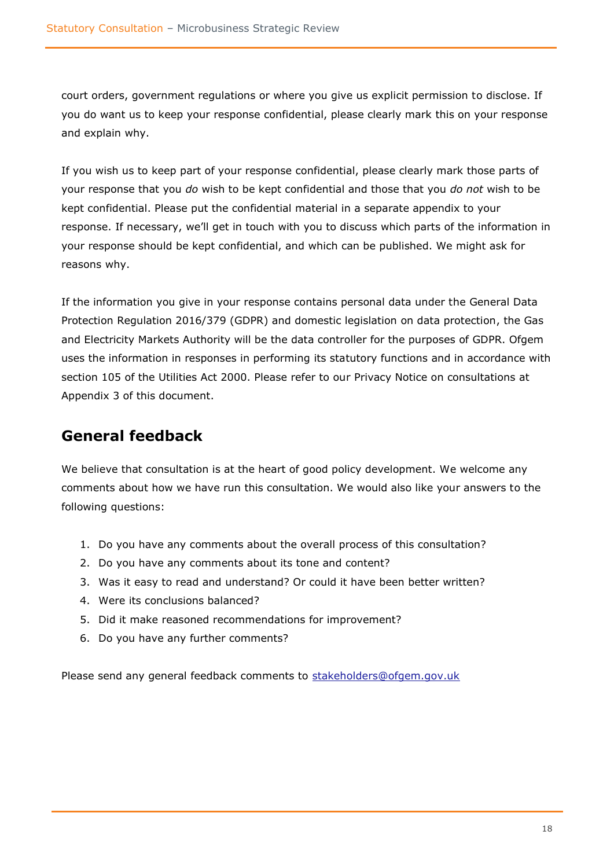court orders, government regulations or where you give us explicit permission to disclose. If you do want us to keep your response confidential, please clearly mark this on your response and explain why.

If you wish us to keep part of your response confidential, please clearly mark those parts of your response that you *do* wish to be kept confidential and those that you *do not* wish to be kept confidential. Please put the confidential material in a separate appendix to your response. If necessary, we'll get in touch with you to discuss which parts of the information in your response should be kept confidential, and which can be published. We might ask for reasons why.

If the information you give in your response contains personal data under the General Data Protection Regulation 2016/379 (GDPR) and domestic legislation on data protection, the Gas and Electricity Markets Authority will be the data controller for the purposes of GDPR. Ofgem uses the information in responses in performing its statutory functions and in accordance with section 105 of the Utilities Act 2000. Please refer to our Privacy Notice on consultations at Appendix 3 of this document.

# <span id="page-17-0"></span>**General feedback**

We believe that consultation is at the heart of good policy development. We welcome any comments about how we have run this consultation. We would also like your answers to the following questions:

- 1. Do you have any comments about the overall process of this consultation?
- 2. Do you have any comments about its tone and content?
- 3. Was it easy to read and understand? Or could it have been better written?
- 4. Were its conclusions balanced?
- 5. Did it make reasoned recommendations for improvement?
- 6. Do you have any further comments?

Please send any general feedback comments to [stakeholders@ofgem.gov.uk](mailto:stakeholders@ofgem.gov.uk)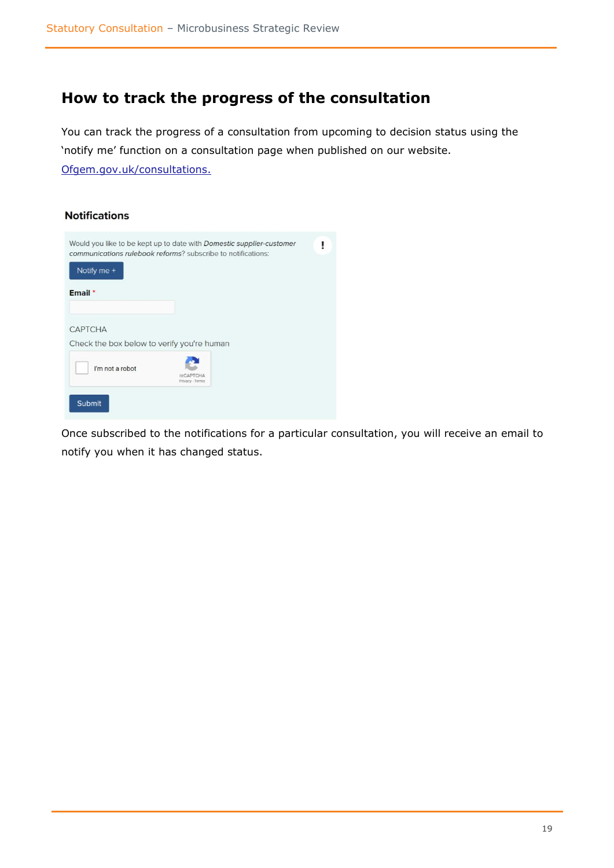### <span id="page-18-0"></span>**How to track the progress of the consultation**

You can track the progress of a consultation from upcoming to decision status using the 'notify me' function on a consultation page when published on our website. [Ofgem.gov.uk/consultations.](http://www.ofgem.gov.uk/consultations)

#### **Notifications**

| Notify me +                                                  | Would you like to be kept up to date with Domestic supplier-customer<br>communications rulebook reforms? subscribe to notifications: |  |
|--------------------------------------------------------------|--------------------------------------------------------------------------------------------------------------------------------------|--|
| Email *                                                      |                                                                                                                                      |  |
| <b>CAPTCHA</b><br>Check the box below to verify you're human |                                                                                                                                      |  |
| I'm not a robot                                              | reCAPTCHA<br>Privacy - Terms                                                                                                         |  |
| <b>Submit</b>                                                |                                                                                                                                      |  |

Once subscribed to the notifications for a particular consultation, you will receive an email to notify you when it has changed status.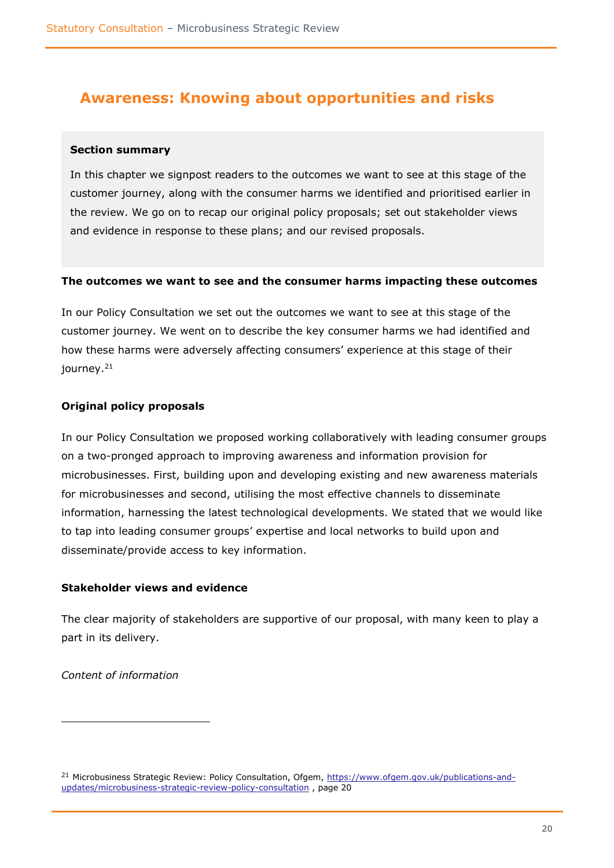### <span id="page-19-0"></span>**Awareness: Knowing about opportunities and risks**

#### <span id="page-19-1"></span>**Section summary**

In this chapter we signpost readers to the outcomes we want to see at this stage of the customer journey, along with the consumer harms we identified and prioritised earlier in the review. We go on to recap our original policy proposals; set out stakeholder views and evidence in response to these plans; and our revised proposals.

#### <span id="page-19-2"></span>**The outcomes we want to see and the consumer harms impacting these outcomes**

In our Policy Consultation we set out the outcomes we want to see at this stage of the customer journey. We went on to describe the key consumer harms we had identified and how these harms were adversely affecting consumers' experience at this stage of their journey.<sup>21</sup>

#### <span id="page-19-3"></span>**Original policy proposals**

In our Policy Consultation we proposed working collaboratively with leading consumer groups on a two-pronged approach to improving awareness and information provision for microbusinesses. First, building upon and developing existing and new awareness materials for microbusinesses and second, utilising the most effective channels to disseminate information, harnessing the latest technological developments. We stated that we would like to tap into leading consumer groups' expertise and local networks to build upon and disseminate/provide access to key information.

#### <span id="page-19-4"></span>**Stakeholder views and evidence**

The clear majority of stakeholders are supportive of our proposal, with many keen to play a part in its delivery.

*Content of information*

<sup>&</sup>lt;sup>21</sup> Microbusiness Strategic Review: Policy Consultation, Ofgem, [https://www.ofgem.gov.uk/publications-and](https://www.ofgem.gov.uk/publications-and-updates/microbusiness-strategic-review-policy-consultation)[updates/microbusiness-strategic-review-policy-consultation](https://www.ofgem.gov.uk/publications-and-updates/microbusiness-strategic-review-policy-consultation) , page 20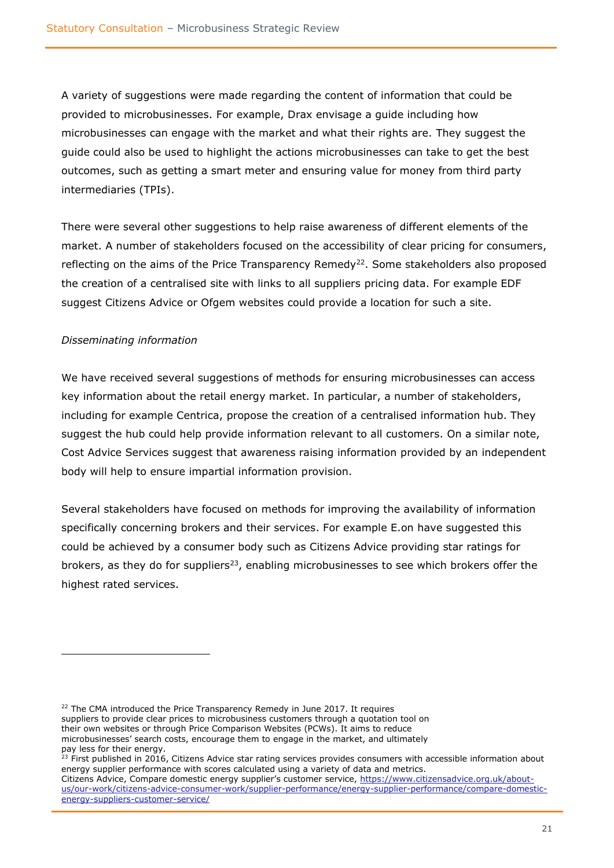A variety of suggestions were made regarding the content of information that could be provided to microbusinesses. For example, Drax envisage a guide including how microbusinesses can engage with the market and what their rights are. They suggest the guide could also be used to highlight the actions microbusinesses can take to get the best outcomes, such as getting a smart meter and ensuring value for money from third party intermediaries (TPIs).

There were several other suggestions to help raise awareness of different elements of the market. A number of stakeholders focused on the accessibility of clear pricing for consumers, reflecting on the aims of the Price Transparency Remedy<sup>22</sup>. Some stakeholders also proposed the creation of a centralised site with links to all suppliers pricing data. For example EDF suggest Citizens Advice or Ofgem websites could provide a location for such a site.

#### *Disseminating information*

We have received several suggestions of methods for ensuring microbusinesses can access key information about the retail energy market. In particular, a number of stakeholders, including for example Centrica, propose the creation of a centralised information hub. They suggest the hub could help provide information relevant to all customers. On a similar note, Cost Advice Services suggest that awareness raising information provided by an independent body will help to ensure impartial information provision.

Several stakeholders have focused on methods for improving the availability of information specifically concerning brokers and their services. For example E.on have suggested this could be achieved by a consumer body such as Citizens Advice providing star ratings for brokers, as they do for suppliers<sup>23</sup>, enabling microbusinesses to see which brokers offer the highest rated services.

<sup>22</sup> The CMA introduced the Price Transparency Remedy in June 2017. It requires suppliers to provide clear prices to microbusiness customers through a quotation tool on their own websites or through Price Comparison Websites (PCWs). It aims to reduce microbusinesses' search costs, encourage them to engage in the market, and ultimately pay less for their energy.

 $^{23}$  First published in 2016, Citizens Advice star rating services provides consumers with accessible information about energy supplier performance with scores calculated using a variety of data and metrics.

Citizens Advice, Compare domestic energy supplier's customer service, [https://www.citizensadvice.org.uk/about](https://www.citizensadvice.org.uk/about-us/our-work/citizens-advice-consumer-work/supplier-performance/energy-supplier-performance/compare-domestic-energy-suppliers-customer-service/)[us/our-work/citizens-advice-consumer-work/supplier-performance/energy-supplier-performance/compare-domestic](https://www.citizensadvice.org.uk/about-us/our-work/citizens-advice-consumer-work/supplier-performance/energy-supplier-performance/compare-domestic-energy-suppliers-customer-service/)[energy-suppliers-customer-service/](https://www.citizensadvice.org.uk/about-us/our-work/citizens-advice-consumer-work/supplier-performance/energy-supplier-performance/compare-domestic-energy-suppliers-customer-service/)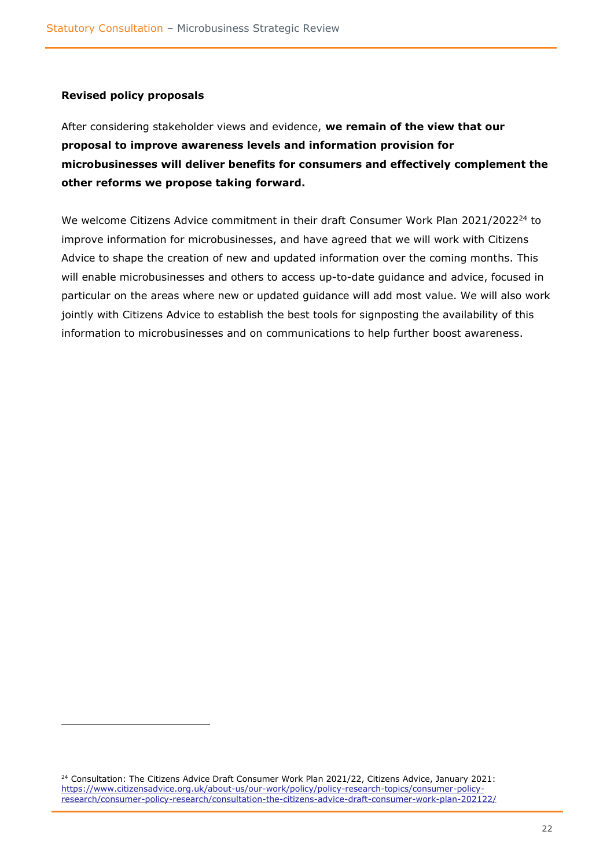#### <span id="page-21-0"></span>**Revised policy proposals**

After considering stakeholder views and evidence, **we remain of the view that our proposal to improve awareness levels and information provision for microbusinesses will deliver benefits for consumers and effectively complement the other reforms we propose taking forward.** 

We welcome Citizens Advice commitment in their draft Consumer Work Plan 2021/2022<sup>24</sup> to improve information for microbusinesses, and have agreed that we will work with Citizens Advice to shape the creation of new and updated information over the coming months. This will enable microbusinesses and others to access up-to-date guidance and advice, focused in particular on the areas where new or updated guidance will add most value. We will also work jointly with Citizens Advice to establish the best tools for signposting the availability of this information to microbusinesses and on communications to help further boost awareness.

<sup>&</sup>lt;sup>24</sup> Consultation: The Citizens Advice Draft Consumer Work Plan 2021/22, Citizens Advice, January 2021: [https://www.citizensadvice.org.uk/about-us/our-work/policy/policy-research-topics/consumer-policy](https://www.citizensadvice.org.uk/about-us/our-work/policy/policy-research-topics/consumer-policy-research/consumer-policy-research/consultation-the-citizens-advice-draft-consumer-work-plan-202122/)[research/consumer-policy-research/consultation-the-citizens-advice-draft-consumer-work-plan-202122/](https://www.citizensadvice.org.uk/about-us/our-work/policy/policy-research-topics/consumer-policy-research/consumer-policy-research/consultation-the-citizens-advice-draft-consumer-work-plan-202122/)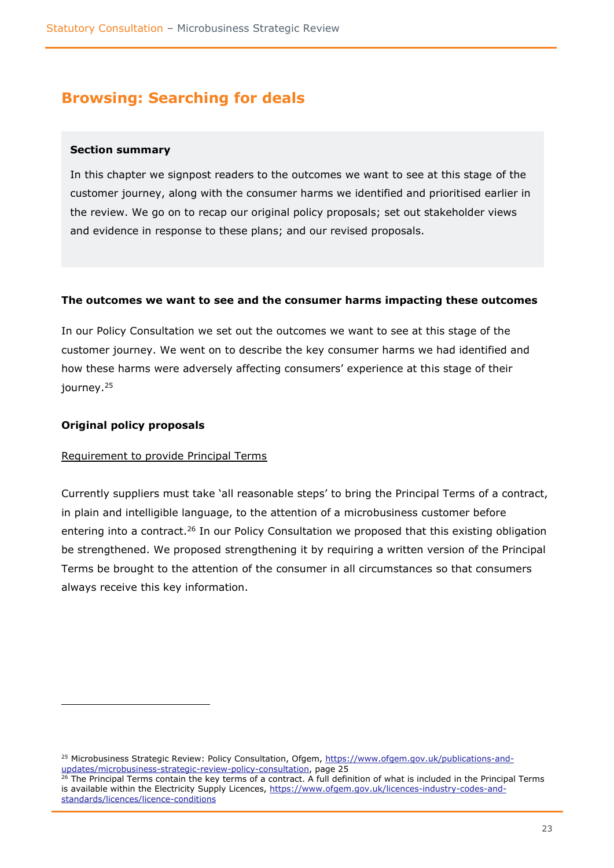# <span id="page-22-0"></span>**Browsing: Searching for deals**

#### <span id="page-22-1"></span>**Section summary**

In this chapter we signpost readers to the outcomes we want to see at this stage of the customer journey, along with the consumer harms we identified and prioritised earlier in the review. We go on to recap our original policy proposals; set out stakeholder views and evidence in response to these plans; and our revised proposals.

#### <span id="page-22-2"></span>**The outcomes we want to see and the consumer harms impacting these outcomes**

In our Policy Consultation we set out the outcomes we want to see at this stage of the customer journey. We went on to describe the key consumer harms we had identified and how these harms were adversely affecting consumers' experience at this stage of their journey.<sup>25</sup>

#### <span id="page-22-3"></span>**Original policy proposals**

#### Requirement to provide Principal Terms

Currently suppliers must take 'all reasonable steps' to bring the Principal Terms of a contract, in plain and intelligible language, to the attention of a microbusiness customer before entering into a contract.<sup>26</sup> In our Policy Consultation we proposed that this existing obligation be strengthened. We proposed strengthening it by requiring a written version of the Principal Terms be brought to the attention of the consumer in all circumstances so that consumers always receive this key information.

<sup>&</sup>lt;sup>25</sup> Microbusiness Strategic Review: Policy Consultation, Ofgem, [https://www.ofgem.gov.uk/publications-and](https://www.ofgem.gov.uk/publications-and-updates/microbusiness-strategic-review-policy-consultation)[updates/microbusiness-strategic-review-policy-consultation,](https://www.ofgem.gov.uk/publications-and-updates/microbusiness-strategic-review-policy-consultation) page 25

<sup>&</sup>lt;sup>26</sup> The Principal Terms contain the key terms of a contract. A full definition of what is included in the Principal Terms is available within the Electricity Supply Licences, [https://www.ofgem.gov.uk/licences-industry-codes-and](https://www.ofgem.gov.uk/licences-industry-codes-and-standards/licences/licence-conditions)[standards/licences/licence-conditions](https://www.ofgem.gov.uk/licences-industry-codes-and-standards/licences/licence-conditions)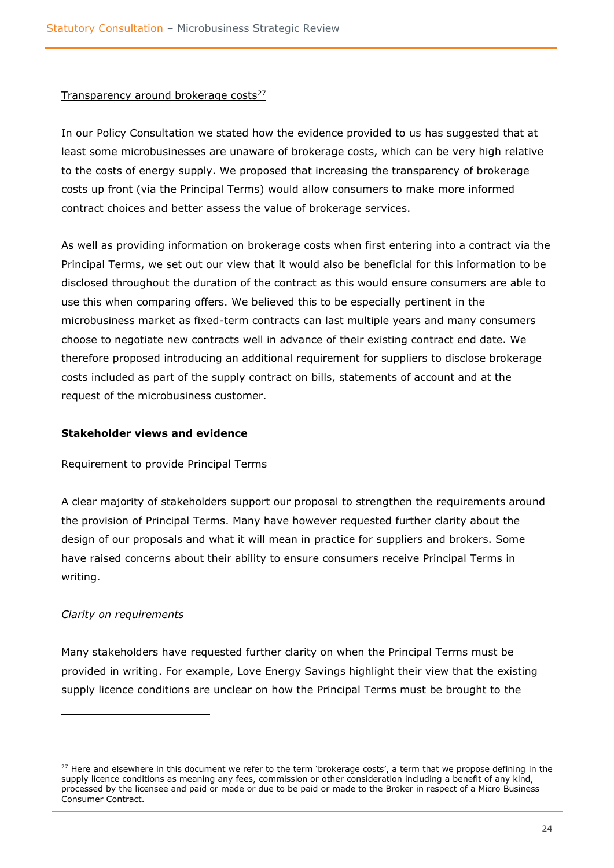#### Transparency around brokerage costs<sup>27</sup>

In our Policy Consultation we stated how the evidence provided to us has suggested that at least some microbusinesses are unaware of brokerage costs, which can be very high relative to the costs of energy supply. We proposed that increasing the transparency of brokerage costs up front (via the Principal Terms) would allow consumers to make more informed contract choices and better assess the value of brokerage services.

As well as providing information on brokerage costs when first entering into a contract via the Principal Terms, we set out our view that it would also be beneficial for this information to be disclosed throughout the duration of the contract as this would ensure consumers are able to use this when comparing offers. We believed this to be especially pertinent in the microbusiness market as fixed-term contracts can last multiple years and many consumers choose to negotiate new contracts well in advance of their existing contract end date. We therefore proposed introducing an additional requirement for suppliers to disclose brokerage costs included as part of the supply contract on bills, statements of account and at the request of the microbusiness customer.

#### <span id="page-23-0"></span>**Stakeholder views and evidence**

#### Requirement to provide Principal Terms

A clear majority of stakeholders support our proposal to strengthen the requirements around the provision of Principal Terms. Many have however requested further clarity about the design of our proposals and what it will mean in practice for suppliers and brokers. Some have raised concerns about their ability to ensure consumers receive Principal Terms in writing.

#### *Clarity on requirements*

Many stakeholders have requested further clarity on when the Principal Terms must be provided in writing. For example, Love Energy Savings highlight their view that the existing supply licence conditions are unclear on how the Principal Terms must be brought to the

 $27$  Here and elsewhere in this document we refer to the term 'brokerage costs', a term that we propose defining in the supply licence conditions as meaning any fees, commission or other consideration including a benefit of any kind, processed by the licensee and paid or made or due to be paid or made to the Broker in respect of a Micro Business Consumer Contract.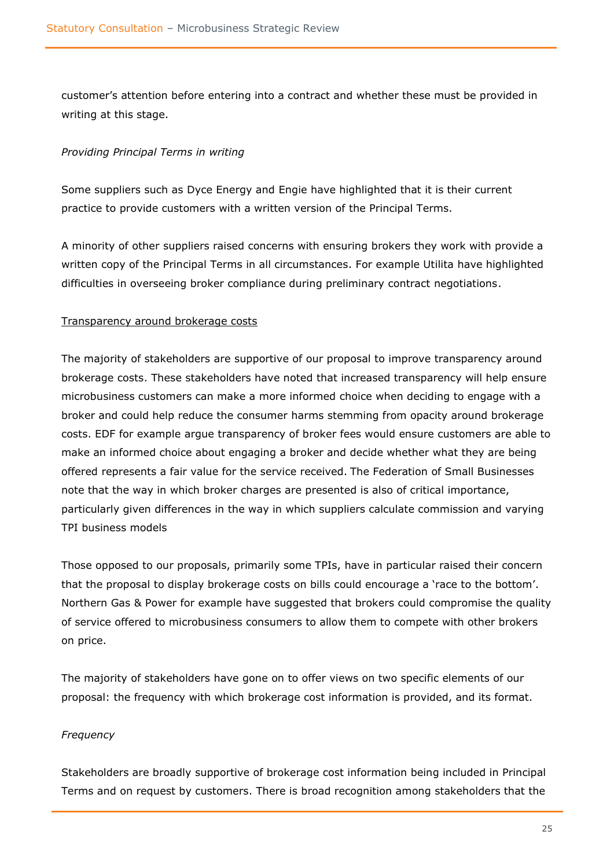customer's attention before entering into a contract and whether these must be provided in writing at this stage.

#### *Providing Principal Terms in writing*

Some suppliers such as Dyce Energy and Engie have highlighted that it is their current practice to provide customers with a written version of the Principal Terms.

A minority of other suppliers raised concerns with ensuring brokers they work with provide a written copy of the Principal Terms in all circumstances. For example Utilita have highlighted difficulties in overseeing broker compliance during preliminary contract negotiations.

#### Transparency around brokerage costs

The majority of stakeholders are supportive of our proposal to improve transparency around brokerage costs. These stakeholders have noted that increased transparency will help ensure microbusiness customers can make a more informed choice when deciding to engage with a broker and could help reduce the consumer harms stemming from opacity around brokerage costs. EDF for example argue transparency of broker fees would ensure customers are able to make an informed choice about engaging a broker and decide whether what they are being offered represents a fair value for the service received. The Federation of Small Businesses note that the way in which broker charges are presented is also of critical importance, particularly given differences in the way in which suppliers calculate commission and varying TPI business models

Those opposed to our proposals, primarily some TPIs, have in particular raised their concern that the proposal to display brokerage costs on bills could encourage a 'race to the bottom'. Northern Gas & Power for example have suggested that brokers could compromise the quality of service offered to microbusiness consumers to allow them to compete with other brokers on price.

The majority of stakeholders have gone on to offer views on two specific elements of our proposal: the frequency with which brokerage cost information is provided, and its format.

#### *Frequency*

Stakeholders are broadly supportive of brokerage cost information being included in Principal Terms and on request by customers. There is broad recognition among stakeholders that the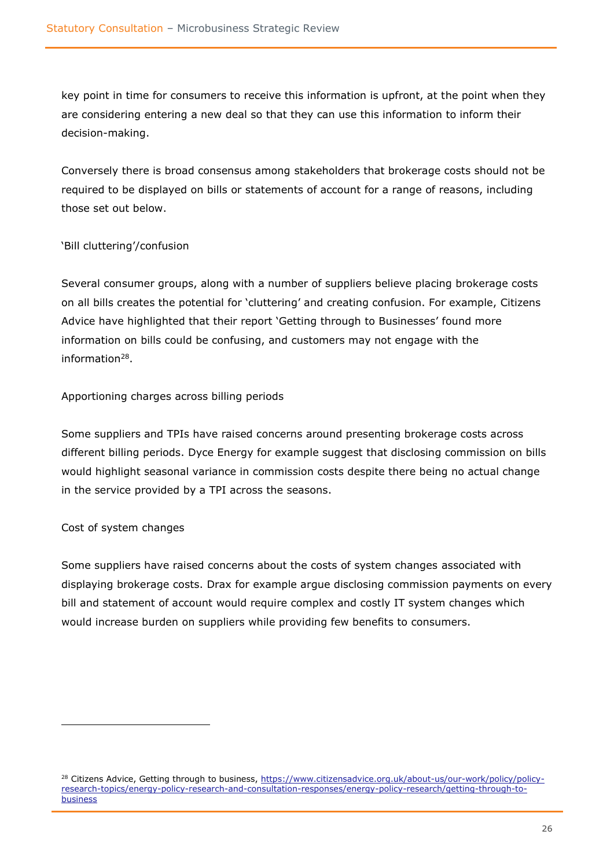key point in time for consumers to receive this information is upfront, at the point when they are considering entering a new deal so that they can use this information to inform their decision-making.

Conversely there is broad consensus among stakeholders that brokerage costs should not be required to be displayed on bills or statements of account for a range of reasons, including those set out below.

#### 'Bill cluttering'/confusion

Several consumer groups, along with a number of suppliers believe placing brokerage costs on all bills creates the potential for 'cluttering' and creating confusion. For example, Citizens Advice have highlighted that their report 'Getting through to Businesses' found more information on bills could be confusing, and customers may not engage with the information<sup>28</sup>.

Apportioning charges across billing periods

Some suppliers and TPIs have raised concerns around presenting brokerage costs across different billing periods. Dyce Energy for example suggest that disclosing commission on bills would highlight seasonal variance in commission costs despite there being no actual change in the service provided by a TPI across the seasons.

#### Cost of system changes

Some suppliers have raised concerns about the costs of system changes associated with displaying brokerage costs. Drax for example argue disclosing commission payments on every bill and statement of account would require complex and costly IT system changes which would increase burden on suppliers while providing few benefits to consumers.

<sup>&</sup>lt;sup>28</sup> Citizens Advice, Getting through to business[, https://www.citizensadvice.org.uk/about-us/our-work/policy/policy](https://www.citizensadvice.org.uk/about-us/our-work/policy/policy-research-topics/energy-policy-research-and-consultation-responses/energy-policy-research/getting-through-to-business)[research-topics/energy-policy-research-and-consultation-responses/energy-policy-research/getting-through-to](https://www.citizensadvice.org.uk/about-us/our-work/policy/policy-research-topics/energy-policy-research-and-consultation-responses/energy-policy-research/getting-through-to-business)[business](https://www.citizensadvice.org.uk/about-us/our-work/policy/policy-research-topics/energy-policy-research-and-consultation-responses/energy-policy-research/getting-through-to-business)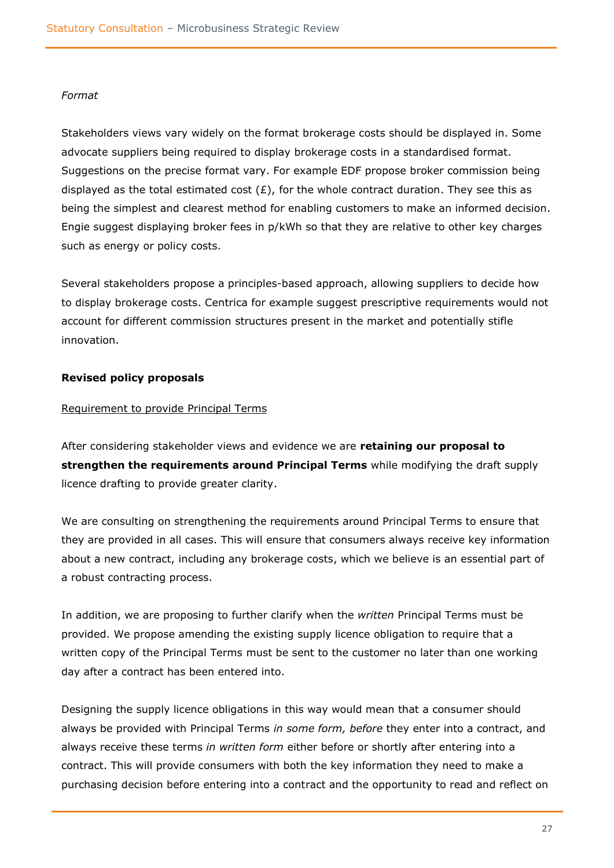#### *Format*

Stakeholders views vary widely on the format brokerage costs should be displayed in. Some advocate suppliers being required to display brokerage costs in a standardised format. Suggestions on the precise format vary. For example EDF propose broker commission being displayed as the total estimated cost  $(E)$ , for the whole contract duration. They see this as being the simplest and clearest method for enabling customers to make an informed decision. Engie suggest displaying broker fees in p/kWh so that they are relative to other key charges such as energy or policy costs.

Several stakeholders propose a principles-based approach, allowing suppliers to decide how to display brokerage costs. Centrica for example suggest prescriptive requirements would not account for different commission structures present in the market and potentially stifle innovation.

#### <span id="page-26-0"></span>**Revised policy proposals**

#### Requirement to provide Principal Terms

After considering stakeholder views and evidence we are **retaining our proposal to strengthen the requirements around Principal Terms** while modifying the draft supply licence drafting to provide greater clarity.

We are consulting on strengthening the requirements around Principal Terms to ensure that they are provided in all cases. This will ensure that consumers always receive key information about a new contract, including any brokerage costs, which we believe is an essential part of a robust contracting process.

In addition, we are proposing to further clarify when the *written* Principal Terms must be provided. We propose amending the existing supply licence obligation to require that a written copy of the Principal Terms must be sent to the customer no later than one working day after a contract has been entered into.

Designing the supply licence obligations in this way would mean that a consumer should always be provided with Principal Terms *in some form, before* they enter into a contract, and always receive these terms *in written form* either before or shortly after entering into a contract. This will provide consumers with both the key information they need to make a purchasing decision before entering into a contract and the opportunity to read and reflect on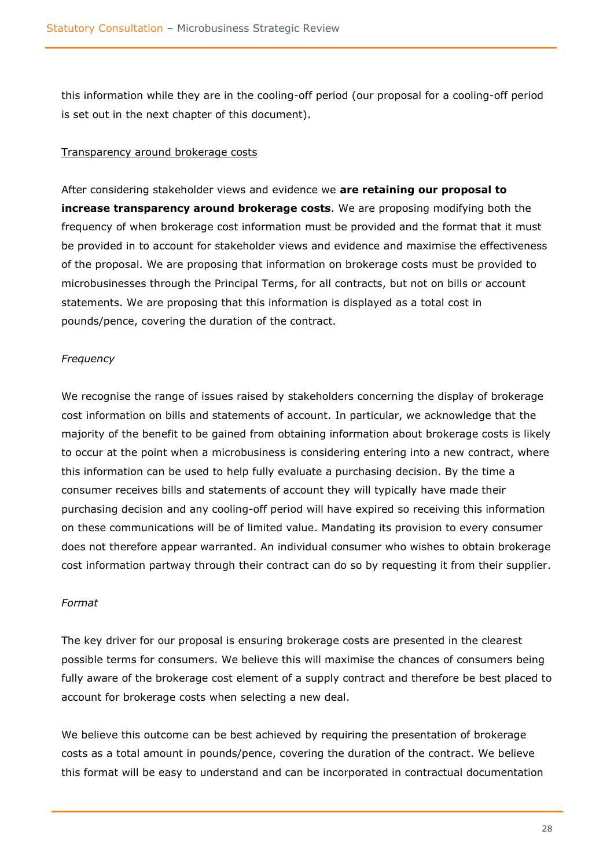this information while they are in the cooling-off period (our proposal for a cooling-off period is set out in the next chapter of this document).

#### Transparency around brokerage costs

After considering stakeholder views and evidence we **are retaining our proposal to increase transparency around brokerage costs**. We are proposing modifying both the frequency of when brokerage cost information must be provided and the format that it must be provided in to account for stakeholder views and evidence and maximise the effectiveness of the proposal. We are proposing that information on brokerage costs must be provided to microbusinesses through the Principal Terms, for all contracts, but not on bills or account statements. We are proposing that this information is displayed as a total cost in pounds/pence, covering the duration of the contract.

#### *Frequency*

We recognise the range of issues raised by stakeholders concerning the display of brokerage cost information on bills and statements of account. In particular, we acknowledge that the majority of the benefit to be gained from obtaining information about brokerage costs is likely to occur at the point when a microbusiness is considering entering into a new contract, where this information can be used to help fully evaluate a purchasing decision. By the time a consumer receives bills and statements of account they will typically have made their purchasing decision and any cooling-off period will have expired so receiving this information on these communications will be of limited value. Mandating its provision to every consumer does not therefore appear warranted. An individual consumer who wishes to obtain brokerage cost information partway through their contract can do so by requesting it from their supplier.

#### *Format*

The key driver for our proposal is ensuring brokerage costs are presented in the clearest possible terms for consumers. We believe this will maximise the chances of consumers being fully aware of the brokerage cost element of a supply contract and therefore be best placed to account for brokerage costs when selecting a new deal.

We believe this outcome can be best achieved by requiring the presentation of brokerage costs as a total amount in pounds/pence, covering the duration of the contract. We believe this format will be easy to understand and can be incorporated in contractual documentation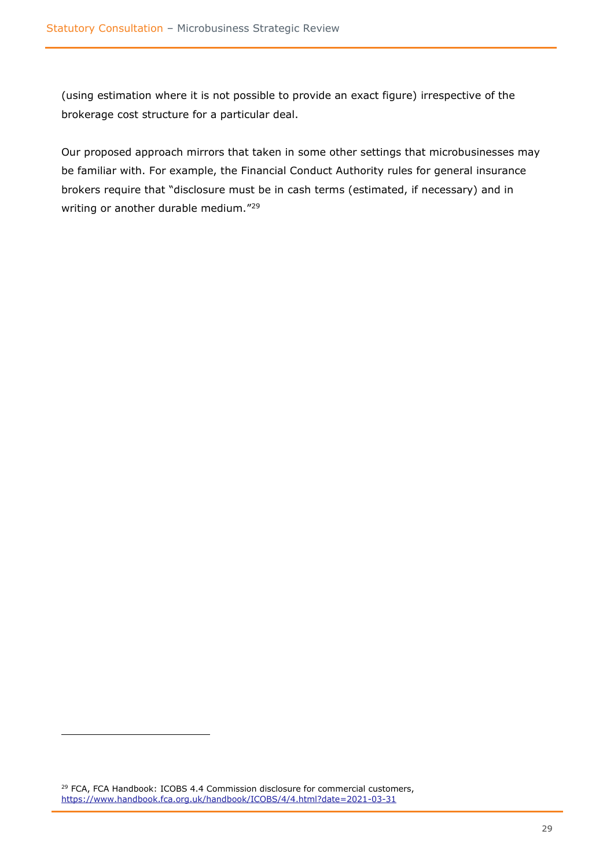(using estimation where it is not possible to provide an exact figure) irrespective of the brokerage cost structure for a particular deal.

Our proposed approach mirrors that taken in some other settings that microbusinesses may be familiar with. For example, the Financial Conduct Authority rules for general insurance brokers require that "disclosure must be in cash terms (estimated, if necessary) and in writing or another durable medium."<sup>29</sup>

<sup>&</sup>lt;sup>29</sup> FCA, FCA Handbook: ICOBS 4.4 Commission disclosure for commercial customers, <https://www.handbook.fca.org.uk/handbook/ICOBS/4/4.html?date=2021-03-31>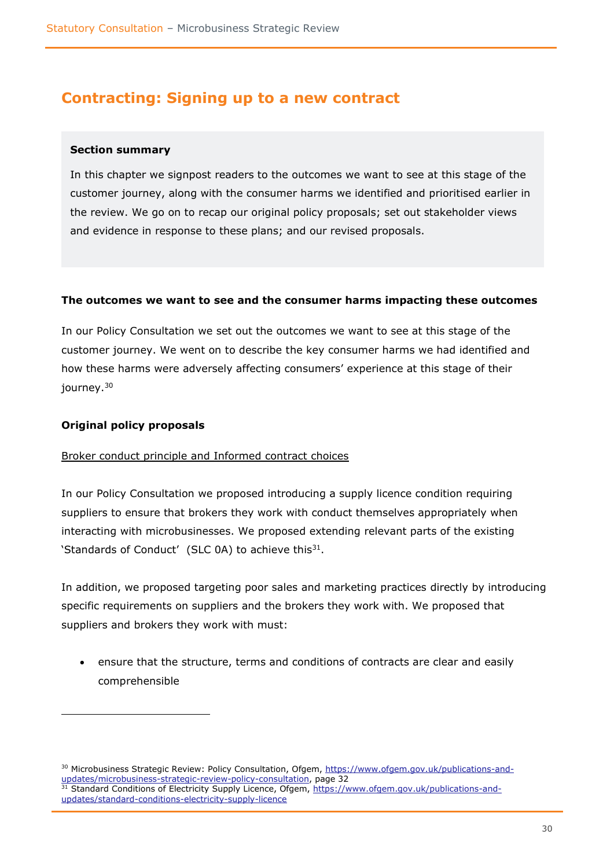### <span id="page-29-0"></span>**Contracting: Signing up to a new contract**

#### <span id="page-29-1"></span>**Section summary**

In this chapter we signpost readers to the outcomes we want to see at this stage of the customer journey, along with the consumer harms we identified and prioritised earlier in the review. We go on to recap our original policy proposals; set out stakeholder views and evidence in response to these plans; and our revised proposals.

#### <span id="page-29-2"></span>**The outcomes we want to see and the consumer harms impacting these outcomes**

In our Policy Consultation we set out the outcomes we want to see at this stage of the customer journey. We went on to describe the key consumer harms we had identified and how these harms were adversely affecting consumers' experience at this stage of their journey.<sup>30</sup>

#### <span id="page-29-3"></span>**Original policy proposals**

#### Broker conduct principle and Informed contract choices

In our Policy Consultation we proposed introducing a supply licence condition requiring suppliers to ensure that brokers they work with conduct themselves appropriately when interacting with microbusinesses. We proposed extending relevant parts of the existing 'Standards of Conduct' (SLC 0A) to achieve this<sup>31</sup>.

In addition, we proposed targeting poor sales and marketing practices directly by introducing specific requirements on suppliers and the brokers they work with. We proposed that suppliers and brokers they work with must:

• ensure that the structure, terms and conditions of contracts are clear and easily comprehensible

<sup>&</sup>lt;sup>30</sup> Microbusiness Strategic Review: Policy Consultation, Ofgem, [https://www.ofgem.gov.uk/publications-and](https://www.ofgem.gov.uk/publications-and-updates/microbusiness-strategic-review-policy-consultation)[updates/microbusiness-strategic-review-policy-consultation,](https://www.ofgem.gov.uk/publications-and-updates/microbusiness-strategic-review-policy-consultation) page 32 <sup>31</sup> Standard Conditions of Electricity Supply Licence, Ofgem, [https://www.ofgem.gov.uk/publications-and](https://www.ofgem.gov.uk/publications-and-updates/standard-conditions-electricity-supply-licence)[updates/standard-conditions-electricity-supply-licence](https://www.ofgem.gov.uk/publications-and-updates/standard-conditions-electricity-supply-licence)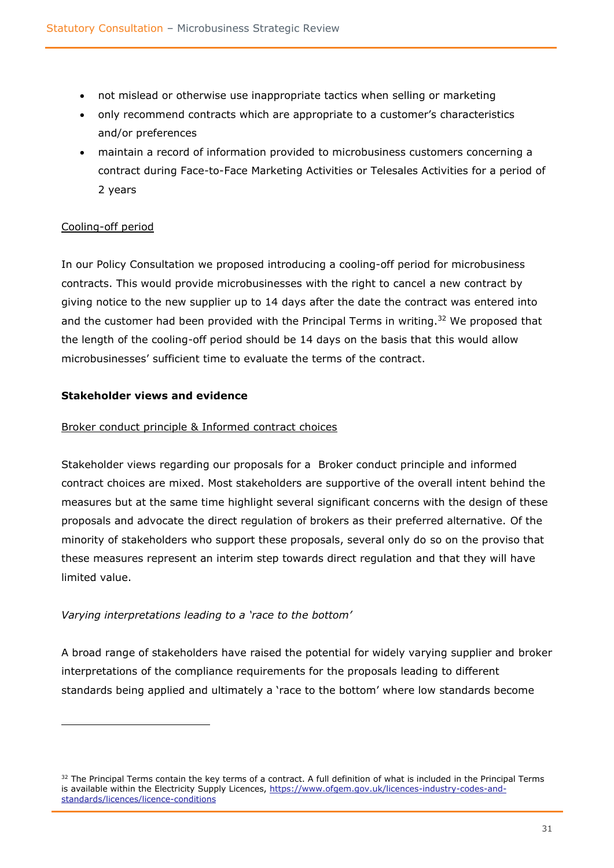- not mislead or otherwise use inappropriate tactics when selling or marketing
- only recommend contracts which are appropriate to a customer's characteristics and/or preferences
- maintain a record of information provided to microbusiness customers concerning a contract during Face-to-Face Marketing Activities or Telesales Activities for a period of 2 years

#### Cooling-off period

In our Policy Consultation we proposed introducing a cooling-off period for microbusiness contracts. This would provide microbusinesses with the right to cancel a new contract by giving notice to the new supplier up to 14 days after the date the contract was entered into and the customer had been provided with the Principal Terms in writing.<sup>32</sup> We proposed that the length of the cooling-off period should be 14 days on the basis that this would allow microbusinesses' sufficient time to evaluate the terms of the contract.

#### <span id="page-30-0"></span>**Stakeholder views and evidence**

#### Broker conduct principle & Informed contract choices

Stakeholder views regarding our proposals for a Broker conduct principle and informed contract choices are mixed. Most stakeholders are supportive of the overall intent behind the measures but at the same time highlight several significant concerns with the design of these proposals and advocate the direct regulation of brokers as their preferred alternative. Of the minority of stakeholders who support these proposals, several only do so on the proviso that these measures represent an interim step towards direct regulation and that they will have limited value.

### *Varying interpretations leading to a 'race to the bottom'*

A broad range of stakeholders have raised the potential for widely varying supplier and broker interpretations of the compliance requirements for the proposals leading to different standards being applied and ultimately a 'race to the bottom' where low standards become

 $32$  The Principal Terms contain the key terms of a contract. A full definition of what is included in the Principal Terms is available within the Electricity Supply Licences, [https://www.ofgem.gov.uk/licences-industry-codes-and](https://www.ofgem.gov.uk/licences-industry-codes-and-standards/licences/licence-conditions)[standards/licences/licence-conditions](https://www.ofgem.gov.uk/licences-industry-codes-and-standards/licences/licence-conditions)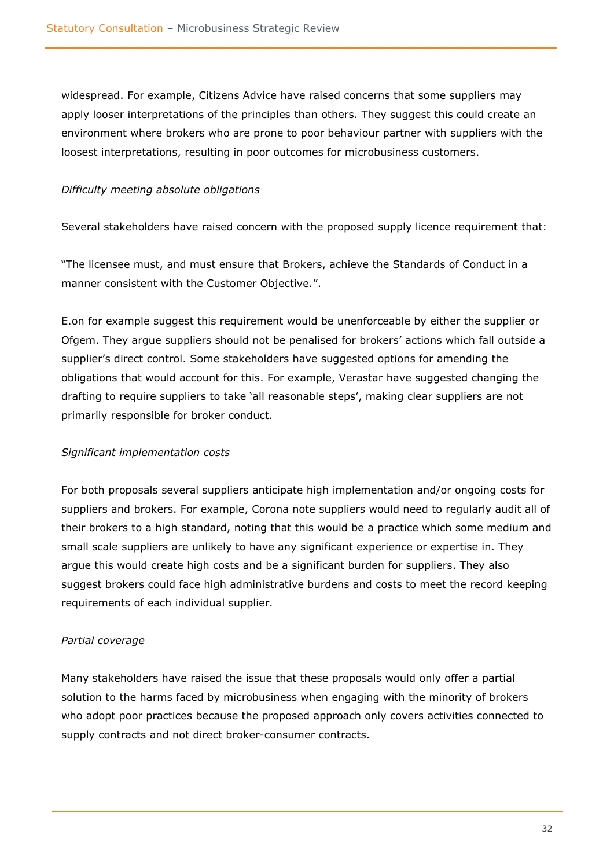widespread. For example, Citizens Advice have raised concerns that some suppliers may apply looser interpretations of the principles than others. They suggest this could create an environment where brokers who are prone to poor behaviour partner with suppliers with the loosest interpretations, resulting in poor outcomes for microbusiness customers.

#### *Difficulty meeting absolute obligations*

Several stakeholders have raised concern with the proposed supply licence requirement that:

"The licensee must, and must ensure that Brokers, achieve the Standards of Conduct in a manner consistent with the Customer Objective.".

E.on for example suggest this requirement would be unenforceable by either the supplier or Ofgem. They argue suppliers should not be penalised for brokers' actions which fall outside a supplier's direct control. Some stakeholders have suggested options for amending the obligations that would account for this. For example, Verastar have suggested changing the drafting to require suppliers to take 'all reasonable steps', making clear suppliers are not primarily responsible for broker conduct.

#### *Significant implementation costs*

For both proposals several suppliers anticipate high implementation and/or ongoing costs for suppliers and brokers. For example, Corona note suppliers would need to regularly audit all of their brokers to a high standard, noting that this would be a practice which some medium and small scale suppliers are unlikely to have any significant experience or expertise in. They argue this would create high costs and be a significant burden for suppliers. They also suggest brokers could face high administrative burdens and costs to meet the record keeping requirements of each individual supplier.

#### *Partial coverage*

Many stakeholders have raised the issue that these proposals would only offer a partial solution to the harms faced by microbusiness when engaging with the minority of brokers who adopt poor practices because the proposed approach only covers activities connected to supply contracts and not direct broker-consumer contracts.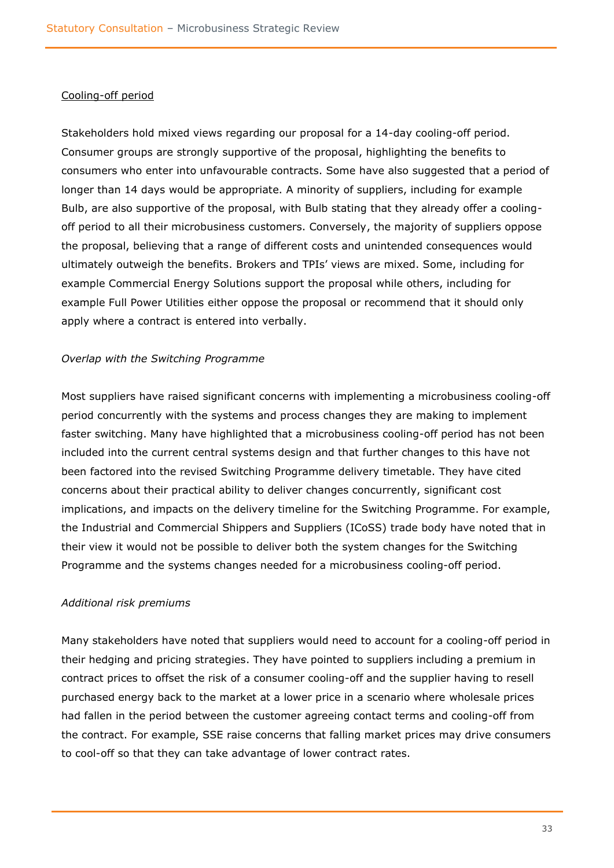#### Cooling-off period

Stakeholders hold mixed views regarding our proposal for a 14-day cooling-off period. Consumer groups are strongly supportive of the proposal, highlighting the benefits to consumers who enter into unfavourable contracts. Some have also suggested that a period of longer than 14 days would be appropriate. A minority of suppliers, including for example Bulb, are also supportive of the proposal, with Bulb stating that they already offer a coolingoff period to all their microbusiness customers. Conversely, the majority of suppliers oppose the proposal, believing that a range of different costs and unintended consequences would ultimately outweigh the benefits. Brokers and TPIs' views are mixed. Some, including for example Commercial Energy Solutions support the proposal while others, including for example Full Power Utilities either oppose the proposal or recommend that it should only apply where a contract is entered into verbally.

#### *Overlap with the Switching Programme*

Most suppliers have raised significant concerns with implementing a microbusiness cooling-off period concurrently with the systems and process changes they are making to implement faster switching. Many have highlighted that a microbusiness cooling-off period has not been included into the current central systems design and that further changes to this have not been factored into the revised Switching Programme delivery timetable. They have cited concerns about their practical ability to deliver changes concurrently, significant cost implications, and impacts on the delivery timeline for the Switching Programme. For example, the Industrial and Commercial Shippers and Suppliers (ICoSS) trade body have noted that in their view it would not be possible to deliver both the system changes for the Switching Programme and the systems changes needed for a microbusiness cooling-off period.

#### *Additional risk premiums*

Many stakeholders have noted that suppliers would need to account for a cooling-off period in their hedging and pricing strategies. They have pointed to suppliers including a premium in contract prices to offset the risk of a consumer cooling-off and the supplier having to resell purchased energy back to the market at a lower price in a scenario where wholesale prices had fallen in the period between the customer agreeing contact terms and cooling-off from the contract. For example, SSE raise concerns that falling market prices may drive consumers to cool-off so that they can take advantage of lower contract rates.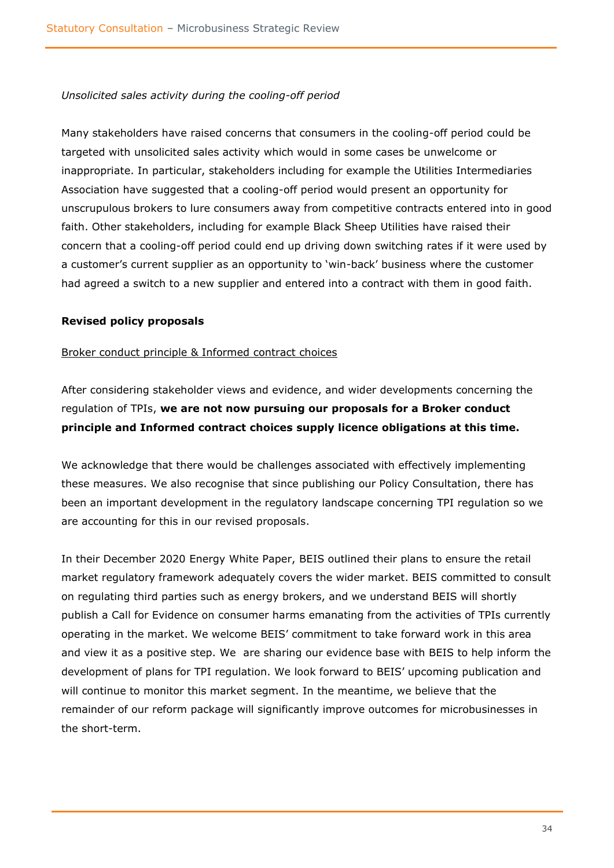#### *Unsolicited sales activity during the cooling-off period*

Many stakeholders have raised concerns that consumers in the cooling-off period could be targeted with unsolicited sales activity which would in some cases be unwelcome or inappropriate. In particular, stakeholders including for example the Utilities Intermediaries Association have suggested that a cooling-off period would present an opportunity for unscrupulous brokers to lure consumers away from competitive contracts entered into in good faith. Other stakeholders, including for example Black Sheep Utilities have raised their concern that a cooling-off period could end up driving down switching rates if it were used by a customer's current supplier as an opportunity to 'win-back' business where the customer had agreed a switch to a new supplier and entered into a contract with them in good faith.

#### <span id="page-33-0"></span>**Revised policy proposals**

#### Broker conduct principle & Informed contract choices

After considering stakeholder views and evidence, and wider developments concerning the regulation of TPIs, **we are not now pursuing our proposals for a Broker conduct principle and Informed contract choices supply licence obligations at this time.**

We acknowledge that there would be challenges associated with effectively implementing these measures. We also recognise that since publishing our Policy Consultation, there has been an important development in the regulatory landscape concerning TPI regulation so we are accounting for this in our revised proposals.

In their December 2020 Energy White Paper, BEIS outlined their plans to ensure the retail market regulatory framework adequately covers the wider market. BEIS committed to consult on regulating third parties such as energy brokers, and we understand BEIS will shortly publish a Call for Evidence on consumer harms emanating from the activities of TPIs currently operating in the market. We welcome BEIS' commitment to take forward work in this area and view it as a positive step. We are sharing our evidence base with BEIS to help inform the development of plans for TPI regulation. We look forward to BEIS' upcoming publication and will continue to monitor this market segment. In the meantime, we believe that the remainder of our reform package will significantly improve outcomes for microbusinesses in the short-term.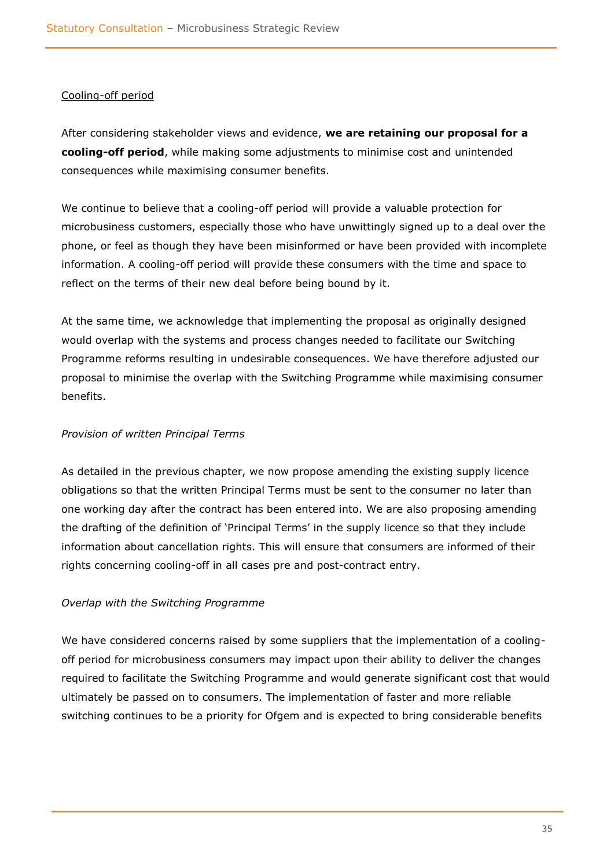#### Cooling-off period

After considering stakeholder views and evidence, **we are retaining our proposal for a cooling-off period**, while making some adjustments to minimise cost and unintended consequences while maximising consumer benefits.

We continue to believe that a cooling-off period will provide a valuable protection for microbusiness customers, especially those who have unwittingly signed up to a deal over the phone, or feel as though they have been misinformed or have been provided with incomplete information. A cooling-off period will provide these consumers with the time and space to reflect on the terms of their new deal before being bound by it.

At the same time, we acknowledge that implementing the proposal as originally designed would overlap with the systems and process changes needed to facilitate our Switching Programme reforms resulting in undesirable consequences. We have therefore adjusted our proposal to minimise the overlap with the Switching Programme while maximising consumer benefits.

#### *Provision of written Principal Terms*

As detailed in the previous chapter, we now propose amending the existing supply licence obligations so that the written Principal Terms must be sent to the consumer no later than one working day after the contract has been entered into. We are also proposing amending the drafting of the definition of 'Principal Terms' in the supply licence so that they include information about cancellation rights. This will ensure that consumers are informed of their rights concerning cooling-off in all cases pre and post-contract entry.

#### *Overlap with the Switching Programme*

We have considered concerns raised by some suppliers that the implementation of a coolingoff period for microbusiness consumers may impact upon their ability to deliver the changes required to facilitate the Switching Programme and would generate significant cost that would ultimately be passed on to consumers. The implementation of faster and more reliable switching continues to be a priority for Ofgem and is expected to bring considerable benefits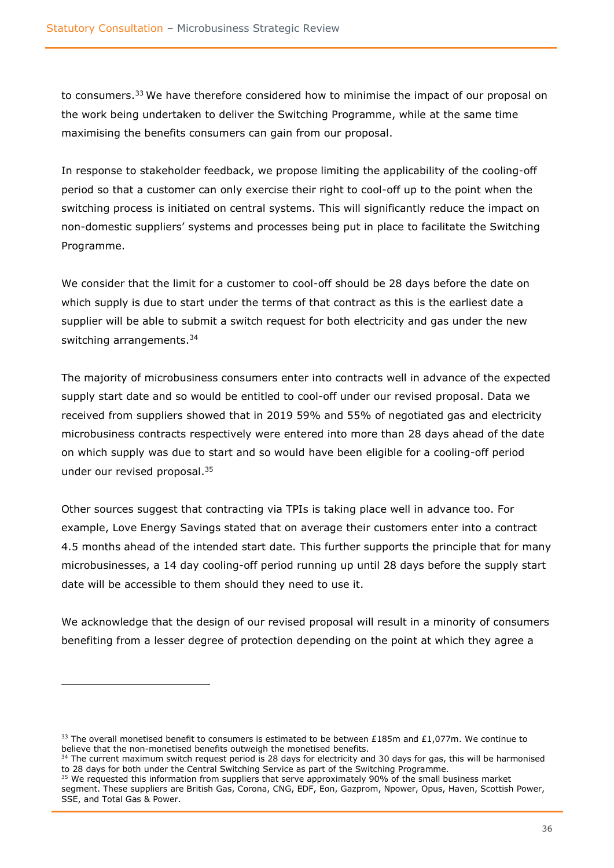to consumers.<sup>33</sup> We have therefore considered how to minimise the impact of our proposal on the work being undertaken to deliver the Switching Programme, while at the same time maximising the benefits consumers can gain from our proposal.

In response to stakeholder feedback, we propose limiting the applicability of the cooling-off period so that a customer can only exercise their right to cool-off up to the point when the switching process is initiated on central systems. This will significantly reduce the impact on non-domestic suppliers' systems and processes being put in place to facilitate the Switching Programme.

We consider that the limit for a customer to cool-off should be 28 days before the date on which supply is due to start under the terms of that contract as this is the earliest date a supplier will be able to submit a switch request for both electricity and gas under the new switching arrangements.<sup>34</sup>

The majority of microbusiness consumers enter into contracts well in advance of the expected supply start date and so would be entitled to cool-off under our revised proposal. Data we received from suppliers showed that in 2019 59% and 55% of negotiated gas and electricity microbusiness contracts respectively were entered into more than 28 days ahead of the date on which supply was due to start and so would have been eligible for a cooling-off period under our revised proposal. 35

Other sources suggest that contracting via TPIs is taking place well in advance too. For example, Love Energy Savings stated that on average their customers enter into a contract 4.5 months ahead of the intended start date. This further supports the principle that for many microbusinesses, a 14 day cooling-off period running up until 28 days before the supply start date will be accessible to them should they need to use it.

We acknowledge that the design of our revised proposal will result in a minority of consumers benefiting from a lesser degree of protection depending on the point at which they agree a

<sup>&</sup>lt;sup>33</sup> The overall monetised benefit to consumers is estimated to be between £185m and £1,077m. We continue to believe that the non-monetised benefits outweigh the monetised benefits.

<sup>&</sup>lt;sup>34</sup> The current maximum switch request period is 28 days for electricity and 30 days for gas, this will be harmonised to 28 days for both under the Central Switching Service as part of the Switching Programme.

<sup>&</sup>lt;sup>35</sup> We requested this information from suppliers that serve approximately 90% of the small business market segment. These suppliers are British Gas, Corona, CNG, EDF, Eon, Gazprom, Npower, Opus, Haven, Scottish Power, SSE, and Total Gas & Power.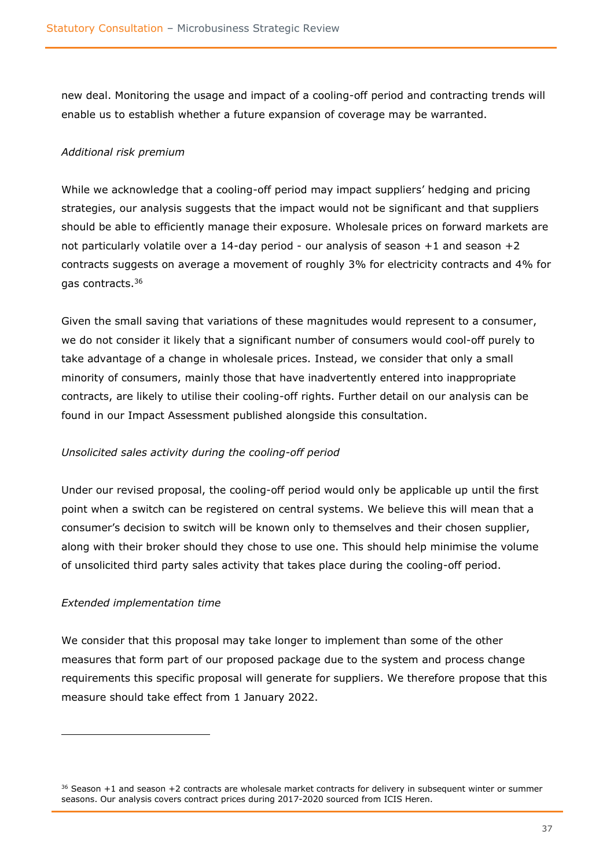new deal. Monitoring the usage and impact of a cooling-off period and contracting trends will enable us to establish whether a future expansion of coverage may be warranted.

#### *Additional risk premium*

While we acknowledge that a cooling-off period may impact suppliers' hedging and pricing strategies, our analysis suggests that the impact would not be significant and that suppliers should be able to efficiently manage their exposure. Wholesale prices on forward markets are not particularly volatile over a 14-day period - our analysis of season +1 and season +2 contracts suggests on average a movement of roughly 3% for electricity contracts and 4% for gas contracts.<sup>36</sup>

Given the small saving that variations of these magnitudes would represent to a consumer, we do not consider it likely that a significant number of consumers would cool-off purely to take advantage of a change in wholesale prices. Instead, we consider that only a small minority of consumers, mainly those that have inadvertently entered into inappropriate contracts, are likely to utilise their cooling-off rights. Further detail on our analysis can be found in our Impact Assessment published alongside this consultation.

#### *Unsolicited sales activity during the cooling-off period*

Under our revised proposal, the cooling-off period would only be applicable up until the first point when a switch can be registered on central systems. We believe this will mean that a consumer's decision to switch will be known only to themselves and their chosen supplier, along with their broker should they chose to use one. This should help minimise the volume of unsolicited third party sales activity that takes place during the cooling-off period.

#### *Extended implementation time*

We consider that this proposal may take longer to implement than some of the other measures that form part of our proposed package due to the system and process change requirements this specific proposal will generate for suppliers. We therefore propose that this measure should take effect from 1 January 2022.

 $36$  Season +1 and season +2 contracts are wholesale market contracts for delivery in subsequent winter or summer seasons. Our analysis covers contract prices during 2017-2020 sourced from ICIS Heren.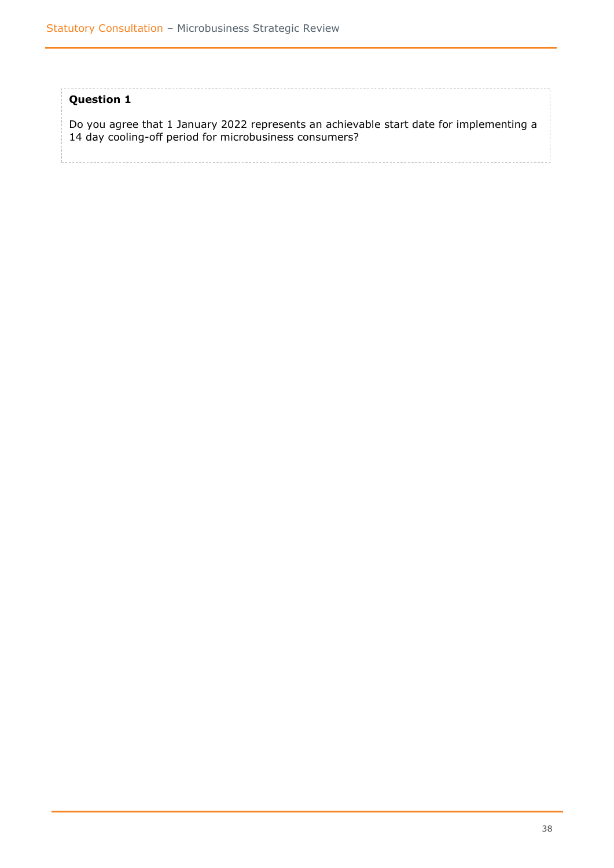#### **Question 1**

Do you agree that 1 January 2022 represents an achievable start date for implementing a 14 day cooling-off period for microbusiness consumers?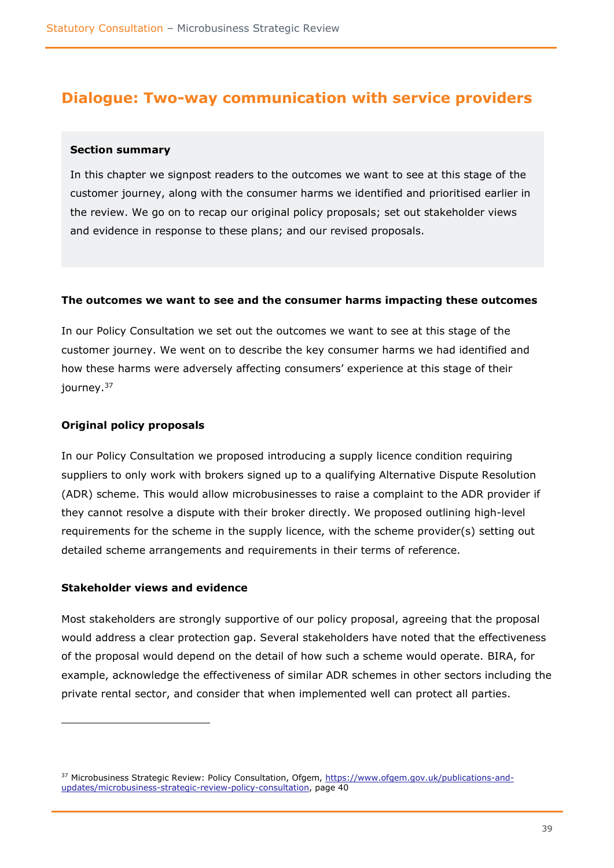### <span id="page-38-0"></span>**Dialogue: Two-way communication with service providers**

#### <span id="page-38-1"></span>**Section summary**

In this chapter we signpost readers to the outcomes we want to see at this stage of the customer journey, along with the consumer harms we identified and prioritised earlier in the review. We go on to recap our original policy proposals; set out stakeholder views and evidence in response to these plans; and our revised proposals.

#### <span id="page-38-2"></span>**The outcomes we want to see and the consumer harms impacting these outcomes**

In our Policy Consultation we set out the outcomes we want to see at this stage of the customer journey. We went on to describe the key consumer harms we had identified and how these harms were adversely affecting consumers' experience at this stage of their journey.<sup>37</sup>

#### <span id="page-38-3"></span>**Original policy proposals**

In our Policy Consultation we proposed introducing a supply licence condition requiring suppliers to only work with brokers signed up to a qualifying Alternative Dispute Resolution (ADR) scheme. This would allow microbusinesses to raise a complaint to the ADR provider if they cannot resolve a dispute with their broker directly. We proposed outlining high-level requirements for the scheme in the supply licence, with the scheme provider(s) setting out detailed scheme arrangements and requirements in their terms of reference.

#### <span id="page-38-4"></span>**Stakeholder views and evidence**

Most stakeholders are strongly supportive of our policy proposal, agreeing that the proposal would address a clear protection gap. Several stakeholders have noted that the effectiveness of the proposal would depend on the detail of how such a scheme would operate. BIRA, for example, acknowledge the effectiveness of similar ADR schemes in other sectors including the private rental sector, and consider that when implemented well can protect all parties.

<sup>&</sup>lt;sup>37</sup> Microbusiness Strategic Review: Policy Consultation, Ofgem, [https://www.ofgem.gov.uk/publications-and](https://www.ofgem.gov.uk/publications-and-updates/microbusiness-strategic-review-policy-consultation)[updates/microbusiness-strategic-review-policy-consultation,](https://www.ofgem.gov.uk/publications-and-updates/microbusiness-strategic-review-policy-consultation) page 40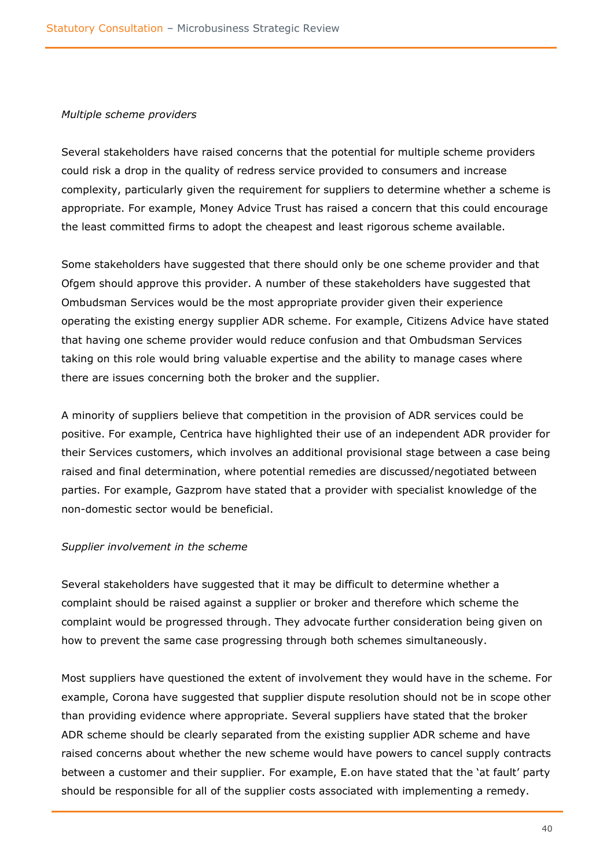#### *Multiple scheme providers*

Several stakeholders have raised concerns that the potential for multiple scheme providers could risk a drop in the quality of redress service provided to consumers and increase complexity, particularly given the requirement for suppliers to determine whether a scheme is appropriate. For example, Money Advice Trust has raised a concern that this could encourage the least committed firms to adopt the cheapest and least rigorous scheme available.

Some stakeholders have suggested that there should only be one scheme provider and that Ofgem should approve this provider. A number of these stakeholders have suggested that Ombudsman Services would be the most appropriate provider given their experience operating the existing energy supplier ADR scheme. For example, Citizens Advice have stated that having one scheme provider would reduce confusion and that Ombudsman Services taking on this role would bring valuable expertise and the ability to manage cases where there are issues concerning both the broker and the supplier.

A minority of suppliers believe that competition in the provision of ADR services could be positive. For example, Centrica have highlighted their use of an independent ADR provider for their Services customers, which involves an additional provisional stage between a case being raised and final determination, where potential remedies are discussed/negotiated between parties. For example, Gazprom have stated that a provider with specialist knowledge of the non-domestic sector would be beneficial.

#### *Supplier involvement in the scheme*

Several stakeholders have suggested that it may be difficult to determine whether a complaint should be raised against a supplier or broker and therefore which scheme the complaint would be progressed through. They advocate further consideration being given on how to prevent the same case progressing through both schemes simultaneously.

Most suppliers have questioned the extent of involvement they would have in the scheme. For example, Corona have suggested that supplier dispute resolution should not be in scope other than providing evidence where appropriate. Several suppliers have stated that the broker ADR scheme should be clearly separated from the existing supplier ADR scheme and have raised concerns about whether the new scheme would have powers to cancel supply contracts between a customer and their supplier. For example, E.on have stated that the 'at fault' party should be responsible for all of the supplier costs associated with implementing a remedy.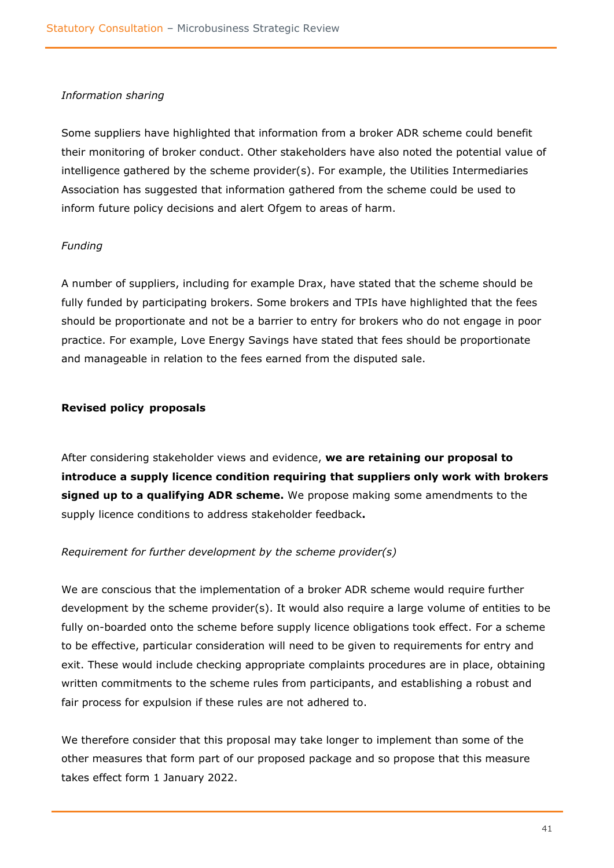#### *Information sharing*

Some suppliers have highlighted that information from a broker ADR scheme could benefit their monitoring of broker conduct. Other stakeholders have also noted the potential value of intelligence gathered by the scheme provider(s). For example, the Utilities Intermediaries Association has suggested that information gathered from the scheme could be used to inform future policy decisions and alert Ofgem to areas of harm.

#### *Funding*

A number of suppliers, including for example Drax, have stated that the scheme should be fully funded by participating brokers. Some brokers and TPIs have highlighted that the fees should be proportionate and not be a barrier to entry for brokers who do not engage in poor practice. For example, Love Energy Savings have stated that fees should be proportionate and manageable in relation to the fees earned from the disputed sale.

#### <span id="page-40-0"></span>**Revised policy proposals**

After considering stakeholder views and evidence, **we are retaining our proposal to introduce a supply licence condition requiring that suppliers only work with brokers signed up to a qualifying ADR scheme.** We propose making some amendments to the supply licence conditions to address stakeholder feedback**.**

#### *Requirement for further development by the scheme provider(s)*

We are conscious that the implementation of a broker ADR scheme would require further development by the scheme provider(s). It would also require a large volume of entities to be fully on-boarded onto the scheme before supply licence obligations took effect. For a scheme to be effective, particular consideration will need to be given to requirements for entry and exit. These would include checking appropriate complaints procedures are in place, obtaining written commitments to the scheme rules from participants, and establishing a robust and fair process for expulsion if these rules are not adhered to.

We therefore consider that this proposal may take longer to implement than some of the other measures that form part of our proposed package and so propose that this measure takes effect form 1 January 2022.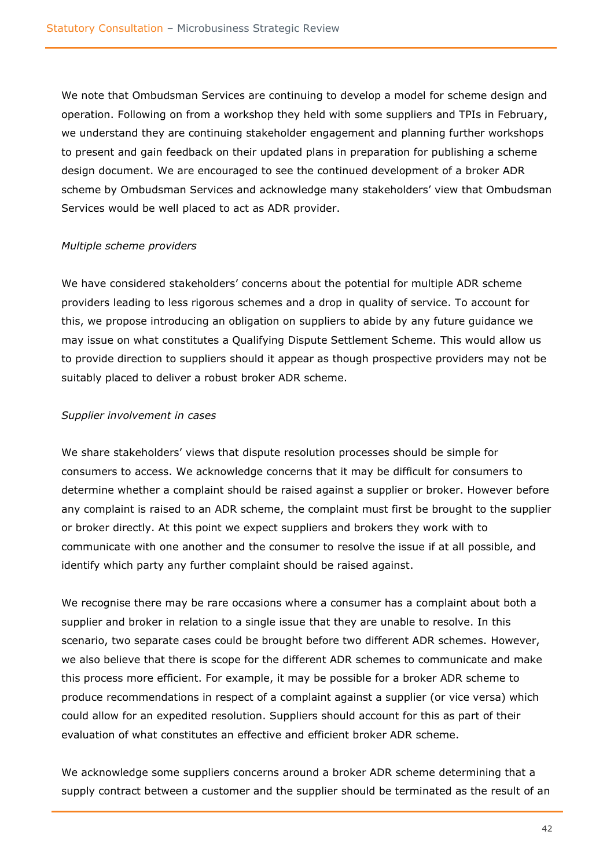We note that Ombudsman Services are continuing to develop a model for scheme design and operation. Following on from a workshop they held with some suppliers and TPIs in February, we understand they are continuing stakeholder engagement and planning further workshops to present and gain feedback on their updated plans in preparation for publishing a scheme design document. We are encouraged to see the continued development of a broker ADR scheme by Ombudsman Services and acknowledge many stakeholders' view that Ombudsman Services would be well placed to act as ADR provider.

#### *Multiple scheme providers*

We have considered stakeholders' concerns about the potential for multiple ADR scheme providers leading to less rigorous schemes and a drop in quality of service. To account for this, we propose introducing an obligation on suppliers to abide by any future guidance we may issue on what constitutes a Qualifying Dispute Settlement Scheme. This would allow us to provide direction to suppliers should it appear as though prospective providers may not be suitably placed to deliver a robust broker ADR scheme.

#### *Supplier involvement in cases*

We share stakeholders' views that dispute resolution processes should be simple for consumers to access. We acknowledge concerns that it may be difficult for consumers to determine whether a complaint should be raised against a supplier or broker. However before any complaint is raised to an ADR scheme, the complaint must first be brought to the supplier or broker directly. At this point we expect suppliers and brokers they work with to communicate with one another and the consumer to resolve the issue if at all possible, and identify which party any further complaint should be raised against.

We recognise there may be rare occasions where a consumer has a complaint about both a supplier and broker in relation to a single issue that they are unable to resolve. In this scenario, two separate cases could be brought before two different ADR schemes. However, we also believe that there is scope for the different ADR schemes to communicate and make this process more efficient. For example, it may be possible for a broker ADR scheme to produce recommendations in respect of a complaint against a supplier (or vice versa) which could allow for an expedited resolution. Suppliers should account for this as part of their evaluation of what constitutes an effective and efficient broker ADR scheme.

We acknowledge some suppliers concerns around a broker ADR scheme determining that a supply contract between a customer and the supplier should be terminated as the result of an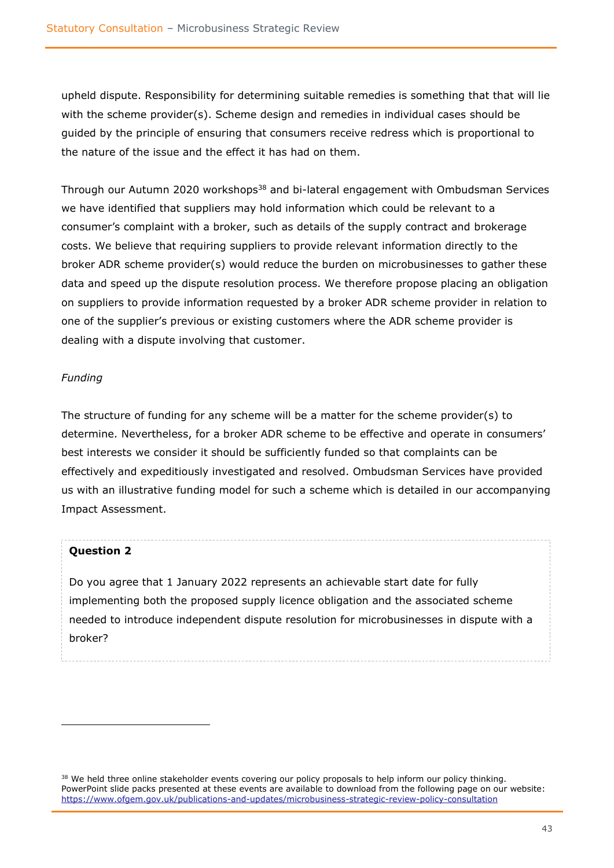upheld dispute. Responsibility for determining suitable remedies is something that that will lie with the scheme provider(s). Scheme design and remedies in individual cases should be guided by the principle of ensuring that consumers receive redress which is proportional to the nature of the issue and the effect it has had on them.

Through our Autumn 2020 workshops<sup>38</sup> and bi-lateral engagement with Ombudsman Services we have identified that suppliers may hold information which could be relevant to a consumer's complaint with a broker, such as details of the supply contract and brokerage costs. We believe that requiring suppliers to provide relevant information directly to the broker ADR scheme provider(s) would reduce the burden on microbusinesses to gather these data and speed up the dispute resolution process. We therefore propose placing an obligation on suppliers to provide information requested by a broker ADR scheme provider in relation to one of the supplier's previous or existing customers where the ADR scheme provider is dealing with a dispute involving that customer.

#### *Funding*

The structure of funding for any scheme will be a matter for the scheme provider(s) to determine. Nevertheless, for a broker ADR scheme to be effective and operate in consumers' best interests we consider it should be sufficiently funded so that complaints can be effectively and expeditiously investigated and resolved. Ombudsman Services have provided us with an illustrative funding model for such a scheme which is detailed in our accompanying Impact Assessment.

### **Question 2**

Do you agree that 1 January 2022 represents an achievable start date for fully implementing both the proposed supply licence obligation and the associated scheme needed to introduce independent dispute resolution for microbusinesses in dispute with a broker?

<sup>&</sup>lt;sup>38</sup> We held three online stakeholder events covering our policy proposals to help inform our policy thinking. PowerPoint slide packs presented at these events are available to download from the following page on our website: <https://www.ofgem.gov.uk/publications-and-updates/microbusiness-strategic-review-policy-consultation>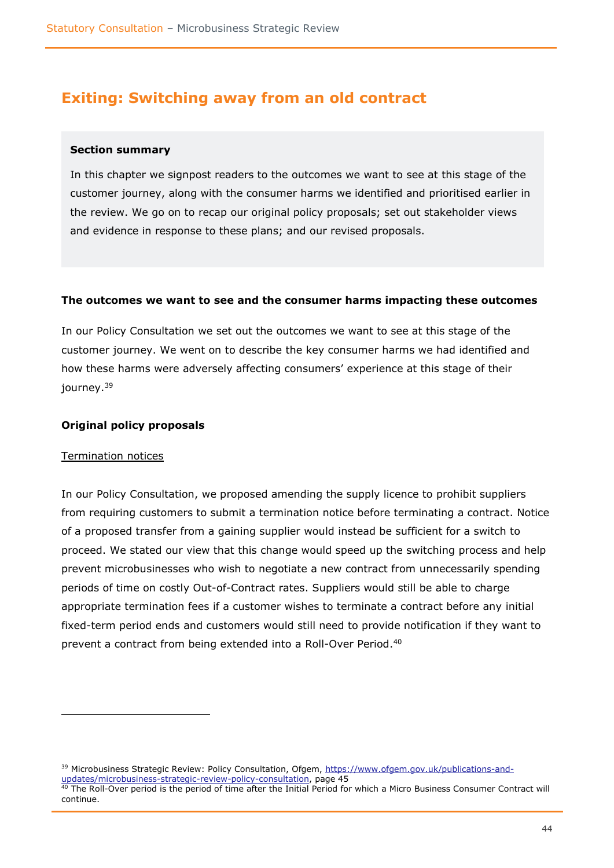### <span id="page-43-0"></span>**Exiting: Switching away from an old contract**

#### <span id="page-43-1"></span>**Section summary**

In this chapter we signpost readers to the outcomes we want to see at this stage of the customer journey, along with the consumer harms we identified and prioritised earlier in the review. We go on to recap our original policy proposals; set out stakeholder views and evidence in response to these plans; and our revised proposals.

#### <span id="page-43-2"></span>**The outcomes we want to see and the consumer harms impacting these outcomes**

In our Policy Consultation we set out the outcomes we want to see at this stage of the customer journey. We went on to describe the key consumer harms we had identified and how these harms were adversely affecting consumers' experience at this stage of their journey.<sup>39</sup>

#### <span id="page-43-3"></span>**Original policy proposals**

#### Termination notices

In our Policy Consultation, we proposed amending the supply licence to prohibit suppliers from requiring customers to submit a termination notice before terminating a contract. Notice of a proposed transfer from a gaining supplier would instead be sufficient for a switch to proceed. We stated our view that this change would speed up the switching process and help prevent microbusinesses who wish to negotiate a new contract from unnecessarily spending periods of time on costly Out-of-Contract rates. Suppliers would still be able to charge appropriate termination fees if a customer wishes to terminate a contract before any initial fixed-term period ends and customers would still need to provide notification if they want to prevent a contract from being extended into a Roll-Over Period.<sup>40</sup>

<sup>&</sup>lt;sup>39</sup> Microbusiness Strategic Review: Policy Consultation, Ofgem, [https://www.ofgem.gov.uk/publications-and](https://www.ofgem.gov.uk/publications-and-updates/microbusiness-strategic-review-policy-consultation)[updates/microbusiness-strategic-review-policy-consultation,](https://www.ofgem.gov.uk/publications-and-updates/microbusiness-strategic-review-policy-consultation) page 45  $^{40}$  The Roll-Over period is the period of time after the Initial Period for which a Micro Business Consumer Contract will continue.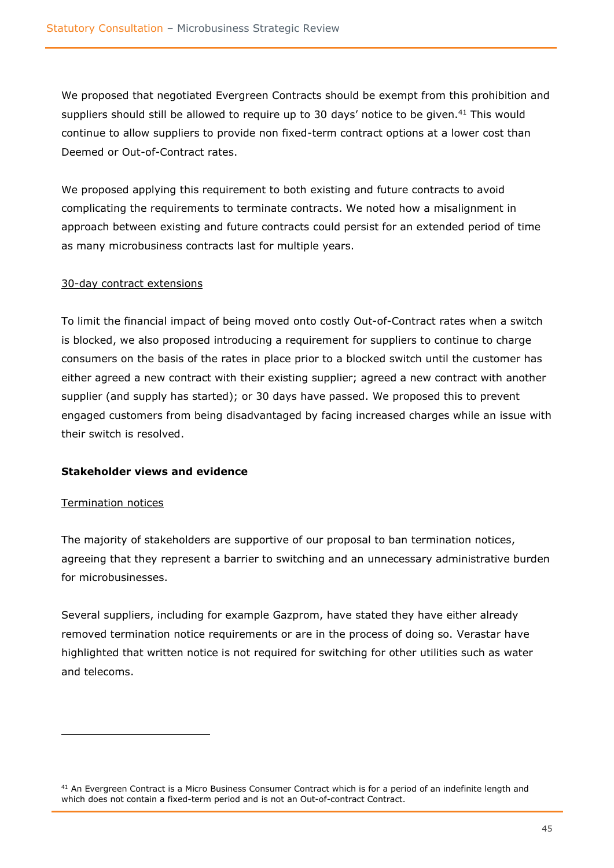We proposed that negotiated Evergreen Contracts should be exempt from this prohibition and suppliers should still be allowed to require up to 30 days' notice to be given.<sup>41</sup> This would continue to allow suppliers to provide non fixed-term contract options at a lower cost than Deemed or Out-of-Contract rates.

We proposed applying this requirement to both existing and future contracts to avoid complicating the requirements to terminate contracts. We noted how a misalignment in approach between existing and future contracts could persist for an extended period of time as many microbusiness contracts last for multiple years.

#### 30-day contract extensions

To limit the financial impact of being moved onto costly Out-of-Contract rates when a switch is blocked, we also proposed introducing a requirement for suppliers to continue to charge consumers on the basis of the rates in place prior to a blocked switch until the customer has either agreed a new contract with their existing supplier; agreed a new contract with another supplier (and supply has started); or 30 days have passed. We proposed this to prevent engaged customers from being disadvantaged by facing increased charges while an issue with their switch is resolved.

#### <span id="page-44-0"></span>**Stakeholder views and evidence**

#### Termination notices

The majority of stakeholders are supportive of our proposal to ban termination notices, agreeing that they represent a barrier to switching and an unnecessary administrative burden for microbusinesses.

Several suppliers, including for example Gazprom, have stated they have either already removed termination notice requirements or are in the process of doing so. Verastar have highlighted that written notice is not required for switching for other utilities such as water and telecoms.

 $41$  An Evergreen Contract is a Micro Business Consumer Contract which is for a period of an indefinite length and which does not contain a fixed-term period and is not an Out-of-contract Contract.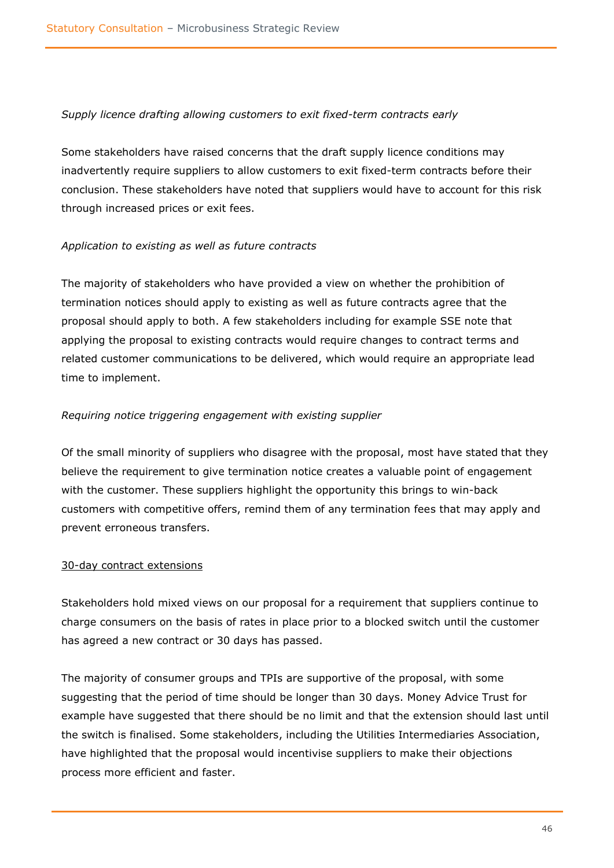#### *Supply licence drafting allowing customers to exit fixed-term contracts early*

Some stakeholders have raised concerns that the draft supply licence conditions may inadvertently require suppliers to allow customers to exit fixed-term contracts before their conclusion. These stakeholders have noted that suppliers would have to account for this risk through increased prices or exit fees.

#### *Application to existing as well as future contracts*

The majority of stakeholders who have provided a view on whether the prohibition of termination notices should apply to existing as well as future contracts agree that the proposal should apply to both. A few stakeholders including for example SSE note that applying the proposal to existing contracts would require changes to contract terms and related customer communications to be delivered, which would require an appropriate lead time to implement.

#### *Requiring notice triggering engagement with existing supplier*

Of the small minority of suppliers who disagree with the proposal, most have stated that they believe the requirement to give termination notice creates a valuable point of engagement with the customer. These suppliers highlight the opportunity this brings to win-back customers with competitive offers, remind them of any termination fees that may apply and prevent erroneous transfers.

#### 30-day contract extensions

Stakeholders hold mixed views on our proposal for a requirement that suppliers continue to charge consumers on the basis of rates in place prior to a blocked switch until the customer has agreed a new contract or 30 days has passed.

The majority of consumer groups and TPIs are supportive of the proposal, with some suggesting that the period of time should be longer than 30 days. Money Advice Trust for example have suggested that there should be no limit and that the extension should last until the switch is finalised. Some stakeholders, including the Utilities Intermediaries Association, have highlighted that the proposal would incentivise suppliers to make their objections process more efficient and faster.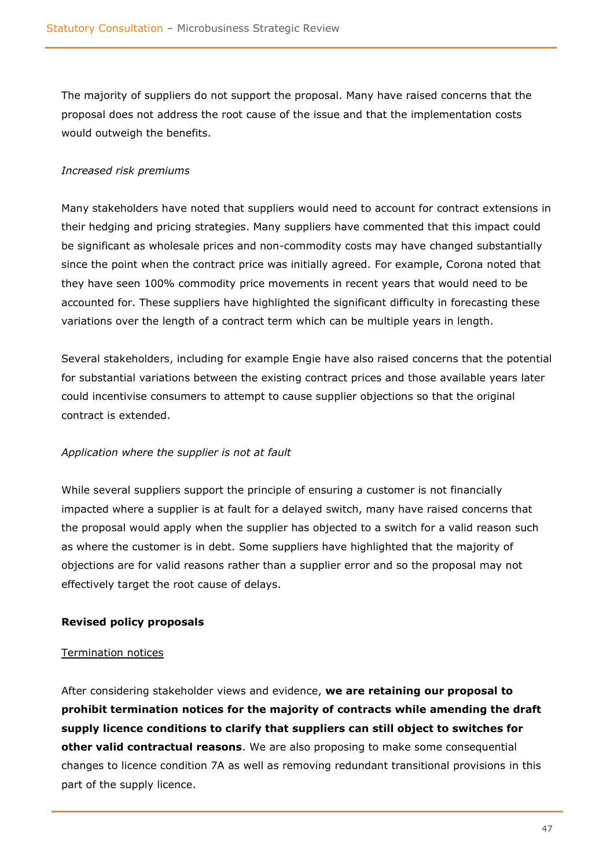The majority of suppliers do not support the proposal. Many have raised concerns that the proposal does not address the root cause of the issue and that the implementation costs would outweigh the benefits.

#### *Increased risk premiums*

Many stakeholders have noted that suppliers would need to account for contract extensions in their hedging and pricing strategies. Many suppliers have commented that this impact could be significant as wholesale prices and non-commodity costs may have changed substantially since the point when the contract price was initially agreed. For example, Corona noted that they have seen 100% commodity price movements in recent years that would need to be accounted for. These suppliers have highlighted the significant difficulty in forecasting these variations over the length of a contract term which can be multiple years in length.

Several stakeholders, including for example Engie have also raised concerns that the potential for substantial variations between the existing contract prices and those available years later could incentivise consumers to attempt to cause supplier objections so that the original contract is extended.

#### *Application where the supplier is not at fault*

While several suppliers support the principle of ensuring a customer is not financially impacted where a supplier is at fault for a delayed switch, many have raised concerns that the proposal would apply when the supplier has objected to a switch for a valid reason such as where the customer is in debt. Some suppliers have highlighted that the majority of objections are for valid reasons rather than a supplier error and so the proposal may not effectively target the root cause of delays.

#### <span id="page-46-0"></span>**Revised policy proposals**

#### Termination notices

After considering stakeholder views and evidence, **we are retaining our proposal to prohibit termination notices for the majority of contracts while amending the draft supply licence conditions to clarify that suppliers can still object to switches for other valid contractual reasons**. We are also proposing to make some consequential changes to licence condition 7A as well as removing redundant transitional provisions in this part of the supply licence.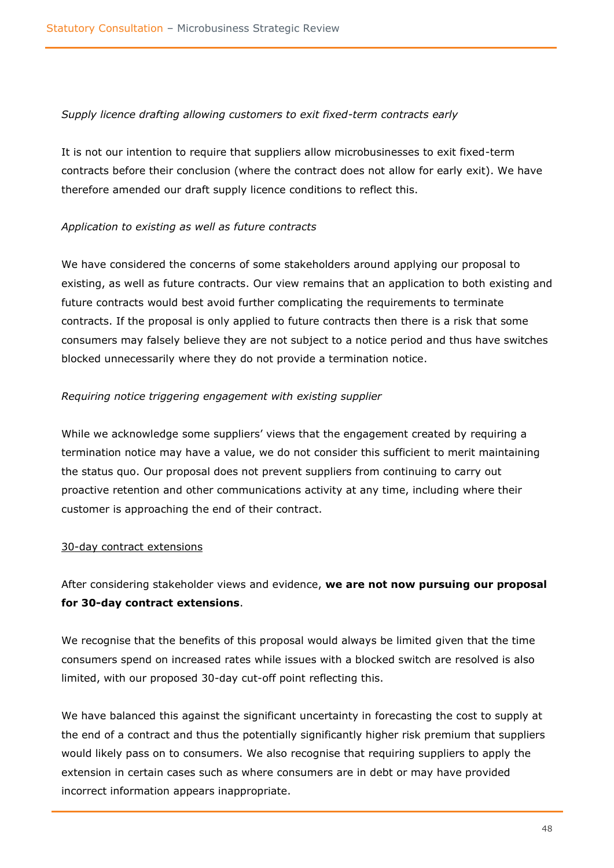#### *Supply licence drafting allowing customers to exit fixed-term contracts early*

It is not our intention to require that suppliers allow microbusinesses to exit fixed-term contracts before their conclusion (where the contract does not allow for early exit). We have therefore amended our draft supply licence conditions to reflect this.

### *Application to existing as well as future contracts*

We have considered the concerns of some stakeholders around applying our proposal to existing, as well as future contracts. Our view remains that an application to both existing and future contracts would best avoid further complicating the requirements to terminate contracts. If the proposal is only applied to future contracts then there is a risk that some consumers may falsely believe they are not subject to a notice period and thus have switches blocked unnecessarily where they do not provide a termination notice.

#### *Requiring notice triggering engagement with existing supplier*

While we acknowledge some suppliers' views that the engagement created by requiring a termination notice may have a value, we do not consider this sufficient to merit maintaining the status quo. Our proposal does not prevent suppliers from continuing to carry out proactive retention and other communications activity at any time, including where their customer is approaching the end of their contract.

#### 30-day contract extensions

After considering stakeholder views and evidence, **we are not now pursuing our proposal for 30-day contract extensions**.

We recognise that the benefits of this proposal would always be limited given that the time consumers spend on increased rates while issues with a blocked switch are resolved is also limited, with our proposed 30-day cut-off point reflecting this.

We have balanced this against the significant uncertainty in forecasting the cost to supply at the end of a contract and thus the potentially significantly higher risk premium that suppliers would likely pass on to consumers. We also recognise that requiring suppliers to apply the extension in certain cases such as where consumers are in debt or may have provided incorrect information appears inappropriate.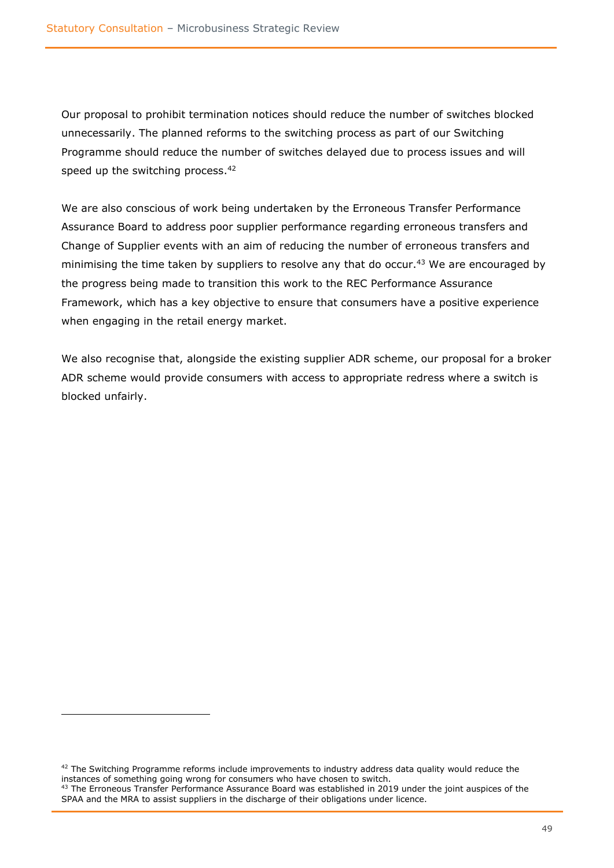Our proposal to prohibit termination notices should reduce the number of switches blocked unnecessarily. The planned reforms to the switching process as part of our Switching Programme should reduce the number of switches delayed due to process issues and will speed up the switching process.<sup>42</sup>

We are also conscious of work being undertaken by the Erroneous Transfer Performance Assurance Board to address poor supplier performance regarding erroneous transfers and Change of Supplier events with an aim of reducing the number of erroneous transfers and minimising the time taken by suppliers to resolve any that do occur.<sup>43</sup> We are encouraged by the progress being made to transition this work to the REC Performance Assurance Framework, which has a key objective to ensure that consumers have a positive experience when engaging in the retail energy market.

We also recognise that, alongside the existing supplier ADR scheme, our proposal for a broker ADR scheme would provide consumers with access to appropriate redress where a switch is blocked unfairly.

 $42$  The Switching Programme reforms include improvements to industry address data quality would reduce the instances of something going wrong for consumers who have chosen to switch.

<sup>&</sup>lt;sup>43</sup> The Erroneous Transfer Performance Assurance Board was established in 2019 under the joint auspices of the SPAA and the MRA to assist suppliers in the discharge of their obligations under licence.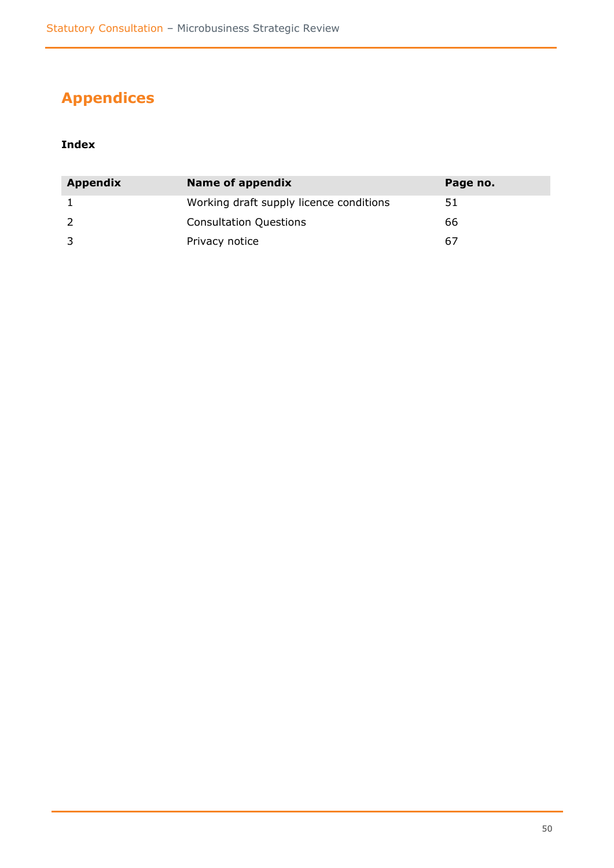# <span id="page-49-0"></span>**Appendices**

### **Index**

| <b>Appendix</b> | Name of appendix                        | Page no. |
|-----------------|-----------------------------------------|----------|
|                 | Working draft supply licence conditions | 51       |
|                 | <b>Consultation Questions</b>           | 66       |
|                 | Privacy notice                          | 67       |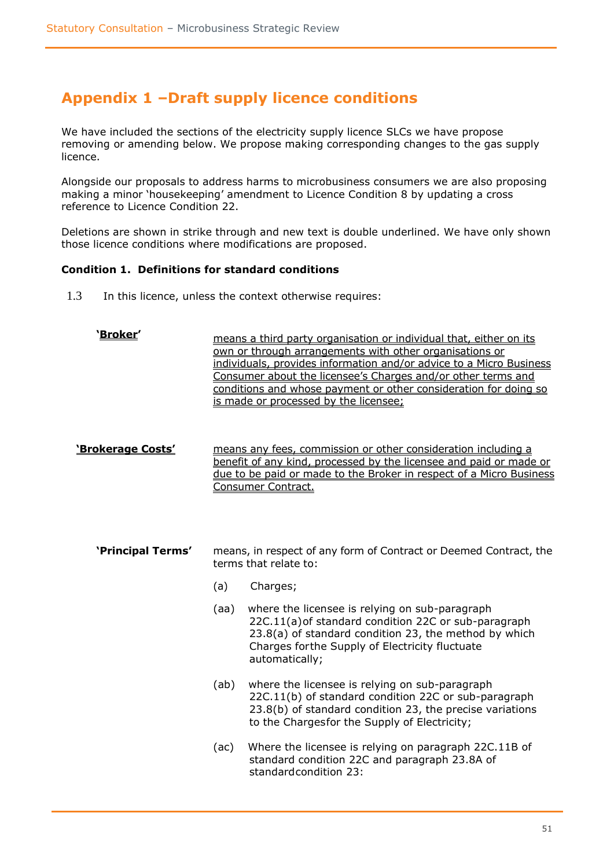# <span id="page-50-0"></span>**Appendix 1 –Draft supply licence conditions**

We have included the sections of the electricity supply licence SLCs we have propose removing or amending below. We propose making corresponding changes to the gas supply licence.

Alongside our proposals to address harms to microbusiness consumers we are also proposing making a minor 'housekeeping' amendment to Licence Condition 8 by updating a cross reference to Licence Condition 22.

Deletions are shown in strike through and new text is double underlined. We have only shown those licence conditions where modifications are proposed.

#### **Condition 1. Definitions for standard conditions**

1.3 In this licence, unless the context otherwise requires:

| <u>'Broker'</u>   |                                                                                                                                                                                                                                  | means a third party organisation or individual that, either on its<br>own or through arrangements with other organisations or<br>individuals, provides information and/or advice to a Micro Business<br>Consumer about the licensee's Charges and/or other terms and<br>conditions and whose payment or other consideration for doing so<br>is made or processed by the licensee; |  |
|-------------------|----------------------------------------------------------------------------------------------------------------------------------------------------------------------------------------------------------------------------------|-----------------------------------------------------------------------------------------------------------------------------------------------------------------------------------------------------------------------------------------------------------------------------------------------------------------------------------------------------------------------------------|--|
| 'Brokerage Costs' | means any fees, commission or other consideration including a<br>benefit of any kind, processed by the licensee and paid or made or<br>due to be paid or made to the Broker in respect of a Micro Business<br>Consumer Contract. |                                                                                                                                                                                                                                                                                                                                                                                   |  |
| 'Principal Terms' | means, in respect of any form of Contract or Deemed Contract, the<br>terms that relate to:                                                                                                                                       |                                                                                                                                                                                                                                                                                                                                                                                   |  |
|                   | (a)                                                                                                                                                                                                                              | Charges;                                                                                                                                                                                                                                                                                                                                                                          |  |
|                   | (aa)                                                                                                                                                                                                                             | where the licensee is relying on sub-paragraph<br>22C.11(a) of standard condition 22C or sub-paragraph<br>23.8(a) of standard condition 23, the method by which<br>Charges forthe Supply of Electricity fluctuate<br>automatically;                                                                                                                                               |  |
|                   | (ab)                                                                                                                                                                                                                             | where the licensee is relying on sub-paragraph<br>22C.11(b) of standard condition 22C or sub-paragraph<br>23.8(b) of standard condition 23, the precise variations<br>to the Chargesfor the Supply of Electricity;                                                                                                                                                                |  |
|                   | (ac)                                                                                                                                                                                                                             | Where the licensee is relying on paragraph 22C.11B of<br>standard condition 22C and paragraph 23.8A of<br>standardcondition 23:                                                                                                                                                                                                                                                   |  |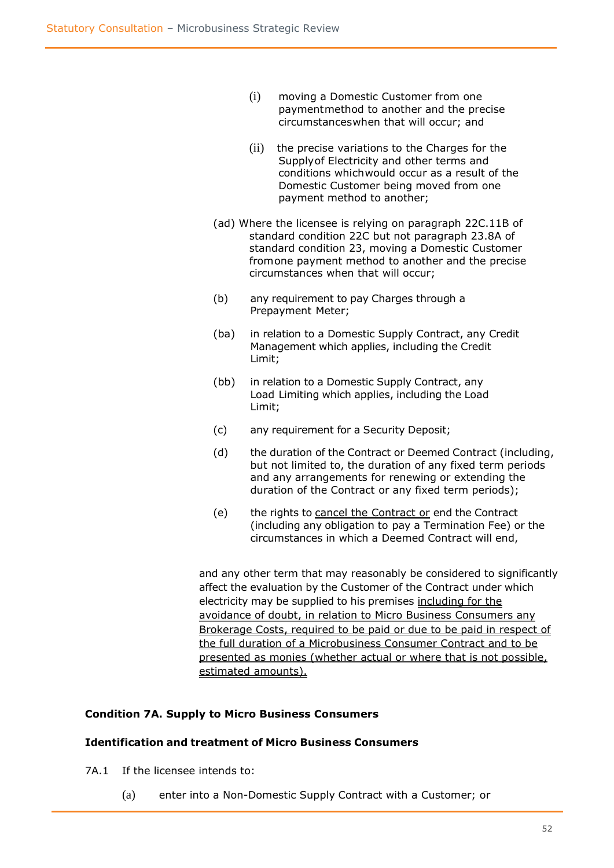- (i) moving a Domestic Customer from one paymentmethod to another and the precise circumstanceswhen that will occur; and
- (ii) the precise variations to the Charges for the Supplyof Electricity and other terms and conditions whichwould occur as a result of the Domestic Customer being moved from one payment method to another;
- (ad) Where the licensee is relying on paragraph 22C.11B of standard condition 22C but not paragraph 23.8A of standard condition 23, moving a Domestic Customer fromone payment method to another and the precise circumstances when that will occur;
- (b) any requirement to pay Charges through a Prepayment Meter;
- (ba) in relation to a Domestic Supply Contract, any Credit Management which applies, including the Credit Limit;
- (bb) in relation to a Domestic Supply Contract, any Load Limiting which applies, including the Load Limit;
- (c) any requirement for a Security Deposit;
- (d) the duration of the Contract or Deemed Contract (including, but not limited to, the duration of any fixed term periods and any arrangements for renewing or extending the duration of the Contract or any fixed term periods);
- (e) the rights to cancel the Contract or end the Contract (including any obligation to pay a Termination Fee) or the circumstances in which a Deemed Contract will end,

and any other term that may reasonably be considered to significantly affect the evaluation by the Customer of the Contract under which electricity may be supplied to his premises including for the avoidance of doubt, in relation to Micro Business Consumers any Brokerage Costs, required to be paid or due to be paid in respect of the full duration of a Microbusiness Consumer Contract and to be presented as monies (whether actual or where that is not possible, estimated amounts).

#### **Condition 7A. Supply to Micro Business Consumers**

#### **Identification and treatment of Micro Business Consumers**

- 7A.1 If the licensee intends to:
	- (a) enter into a Non-Domestic Supply Contract with a Customer; or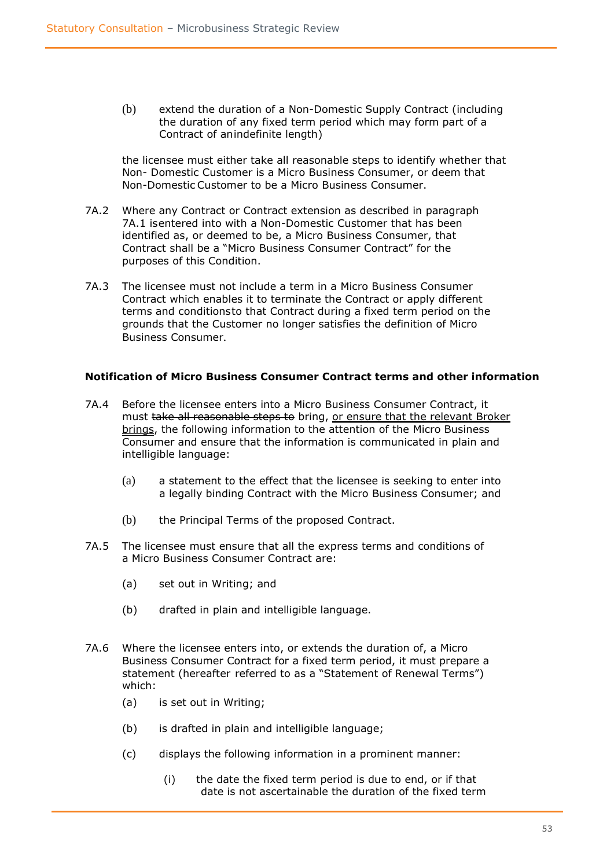(b) extend the duration of a Non-Domestic Supply Contract (including the duration of any fixed term period which may form part of a Contract of anindefinite length)

the licensee must either take all reasonable steps to identify whether that Non- Domestic Customer is a Micro Business Consumer, or deem that Non-Domestic Customer to be a Micro Business Consumer.

- 7A.2 Where any Contract or Contract extension as described in paragraph 7A.1 isentered into with a Non-Domestic Customer that has been identified as, or deemed to be, a Micro Business Consumer, that Contract shall be a "Micro Business Consumer Contract" for the purposes of this Condition.
- 7A.3 The licensee must not include a term in a Micro Business Consumer Contract which enables it to terminate the Contract or apply different terms and conditionsto that Contract during a fixed term period on the grounds that the Customer no longer satisfies the definition of Micro Business Consumer.

#### **Notification of Micro Business Consumer Contract terms and other information**

- 7A.4 Before the licensee enters into a Micro Business Consumer Contract, it must take all reasonable steps to bring, or ensure that the relevant Broker brings, the following information to the attention of the Micro Business Consumer and ensure that the information is communicated in plain and intelligible language:
	- (a) a statement to the effect that the licensee is seeking to enter into a legally binding Contract with the Micro Business Consumer; and
	- (b) the Principal Terms of the proposed Contract.
- 7A.5 The licensee must ensure that all the express terms and conditions of a Micro Business Consumer Contract are:
	- (a) set out in Writing; and
	- (b) drafted in plain and intelligible language.
- 7A.6 Where the licensee enters into, or extends the duration of, a Micro Business Consumer Contract for a fixed term period, it must prepare a statement (hereafter referred to as a "Statement of Renewal Terms") which:
	- (a) is set out in Writing;
	- (b) is drafted in plain and intelligible language;
	- (c) displays the following information in a prominent manner:
		- (i) the date the fixed term period is due to end, or if that date is not ascertainable the duration of the fixed term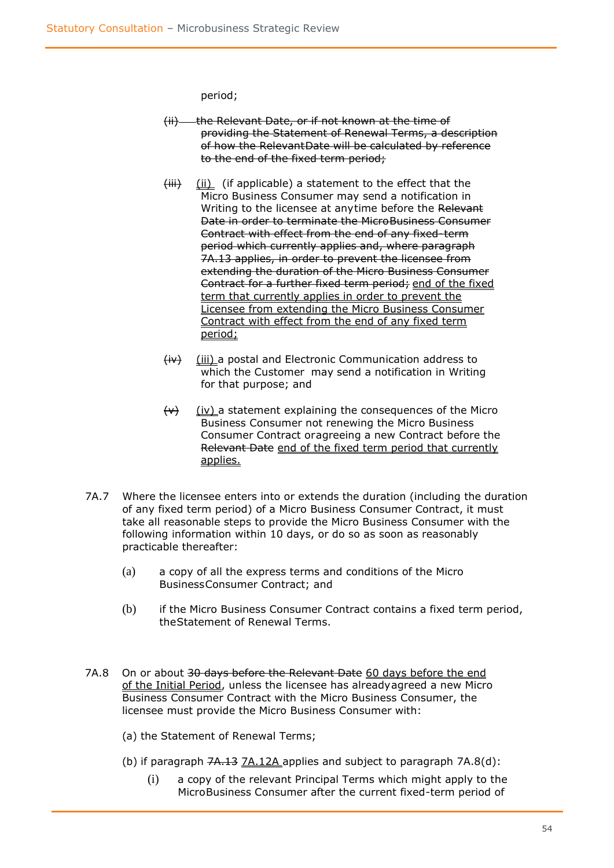period;

- (ii) the Relevant Date, or if not known at the time of providing the Statement of Renewal Terms, a description of how the RelevantDate will be calculated by reference to the end of the fixed term period;
- $(iii)$  (ii) (if applicable) a statement to the effect that the Micro Business Consumer may send a notification in Writing to the licensee at anytime before the Relevant Date in order to terminate the MicroBusiness Consumer Contract with effect from the end of any fixed-term period which currently applies and, where paragraph 7A.13 applies, in order to prevent the licensee from extending the duration of the Micro Business Consumer Contract for a further fixed term period; end of the fixed term that currently applies in order to prevent the Licensee from extending the Micro Business Consumer Contract with effect from the end of any fixed term period;
- $(iv)$  (iii) a postal and Electronic Communication address to which the Customer may send a notification in Writing for that purpose; and
- $(v)$  (iv) a statement explaining the consequences of the Micro Business Consumer not renewing the Micro Business Consumer Contract oragreeing a new Contract before the Relevant Date end of the fixed term period that currently applies.
- 7A.7 Where the licensee enters into or extends the duration (including the duration of any fixed term period) of a Micro Business Consumer Contract, it must take all reasonable steps to provide the Micro Business Consumer with the following information within 10 days, or do so as soon as reasonably practicable thereafter:
	- (a) a copy of all the express terms and conditions of the Micro BusinessConsumer Contract; and
	- (b) if the Micro Business Consumer Contract contains a fixed term period, theStatement of Renewal Terms.
- 7A.8 On or about 30 days before the Relevant Date 60 days before the end of the Initial Period, unless the licensee has alreadyagreed a new Micro Business Consumer Contract with the Micro Business Consumer, the licensee must provide the Micro Business Consumer with:
	- (a) the Statement of Renewal Terms;
	- (b) if paragraph 7A.13 7A.12A applies and subject to paragraph 7A.8(d):
		- (i) a copy of the relevant Principal Terms which might apply to the MicroBusiness Consumer after the current fixed-term period of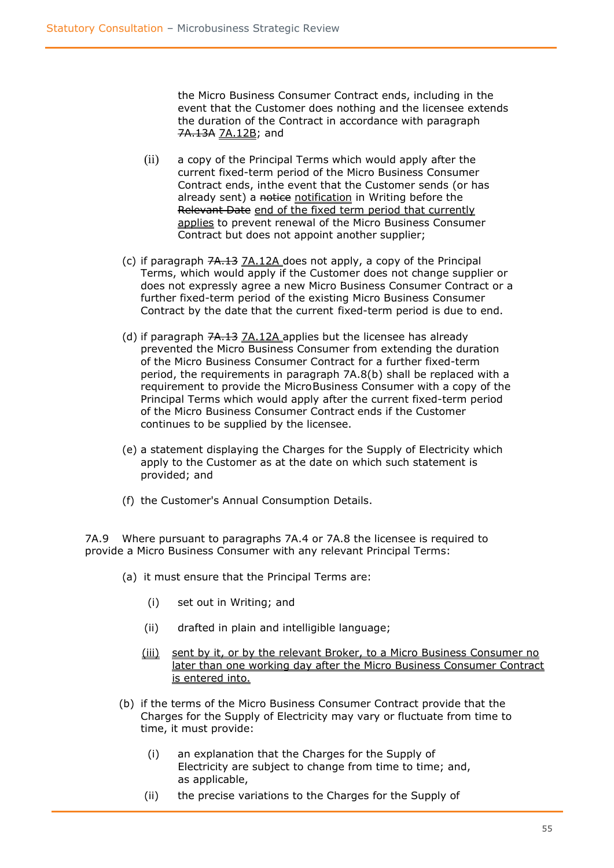the Micro Business Consumer Contract ends, including in the event that the Customer does nothing and the licensee extends the duration of the Contract in accordance with paragraph 7A.13A 7A.12B; and

- (ii) a copy of the Principal Terms which would apply after the current fixed-term period of the Micro Business Consumer Contract ends, inthe event that the Customer sends (or has already sent) a notice notification in Writing before the Relevant Date end of the fixed term period that currently applies to prevent renewal of the Micro Business Consumer Contract but does not appoint another supplier;
- (c) if paragraph 7A.13 7A.12A does not apply, a copy of the Principal Terms, which would apply if the Customer does not change supplier or does not expressly agree a new Micro Business Consumer Contract or a further fixed-term period of the existing Micro Business Consumer Contract by the date that the current fixed-term period is due to end.
- (d) if paragraph 7A.13 7A.12A applies but the licensee has already prevented the Micro Business Consumer from extending the duration of the Micro Business Consumer Contract for a further fixed-term period, the requirements in paragraph 7A.8(b) shall be replaced with a requirement to provide the MicroBusiness Consumer with a copy of the Principal Terms which would apply after the current fixed-term period of the Micro Business Consumer Contract ends if the Customer continues to be supplied by the licensee.
- (e) a statement displaying the Charges for the Supply of Electricity which apply to the Customer as at the date on which such statement is provided; and
- (f) the Customer's Annual Consumption Details.

7A.9 Where pursuant to paragraphs 7A.4 or 7A.8 the licensee is required to provide a Micro Business Consumer with any relevant Principal Terms:

- (a) it must ensure that the Principal Terms are:
	- (i) set out in Writing; and
	- (ii) drafted in plain and intelligible language;
	- (iii) sent by it, or by the relevant Broker, to a Micro Business Consumer no later than one working day after the Micro Business Consumer Contract is entered into.
- (b) if the terms of the Micro Business Consumer Contract provide that the Charges for the Supply of Electricity may vary or fluctuate from time to time, it must provide:
	- (i) an explanation that the Charges for the Supply of Electricity are subject to change from time to time; and, as applicable,
	- (ii) the precise variations to the Charges for the Supply of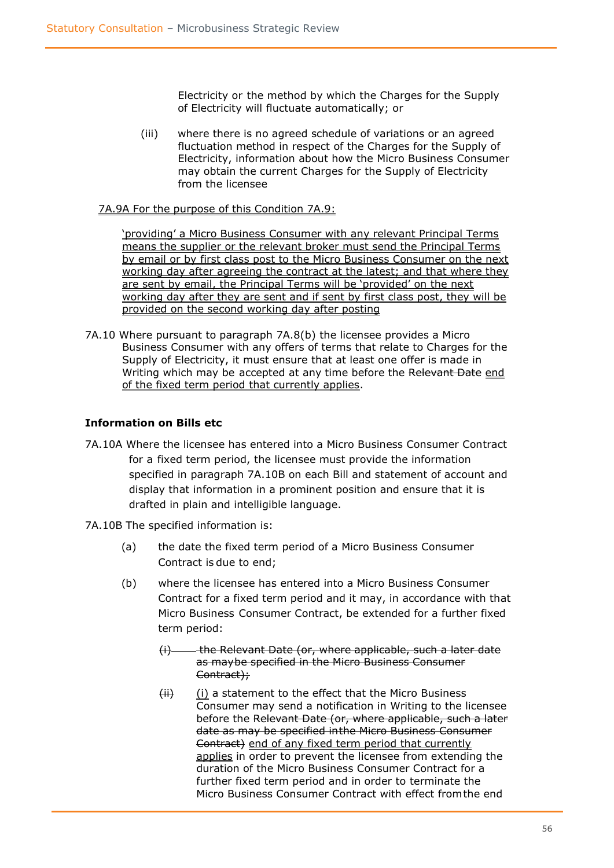Electricity or the method by which the Charges for the Supply of Electricity will fluctuate automatically; or

(iii) where there is no agreed schedule of variations or an agreed fluctuation method in respect of the Charges for the Supply of Electricity, information about how the Micro Business Consumer may obtain the current Charges for the Supply of Electricity from the licensee

#### 7A.9A For the purpose of this Condition 7A.9:

'providing' a Micro Business Consumer with any relevant Principal Terms means the supplier or the relevant broker must send the Principal Terms by email or by first class post to the Micro Business Consumer on the next working day after agreeing the contract at the latest; and that where they are sent by email, the Principal Terms will be 'provided' on the next working day after they are sent and if sent by first class post, they will be provided on the second working day after posting

7A.10 Where pursuant to paragraph 7A.8(b) the licensee provides a Micro Business Consumer with any offers of terms that relate to Charges for the Supply of Electricity, it must ensure that at least one offer is made in Writing which may be accepted at any time before the Relevant Date end of the fixed term period that currently applies.

#### **Information on Bills etc**

- 7A.10A Where the licensee has entered into a Micro Business Consumer Contract for a fixed term period, the licensee must provide the information specified in paragraph 7A.10B on each Bill and statement of account and display that information in a prominent position and ensure that it is drafted in plain and intelligible language.
- 7A.10B The specified information is:
	- (a) the date the fixed term period of a Micro Business Consumer Contract is due to end;
	- (b) where the licensee has entered into a Micro Business Consumer Contract for a fixed term period and it may, in accordance with that Micro Business Consumer Contract, be extended for a further fixed term period:
		- (i) the Relevant Date (or, where applicable, such a later date as maybe specified in the Micro Business Consumer Contract);
		- $(ii)$  (i) a statement to the effect that the Micro Business Consumer may send a notification in Writing to the licensee before the Relevant Date (or, where applicable, such a later date as may be specified inthe Micro Business Consumer Contract) end of any fixed term period that currently applies in order to prevent the licensee from extending the duration of the Micro Business Consumer Contract for a further fixed term period and in order to terminate the Micro Business Consumer Contract with effect fromthe end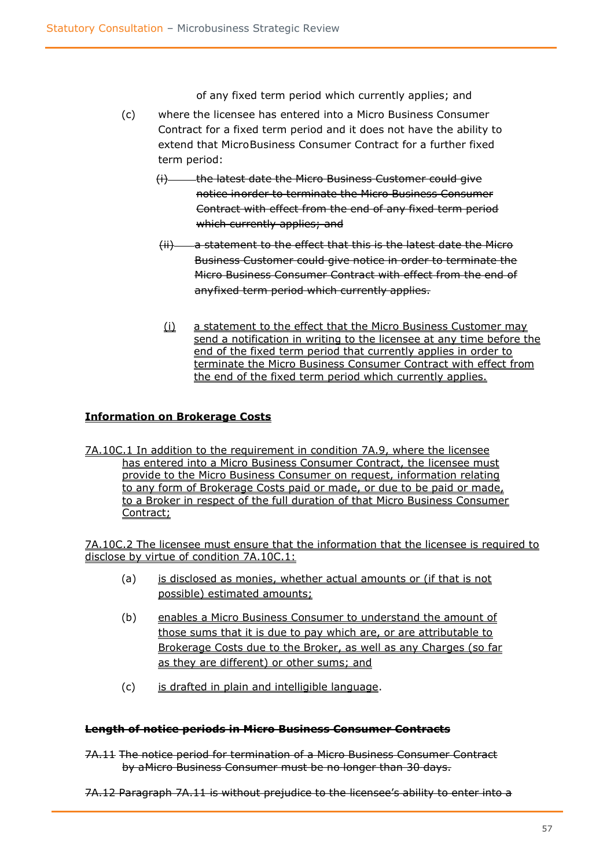of any fixed term period which currently applies; and

- (c) where the licensee has entered into a Micro Business Consumer Contract for a fixed term period and it does not have the ability to extend that MicroBusiness Consumer Contract for a further fixed term period:
	- (i) the latest date the Micro Business Customer could give notice inorder to terminate the Micro Business Consumer Contract with effect from the end of any fixed term period which currently applies; and
	- (ii) a statement to the effect that this is the latest date the Micro Business Customer could give notice in order to terminate the Micro Business Consumer Contract with effect from the end of anyfixed term period which currently applies.
	- (i) a statement to the effect that the Micro Business Customer may send a notification in writing to the licensee at any time before the end of the fixed term period that currently applies in order to terminate the Micro Business Consumer Contract with effect from the end of the fixed term period which currently applies.

#### **Information on Brokerage Costs**

7A.10C.1 In addition to the requirement in condition 7A.9, where the licensee has entered into a Micro Business Consumer Contract, the licensee must provide to the Micro Business Consumer on request, information relating to any form of Brokerage Costs paid or made, or due to be paid or made, to a Broker in respect of the full duration of that Micro Business Consumer Contract;

7A.10C.2 The licensee must ensure that the information that the licensee is required to disclose by virtue of condition 7A.10C.1:

- (a) is disclosed as monies, whether actual amounts or (if that is not possible) estimated amounts;
- (b) enables a Micro Business Consumer to understand the amount of those sums that it is due to pay which are, or are attributable to Brokerage Costs due to the Broker, as well as any Charges (so far as they are different) or other sums; and
- (c) is drafted in plain and intelligible language.

#### **Length of notice periods in Micro Business Consumer Contracts**

- 7A.11 The notice period for termination of a Micro Business Consumer Contract by aMicro Business Consumer must be no longer than 30 days.
- 7A.12 Paragraph 7A.11 is without prejudice to the licensee's ability to enter into a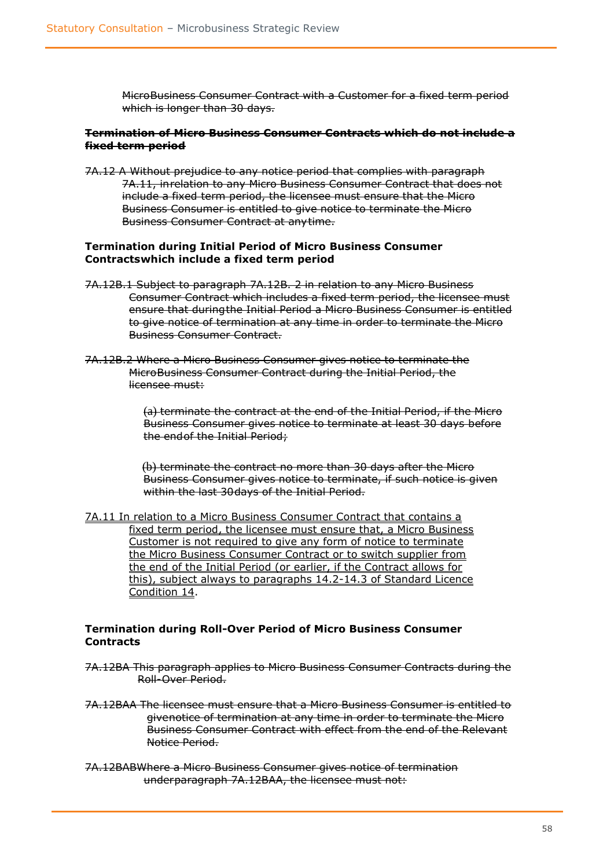MicroBusiness Consumer Contract with a Customer for a fixed term period which is longer than 30 days.

#### **Termination of Micro Business Consumer Contracts which do not include a fixed term period**

7A.12 A Without prejudice to any notice period that complies with paragraph 7A.11, inrelation to any Micro Business Consumer Contract that does not include a fixed term period, the licensee must ensure that the Micro Business Consumer is entitled to give notice to terminate the Micro Business Consumer Contract at anytime.

#### **Termination during Initial Period of Micro Business Consumer Contractswhich include a fixed term period**

- 7A.12B.1 Subject to paragraph 7A.12B. 2 in relation to any Micro Business Consumer Contract which includes a fixed term period, the licensee must ensure that duringthe Initial Period a Micro Business Consumer is entitled to give notice of termination at any time in order to terminate the Micro Business Consumer Contract.
- 7A.12B.2 Where a Micro Business Consumer gives notice to terminate the MicroBusiness Consumer Contract during the Initial Period, the licensee must:

(a) terminate the contract at the end of the Initial Period, if the Micro Business Consumer gives notice to terminate at least 30 days before the endof the Initial Period;

(b) terminate the contract no more than 30 days after the Micro Business Consumer gives notice to terminate, if such notice is given within the last 30 days of the Initial Period.

7A.11 In relation to a Micro Business Consumer Contract that contains a fixed term period, the licensee must ensure that, a Micro Business Customer is not required to give any form of notice to terminate the Micro Business Consumer Contract or to switch supplier from the end of the Initial Period (or earlier, if the Contract allows for this), subject always to paragraphs 14.2-14.3 of Standard Licence Condition 14.

#### **Termination during Roll-Over Period of Micro Business Consumer Contracts**

- 7A.12BA This paragraph applies to Micro Business Consumer Contracts during the Roll-Over Period.
- 7A.12BAA The licensee must ensure that a Micro Business Consumer is entitled to givenotice of termination at any time in order to terminate the Micro Business Consumer Contract with effect from the end of the Relevant Notice Period.
- 7A.12BABWhere a Micro Business Consumer gives notice of termination underparagraph 7A.12BAA, the licensee must not: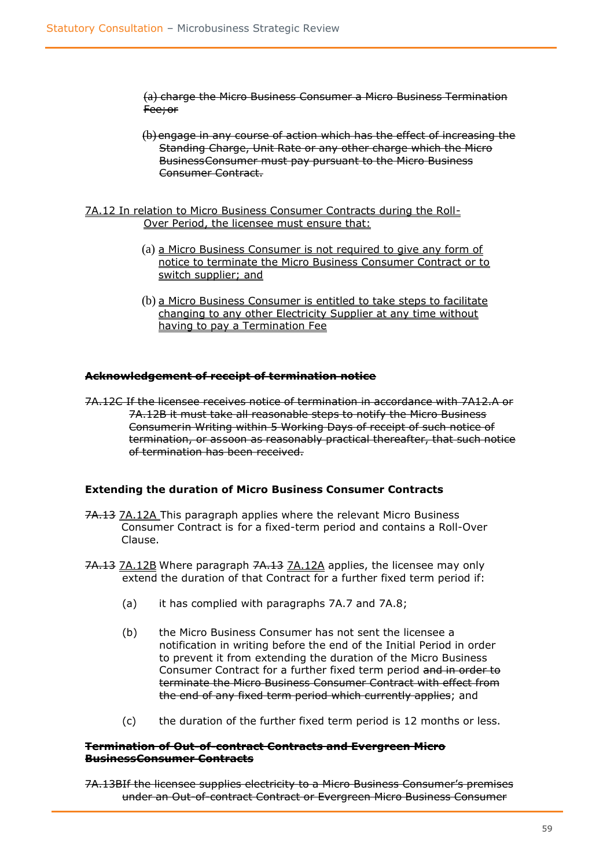(a) charge the Micro Business Consumer a Micro Business Termination Fee;or

(b) engage in any course of action which has the effect of increasing the Standing Charge, Unit Rate or any other charge which the Micro BusinessConsumer must pay pursuant to the Micro Business Consumer Contract.

#### 7A.12 In relation to Micro Business Consumer Contracts during the Roll-Over Period, the licensee must ensure that:

- (a) a Micro Business Consumer is not required to give any form of notice to terminate the Micro Business Consumer Contract or to switch supplier; and
- (b) a Micro Business Consumer is entitled to take steps to facilitate changing to any other Electricity Supplier at any time without having to pay a Termination Fee

#### **Acknowledgement of receipt of termination notice**

7A.12C If the licensee receives notice of termination in accordance with 7A12.A or 7A.12B it must take all reasonable steps to notify the Micro Business Consumerin Writing within 5 Working Days of receipt of such notice of termination, or assoon as reasonably practical thereafter, that such notice of termination has been received.

#### **Extending the duration of Micro Business Consumer Contracts**

- 7A.13 7A.12A This paragraph applies where the relevant Micro Business Consumer Contract is for a fixed-term period and contains a Roll-Over Clause.
- 7A.13 7A.12B Where paragraph 7A.13 7A.12A applies, the licensee may only extend the duration of that Contract for a further fixed term period if:
	- (a) it has complied with paragraphs 7A.7 and 7A.8;
	- (b) the Micro Business Consumer has not sent the licensee a notification in writing before the end of the Initial Period in order to prevent it from extending the duration of the Micro Business Consumer Contract for a further fixed term period and in order to terminate the Micro Business Consumer Contract with effect from the end of any fixed term period which currently applies; and
	- (c) the duration of the further fixed term period is 12 months or less.

#### **Termination of Out-of-contract Contracts and Evergreen Micro BusinessConsumer Contracts**

7A.13BIf the licensee supplies electricity to a Micro Business Consumer's premises under an Out-of-contract Contract or Evergreen Micro Business Consumer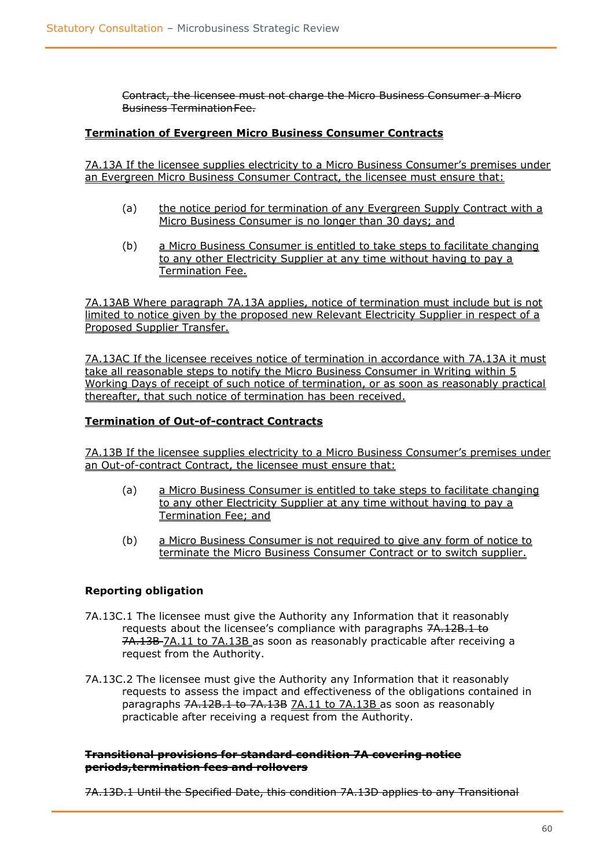Contract, the licensee must not charge the Micro Business Consumer a Micro Business TerminationFee.

#### **Termination of Evergreen Micro Business Consumer Contracts**

7A.13A If the licensee supplies electricity to a Micro Business Consumer's premises under an Evergreen Micro Business Consumer Contract, the licensee must ensure that:

- (a) the notice period for termination of any Evergreen Supply Contract with a Micro Business Consumer is no longer than 30 days; and
- (b) a Micro Business Consumer is entitled to take steps to facilitate changing to any other Electricity Supplier at any time without having to pay a Termination Fee.

7A.13AB Where paragraph 7A.13A applies, notice of termination must include but is not limited to notice given by the proposed new Relevant Electricity Supplier in respect of a Proposed Supplier Transfer.

7A.13AC If the licensee receives notice of termination in accordance with 7A.13A it must take all reasonable steps to notify the Micro Business Consumer in Writing within 5 Working Days of receipt of such notice of termination, or as soon as reasonably practical thereafter, that such notice of termination has been received.

#### **Termination of Out-of-contract Contracts**

7A.13B If the licensee supplies electricity to a Micro Business Consumer's premises under an Out-of-contract Contract, the licensee must ensure that:

- (a) a Micro Business Consumer is entitled to take steps to facilitate changing to any other Electricity Supplier at any time without having to pay a Termination Fee; and
- (b) a Micro Business Consumer is not required to give any form of notice to terminate the Micro Business Consumer Contract or to switch supplier.

#### **Reporting obligation**

- 7A.13C.1 The licensee must give the Authority any Information that it reasonably requests about the licensee's compliance with paragraphs 7A.12B.1 to 7A.13B 7A.11 to 7A.13B as soon as reasonably practicable after receiving a request from the Authority.
- 7A.13C.2 The licensee must give the Authority any Information that it reasonably requests to assess the impact and effectiveness of the obligations contained in paragraphs 7A.12B.1 to 7A.13B 7A.11 to 7A.13B as soon as reasonably practicable after receiving a request from the Authority.

#### **Transitional provisions for standard condition 7A covering notice periods,termination fees and rollovers**

7A.13D.1 Until the Specified Date, this condition 7A.13D applies to any Transitional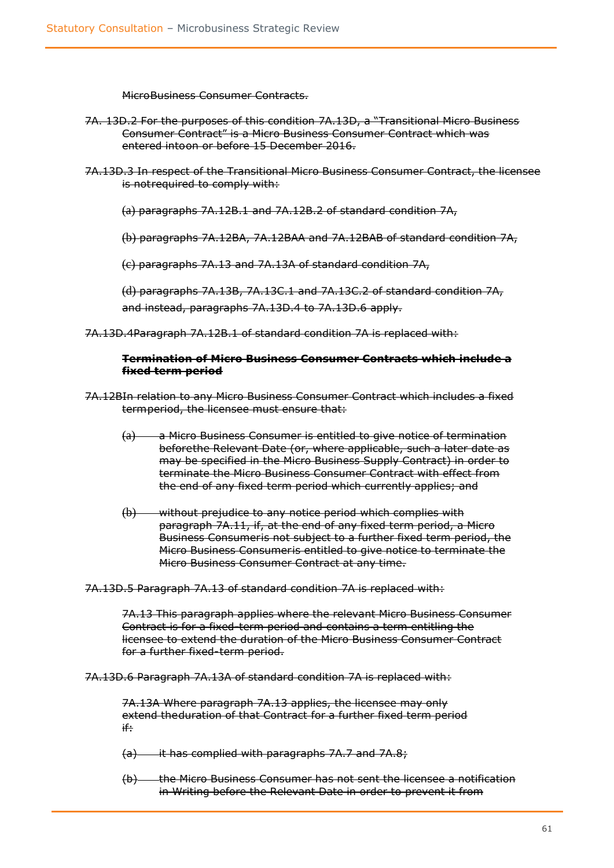MicroBusiness Consumer Contracts.

- 7A. 13D.2 For the purposes of this condition 7A.13D, a "Transitional Micro Business Consumer Contract" is a Micro Business Consumer Contract which was entered intoon or before 15 December 2016.
- 7A.13D.3 In respect of the Transitional Micro Business Consumer Contract, the licensee is notrequired to comply with:
	- (a) paragraphs 7A.12B.1 and 7A.12B.2 of standard condition 7A,
	- (b) paragraphs 7A.12BA, 7A.12BAA and 7A.12BAB of standard condition 7A,

(c) paragraphs 7A.13 and 7A.13A of standard condition 7A,

(d) paragraphs 7A.13B, 7A.13C.1 and 7A.13C.2 of standard condition 7A, and instead, paragraphs 7A.13D.4 to 7A.13D.6 apply.

7A.13D.4Paragraph 7A.12B.1 of standard condition 7A is replaced with:

#### **Termination of Micro Business Consumer Contracts which include a fixed term period**

- 7A.12BIn relation to any Micro Business Consumer Contract which includes a fixed termperiod, the licensee must ensure that:
	- (a) a Micro Business Consumer is entitled to give notice of termination beforethe Relevant Date (or, where applicable, such a later date as may be specified in the Micro Business Supply Contract) in order to terminate the Micro Business Consumer Contract with effect from the end of any fixed term period which currently applies; and
	- (b) without prejudice to any notice period which complies with paragraph 7A.11, if, at the end of any fixed term period, a Micro Business Consumeris not subject to a further fixed term period, the Micro Business Consumeris entitled to give notice to terminate the Micro Business Consumer Contract at any time.

7A.13D.5 Paragraph 7A.13 of standard condition 7A is replaced with:

7A.13 This paragraph applies where the relevant Micro Business Consumer Contract is for a fixed-term period and contains a term entitling the licensee to extend the duration of the Micro Business Consumer Contract for a further fixed-term period.

7A.13D.6 Paragraph 7A.13A of standard condition 7A is replaced with:

7A.13A Where paragraph 7A.13 applies, the licensee may only extend theduration of that Contract for a further fixed term period if:

(a) it has complied with paragraphs 7A.7 and 7A.8;

(b) the Micro Business Consumer has not sent the licensee a notification in Writing before the Relevant Date in order to prevent it from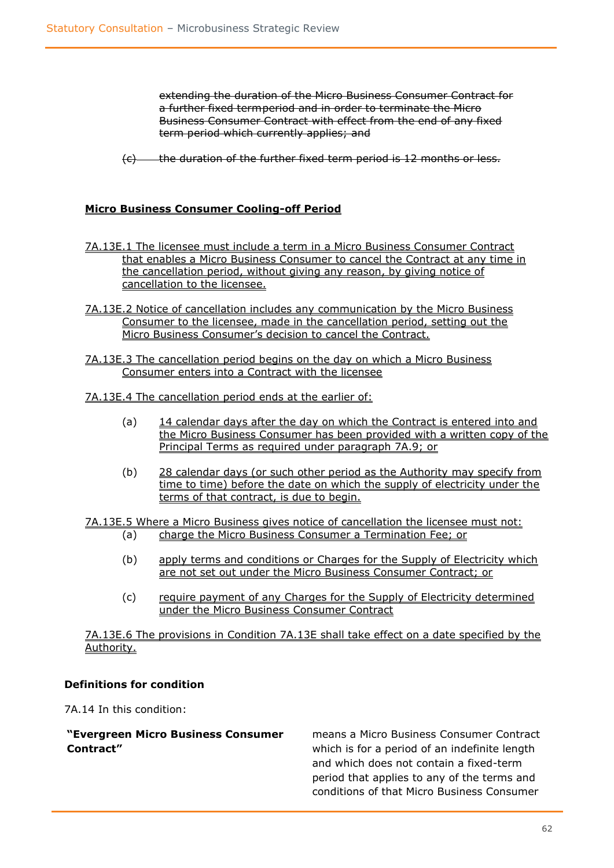extending the duration of the Micro Business Consumer Contract for a further fixed termperiod and in order to terminate the Micro Business Consumer Contract with effect from the end of any fixed term period which currently applies; and

(c) the duration of the further fixed term period is 12 months or less.

#### **Micro Business Consumer Cooling-off Period**

- 7A.13E.1 The licensee must include a term in a Micro Business Consumer Contract that enables a Micro Business Consumer to cancel the Contract at any time in the cancellation period, without giving any reason, by giving notice of cancellation to the licensee.
- 7A.13E.2 Notice of cancellation includes any communication by the Micro Business Consumer to the licensee, made in the cancellation period, setting out the Micro Business Consumer's decision to cancel the Contract.
- 7A.13E.3 The cancellation period begins on the day on which a Micro Business Consumer enters into a Contract with the licensee
- 7A.13E.4 The cancellation period ends at the earlier of:
	- (a) 14 calendar days after the day on which the Contract is entered into and the Micro Business Consumer has been provided with a written copy of the Principal Terms as required under paragraph 7A.9; or
	- (b) 28 calendar days (or such other period as the Authority may specify from time to time) before the date on which the supply of electricity under the terms of that contract, is due to begin.
- 7A.13E.5 Where a Micro Business gives notice of cancellation the licensee must not: (a) charge the Micro Business Consumer a Termination Fee; or
	- (b) apply terms and conditions or Charges for the Supply of Electricity which are not set out under the Micro Business Consumer Contract; or
	- (c) require payment of any Charges for the Supply of Electricity determined under the Micro Business Consumer Contract

7A.13E.6 The provisions in Condition 7A.13E shall take effect on a date specified by the Authority.

#### **Definitions for condition**

7A.14 In this condition:

#### **"Evergreen Micro Business Consumer Contract"**

means a Micro Business Consumer Contract which is for a period of an indefinite length and which does not contain a fixed-term period that applies to any of the terms and conditions of that Micro Business Consumer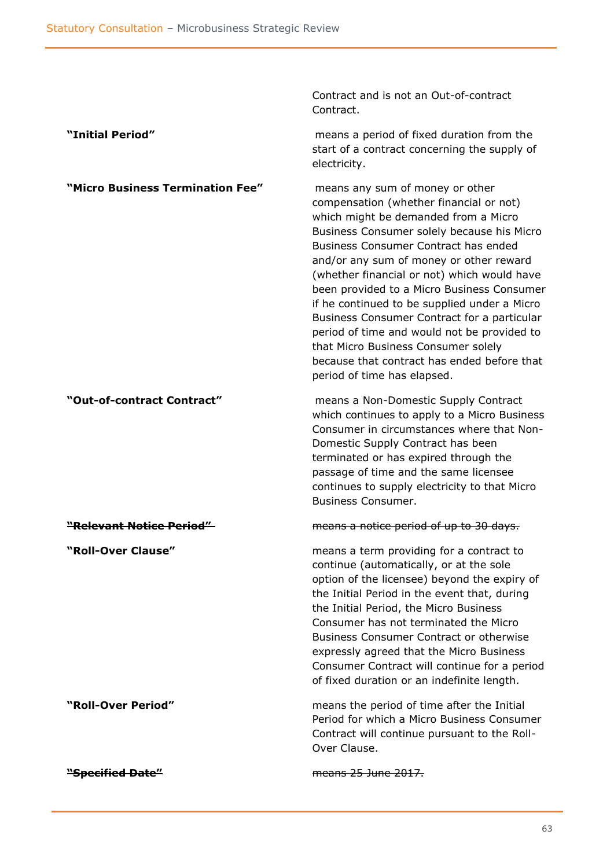|                                  | Contract and is not an Out-of-contract<br>Contract.                                                                                                                                                                                                                                                                                                                                                                                                                                                                                                                                                                 |
|----------------------------------|---------------------------------------------------------------------------------------------------------------------------------------------------------------------------------------------------------------------------------------------------------------------------------------------------------------------------------------------------------------------------------------------------------------------------------------------------------------------------------------------------------------------------------------------------------------------------------------------------------------------|
| "Initial Period"                 | means a period of fixed duration from the<br>start of a contract concerning the supply of<br>electricity.                                                                                                                                                                                                                                                                                                                                                                                                                                                                                                           |
| "Micro Business Termination Fee" | means any sum of money or other<br>compensation (whether financial or not)<br>which might be demanded from a Micro<br>Business Consumer solely because his Micro<br>Business Consumer Contract has ended<br>and/or any sum of money or other reward<br>(whether financial or not) which would have<br>been provided to a Micro Business Consumer<br>if he continued to be supplied under a Micro<br>Business Consumer Contract for a particular<br>period of time and would not be provided to<br>that Micro Business Consumer solely<br>because that contract has ended before that<br>period of time has elapsed. |
| "Out-of-contract Contract"       | means a Non-Domestic Supply Contract<br>which continues to apply to a Micro Business<br>Consumer in circumstances where that Non-<br>Domestic Supply Contract has been<br>terminated or has expired through the<br>passage of time and the same licensee<br>continues to supply electricity to that Micro<br><b>Business Consumer.</b>                                                                                                                                                                                                                                                                              |
| "Relevant Notice Period"         | means a notice period of up to 30 days.                                                                                                                                                                                                                                                                                                                                                                                                                                                                                                                                                                             |
| "Roll-Over Clause"               | means a term providing for a contract to<br>continue (automatically, or at the sole<br>option of the licensee) beyond the expiry of<br>the Initial Period in the event that, during<br>the Initial Period, the Micro Business<br>Consumer has not terminated the Micro<br><b>Business Consumer Contract or otherwise</b><br>expressly agreed that the Micro Business<br>Consumer Contract will continue for a period<br>of fixed duration or an indefinite length.                                                                                                                                                  |
| "Roll-Over Period"               | means the period of time after the Initial<br>Period for which a Micro Business Consumer<br>Contract will continue pursuant to the Roll-<br>Over Clause.                                                                                                                                                                                                                                                                                                                                                                                                                                                            |
| <del>"Specified Date"</del>      | means 25 June 2017.                                                                                                                                                                                                                                                                                                                                                                                                                                                                                                                                                                                                 |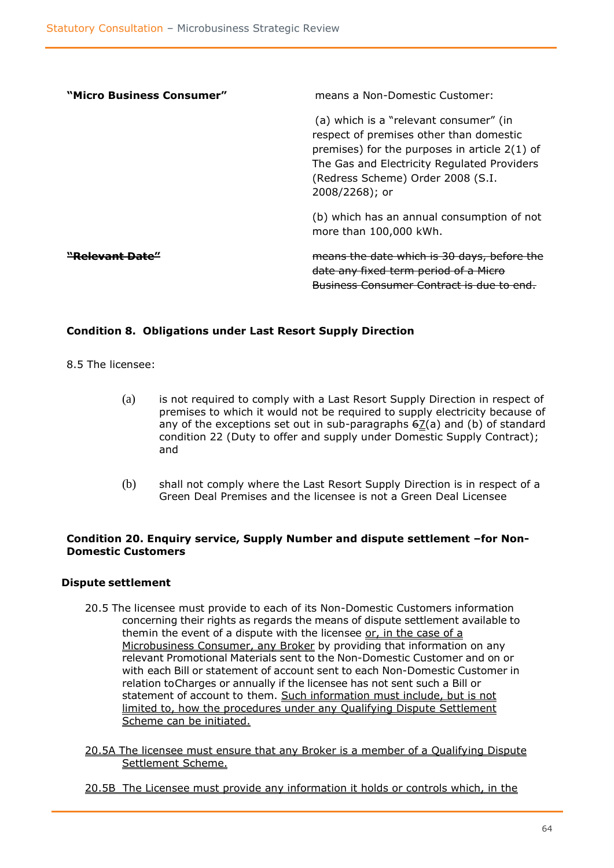| "Micro Business Consumer" | means a Non-Domestic Customer:                                                                                                                                                                                                             |
|---------------------------|--------------------------------------------------------------------------------------------------------------------------------------------------------------------------------------------------------------------------------------------|
|                           | (a) which is a "relevant consumer" (in<br>respect of premises other than domestic<br>premises) for the purposes in article $2(1)$ of<br>The Gas and Electricity Regulated Providers<br>(Redress Scheme) Order 2008 (S.I.<br>2008/2268); or |
|                           | (b) which has an annual consumption of not<br>more than 100,000 kWh.                                                                                                                                                                       |
|                           | means the date which is 30 days, before the<br>date any fixed term period of a Micro<br><del>Business Consumer Contract is due to</del>                                                                                                    |

#### **Condition 8. Obligations under Last Resort Supply Direction**

8.5 The licensee:

- (a) is not required to comply with a Last Resort Supply Direction in respect of premises to which it would not be required to supply electricity because of any of the exceptions set out in sub-paragraphs  $62(a)$  and (b) of standard condition 22 (Duty to offer and supply under Domestic Supply Contract); and
- (b) shall not comply where the Last Resort Supply Direction is in respect of a Green Deal Premises and the licensee is not a Green Deal Licensee

#### **Condition 20. Enquiry service, Supply Number and dispute settlement –for Non-Domestic Customers**

#### **Dispute settlement**

- 20.5 The licensee must provide to each of its Non-Domestic Customers information concerning their rights as regards the means of dispute settlement available to themin the event of a dispute with the licensee or, in the case of a Microbusiness Consumer, any Broker by providing that information on any relevant Promotional Materials sent to the Non-Domestic Customer and on or with each Bill or statement of account sent to each Non-Domestic Customer in relation toCharges or annually if the licensee has not sent such a Bill or statement of account to them. Such information must include, but is not limited to, how the procedures under any Qualifying Dispute Settlement Scheme can be initiated.
- 20.5A The licensee must ensure that any Broker is a member of a Qualifying Dispute Settlement Scheme.
- 20.5B The Licensee must provide any information it holds or controls which, in the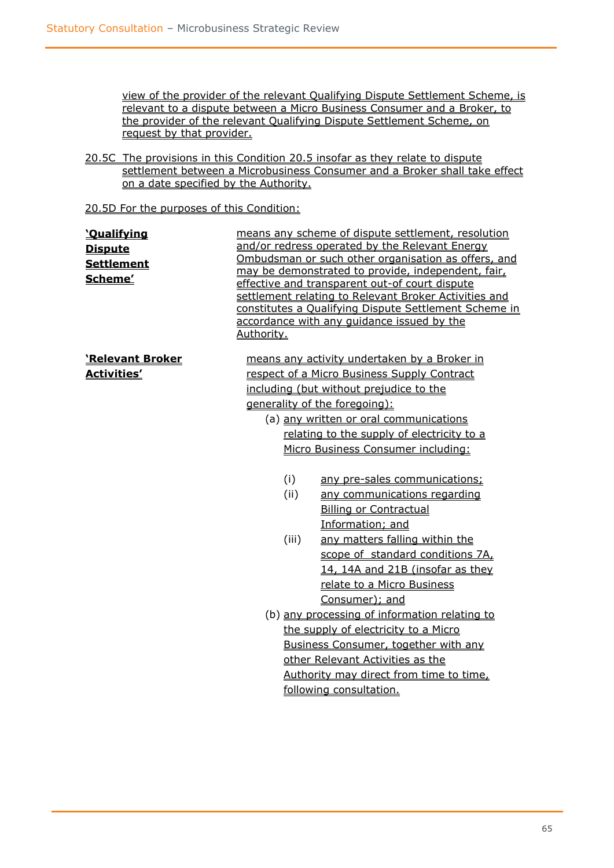view of the provider of the relevant Qualifying Dispute Settlement Scheme, is relevant to a dispute between a Micro Business Consumer and a Broker, to the provider of the relevant Qualifying Dispute Settlement Scheme, on request by that provider.

20.5C The provisions in this Condition 20.5 insofar as they relate to dispute settlement between a Microbusiness Consumer and a Broker shall take effect on a date specified by the Authority.

20.5D For the purposes of this Condition:

| <u>'Qualifying</u><br><b>Dispute</b><br><b>Settlement</b><br>Scheme' | means any scheme of dispute settlement, resolution<br>and/or redress operated by the Relevant Energy<br>Ombudsman or such other organisation as offers, and<br>may be demonstrated to provide, independent, fair,<br>effective and transparent out-of court dispute<br>settlement relating to Relevant Broker Activities and<br>constitutes a Qualifying Dispute Settlement Scheme in<br>accordance with any guidance issued by the<br>Authority. |                                  |  |
|----------------------------------------------------------------------|---------------------------------------------------------------------------------------------------------------------------------------------------------------------------------------------------------------------------------------------------------------------------------------------------------------------------------------------------------------------------------------------------------------------------------------------------|----------------------------------|--|
| 'Relevant Broker                                                     | means any activity undertaken by a Broker in                                                                                                                                                                                                                                                                                                                                                                                                      |                                  |  |
| <b>Activities'</b>                                                   | respect of a Micro Business Supply Contract                                                                                                                                                                                                                                                                                                                                                                                                       |                                  |  |
|                                                                      | including (but without prejudice to the                                                                                                                                                                                                                                                                                                                                                                                                           |                                  |  |
|                                                                      | generality of the foregoing):                                                                                                                                                                                                                                                                                                                                                                                                                     |                                  |  |
|                                                                      | (a) any written or oral communications                                                                                                                                                                                                                                                                                                                                                                                                            |                                  |  |
|                                                                      | relating to the supply of electricity to a                                                                                                                                                                                                                                                                                                                                                                                                        |                                  |  |
|                                                                      | Micro Business Consumer including:                                                                                                                                                                                                                                                                                                                                                                                                                |                                  |  |
|                                                                      | (i)                                                                                                                                                                                                                                                                                                                                                                                                                                               | any pre-sales communications;    |  |
|                                                                      | (ii)                                                                                                                                                                                                                                                                                                                                                                                                                                              | any communications regarding     |  |
|                                                                      |                                                                                                                                                                                                                                                                                                                                                                                                                                                   | <b>Billing or Contractual</b>    |  |
|                                                                      |                                                                                                                                                                                                                                                                                                                                                                                                                                                   | Information; and                 |  |
|                                                                      | (iii)                                                                                                                                                                                                                                                                                                                                                                                                                                             | any matters falling within the   |  |
|                                                                      |                                                                                                                                                                                                                                                                                                                                                                                                                                                   | scope of standard conditions 7A, |  |
|                                                                      |                                                                                                                                                                                                                                                                                                                                                                                                                                                   | 14, 14A and 21B (insofar as they |  |
|                                                                      |                                                                                                                                                                                                                                                                                                                                                                                                                                                   | relate to a Micro Business       |  |
|                                                                      | Consumer); and                                                                                                                                                                                                                                                                                                                                                                                                                                    |                                  |  |
|                                                                      | (b) any processing of information relating to                                                                                                                                                                                                                                                                                                                                                                                                     |                                  |  |
|                                                                      | the supply of electricity to a Micro                                                                                                                                                                                                                                                                                                                                                                                                              |                                  |  |
|                                                                      | Business Consumer, together with any                                                                                                                                                                                                                                                                                                                                                                                                              |                                  |  |
|                                                                      | other Relevant Activities as the                                                                                                                                                                                                                                                                                                                                                                                                                  |                                  |  |
|                                                                      | Authority may direct from time to time,                                                                                                                                                                                                                                                                                                                                                                                                           |                                  |  |
|                                                                      | following consultation.                                                                                                                                                                                                                                                                                                                                                                                                                           |                                  |  |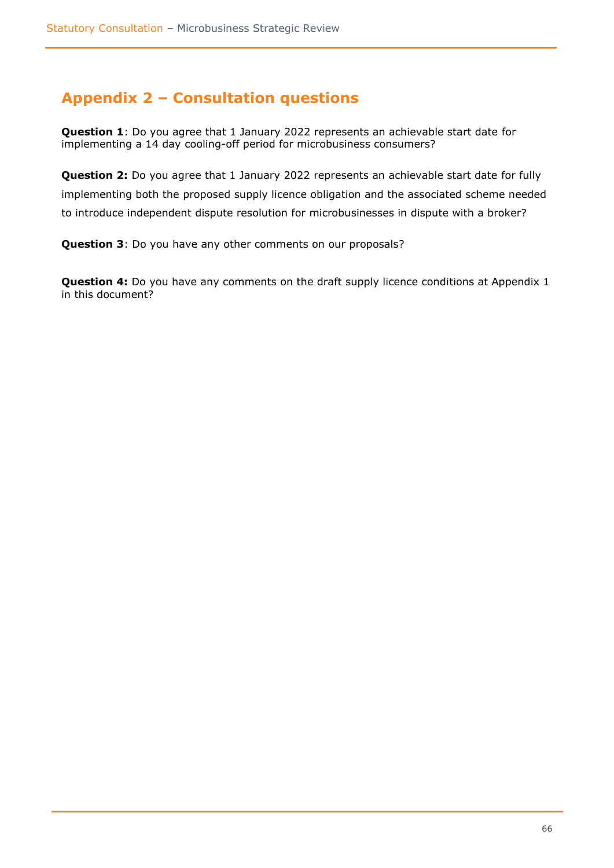## <span id="page-65-0"></span>**Appendix 2 – Consultation questions**

**Question 1**: Do you agree that 1 January 2022 represents an achievable start date for implementing a 14 day cooling-off period for microbusiness consumers?

**Question 2:** Do you agree that 1 January 2022 represents an achievable start date for fully implementing both the proposed supply licence obligation and the associated scheme needed to introduce independent dispute resolution for microbusinesses in dispute with a broker?

**Question 3**: Do you have any other comments on our proposals?

**Question 4:** Do you have any comments on the draft supply licence conditions at Appendix 1 in this document?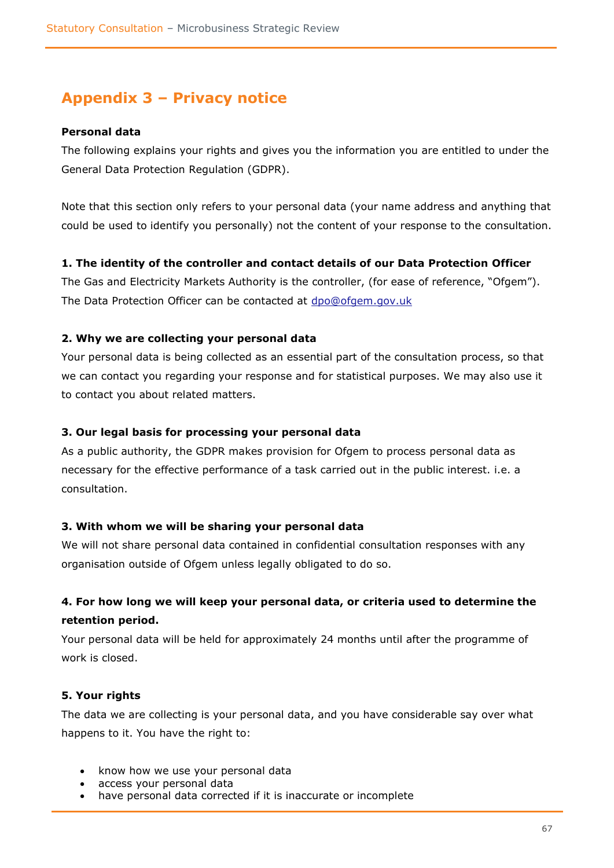# <span id="page-66-0"></span>**Appendix 3 – Privacy notice**

#### **Personal data**

The following explains your rights and gives you the information you are entitled to under the General Data Protection Regulation (GDPR).

Note that this section only refers to your personal data (your name address and anything that could be used to identify you personally) not the content of your response to the consultation.

#### **1. The identity of the controller and contact details of our Data Protection Officer**

The Gas and Electricity Markets Authority is the controller, (for ease of reference, "Ofgem"). The Data Protection Officer can be contacted at [dpo@ofgem.gov.uk](mailto:dpo@ofgem.gov.uk)

#### **2. Why we are collecting your personal data**

Your personal data is being collected as an essential part of the consultation process, so that we can contact you regarding your response and for statistical purposes. We may also use it to contact you about related matters.

#### **3. Our legal basis for processing your personal data**

As a public authority, the GDPR makes provision for Ofgem to process personal data as necessary for the effective performance of a task carried out in the public interest. i.e. a consultation.

#### **3. With whom we will be sharing your personal data**

We will not share personal data contained in confidential consultation responses with any organisation outside of Ofgem unless legally obligated to do so.

### **4. For how long we will keep your personal data, or criteria used to determine the retention period.**

Your personal data will be held for approximately 24 months until after the programme of work is closed.

#### **5. Your rights**

The data we are collecting is your personal data, and you have considerable say over what happens to it. You have the right to:

- know how we use your personal data
- access your personal data
- have personal data corrected if it is inaccurate or incomplete